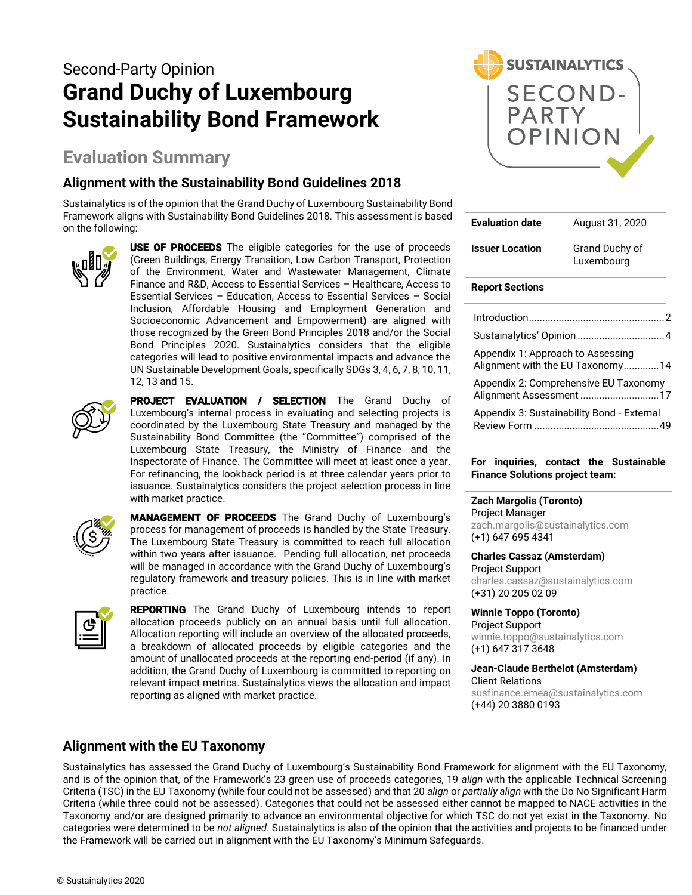# Second-Party Opinion **Grand Duchy of Luxembourg Sustainability Bond Framework**

# **Evaluation Summary**

# **Alignment with the Sustainability Bond Guidelines 2018**

Sustainalytics is of the opinion that the Grand Duchy of Luxembourg Sustainability Bond Framework aligns with Sustainability Bond Guidelines 2018. This assessment is based on the following:



**USE OF PROCEEDS** The eligible categories for the use of proceeds (Green Buildings, Energy Transition, Low Carbon Transport, Protection of the Environment, Water and Wastewater Management, Climate Finance and R&D, Access to Essential Services – Healthcare, Access to Essential Services – Education, Access to Essential Services – Social Inclusion, Affordable Housing and Employment Generation and Socioeconomic Advancement and Empowerment) are aligned with those recognized by the Green Bond Principles 2018 and/or the Social Bond Principles 2020. Sustainalytics considers that the eligible categories will lead to positive environmental impacts and advance the UN Sustainable Development Goals, specifically SDGs 3, 4, 6, 7, 8, 10, 11, 12, 13 and 15.



PROJECT EVALUATION / SELECTION The Grand Duchy of Luxembourg's internal process in evaluating and selecting projects is coordinated by the Luxembourg State Treasury and managed by the Sustainability Bond Committee (the "Committee") comprised of the Luxembourg State Treasury, the Ministry of Finance and the Inspectorate of Finance. The Committee will meet at least once a year. For refinancing, the lookback period is at three calendar years prior to issuance. Sustainalytics considers the project selection process in line with market practice.



MANAGEMENT OF PROCEEDS The Grand Duchy of Luxembourg's process for management of proceeds is handled by the State Treasury. The Luxembourg State Treasury is committed to reach full allocation within two years after issuance. Pending full allocation, net proceeds will be managed in accordance with the Grand Duchy of Luxembourg's regulatory framework and treasury policies. This is in line with market practice.



REPORTING The Grand Duchy of Luxembourg intends to report allocation proceeds publicly on an annual basis until full allocation. Allocation reporting will include an overview of the allocated proceeds, a breakdown of allocated proceeds by eligible categories and the amount of unallocated proceeds at the reporting end-period (if any). In addition, the Grand Duchy of Luxembourg is committed to reporting on relevant impact metrics. Sustainalytics views the allocation and impact reporting as aligned with market practice.



| <b>Evaluation date</b>            | August 31, 2020                                                  |
|-----------------------------------|------------------------------------------------------------------|
| <b>Issuer Location</b>            | Grand Duchy of<br>Luxembourg                                     |
| <b>Report Sections</b>            |                                                                  |
|                                   |                                                                  |
|                                   |                                                                  |
| Appendix 1: Approach to Assessing | Alignment with the EU Taxonomy14                                 |
|                                   | Appendix 2: Comprehensive EU Taxonomy<br>Alignment Assessment 17 |
|                                   | Appendix 3: Sustainability Bond - External                       |
|                                   |                                                                  |

#### **For inquiries, contact the Sustainable Finance Solutions project team:**

**Zach Margolis (Toronto)**  Project Manager [zach.margolis@sustainalytics.com](mailto:zach.margolis@sustainalytics.com) (+1) 647 695 4341

**Charles Cassaz (Amsterdam)** Project Support [charles.cassaz@sustainalytics.com](mailto:charles.cassaz@sustainalytics.com) (+31) 20 205 02 09

**Winnie Toppo (Toronto)** Project Support [winnie.toppo@sustainalytics.com](mailto:winnie.toppo@sustainalytics.com)

(+1) 647 317 3648 **Jean-Claude Berthelot (Amsterdam)**

Client Relations [susfinance.emea@sustainalytics.com](mailto:susfinance.emea@sustainalytics.com) (+44) 20 3880 0193

# **Alignment with the EU Taxonomy**

Sustainalytics has assessed the Grand Duchy of Luxembourg's Sustainability Bond Framework for alignment with the EU Taxonomy, and is of the opinion that, of the Framework's 23 green use of proceeds categories, 19 *align* with the applicable Technical Screening Criteria (TSC) in the EU Taxonomy (while four could not be assessed) and that 20 *align* or *partially align* with the Do No Significant Harm Criteria (while three could not be assessed). Categories that could not be assessed either cannot be mapped to NACE activities in the Taxonomy and/or are designed primarily to advance an environmental objective for which TSC do not yet exist in the Taxonomy. No categories were determined to be *not aligned*. Sustainalytics is also of the opinion that the activities and projects to be financed under the Framework will be carried out in alignment with the EU Taxonomy's Minimum Safeguards.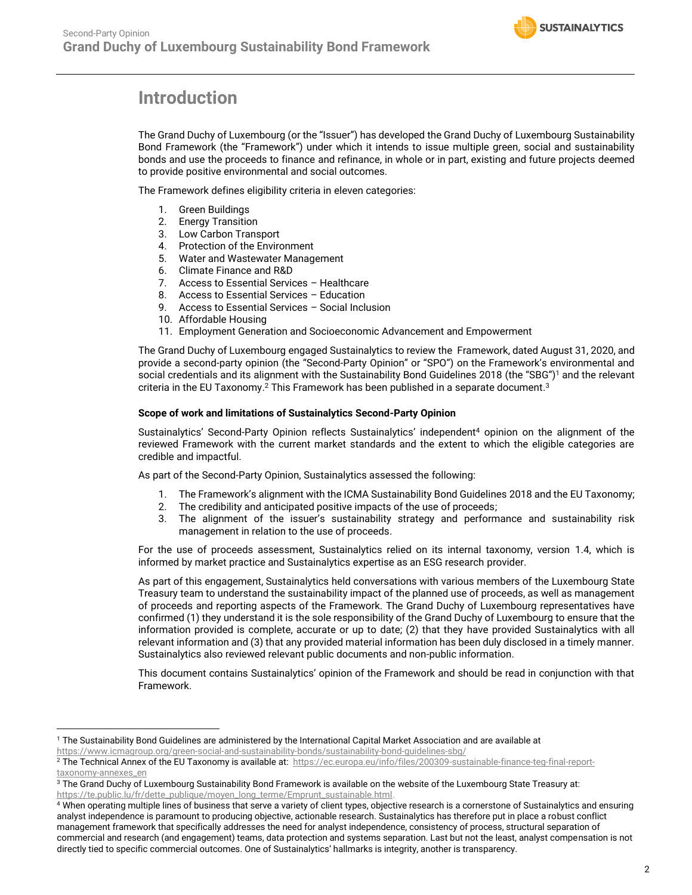# <span id="page-1-0"></span>**Introduction**

The Grand Duchy of Luxembourg (or the "Issuer") has developed the Grand Duchy of Luxembourg Sustainability Bond Framework (the "Framework") under which it intends to issue multiple green, social and sustainability bonds and use the proceeds to finance and refinance, in whole or in part, existing and future projects deemed to provide positive environmental and social outcomes.

The Framework defines eligibility criteria in eleven categories:

- 1. Green Buildings
- 2. Energy Transition
- 3. Low Carbon Transport
- 4. Protection of the Environment
- 5. Water and Wastewater Management
- 6. Climate Finance and R&D
- 7. Access to Essential Services Healthcare
- 8. Access to Essential Services Education
- 9. Access to Essential Services Social Inclusion
- 10. Affordable Housing
- 11. Employment Generation and Socioeconomic Advancement and Empowerment

The Grand Duchy of Luxembourg engaged Sustainalytics to review the Framework, dated August 31, 2020, and provide a second-party opinion (the "Second-Party Opinion" or "SPO") on the Framework's environmental and social credentials and its alignment with the Sustainability Bond Guidelines 2018 (the "SBG") <sup>1</sup> and the relevant criteria in the EU Taxonomy. <sup>2</sup> This Framework has been published in a separate document. 3

#### **Scope of work and limitations of Sustainalytics Second-Party Opinion**

Sustainalytics' Second-Party Opinion reflects Sustainalytics' independent<sup>4</sup> opinion on the alignment of the reviewed Framework with the current market standards and the extent to which the eligible categories are credible and impactful.

As part of the Second-Party Opinion, Sustainalytics assessed the following:

- 1. The Framework's alignment with the ICMA Sustainability Bond Guidelines 2018 and the EU Taxonomy;
- 2. The credibility and anticipated positive impacts of the use of proceeds;
- 3. The alignment of the issuer's sustainability strategy and performance and sustainability risk management in relation to the use of proceeds.

For the use of proceeds assessment, Sustainalytics relied on its internal taxonomy, version 1.4, which is informed by market practice and Sustainalytics expertise as an ESG research provider.

As part of this engagement, Sustainalytics held conversations with various members of the Luxembourg State Treasury team to understand the sustainability impact of the planned use of proceeds, as well as management of proceeds and reporting aspects of the Framework. The Grand Duchy of Luxembourg representatives have confirmed (1) they understand it is the sole responsibility of the Grand Duchy of Luxembourg to ensure that the information provided is complete, accurate or up to date; (2) that they have provided Sustainalytics with all relevant information and (3) that any provided material information has been duly disclosed in a timely manner. Sustainalytics also reviewed relevant public documents and non-public information.

This document contains Sustainalytics' opinion of the Framework and should be read in conjunction with that Framework.

<sup>1</sup> The Sustainability Bond Guidelines are administered by the International Capital Market Association and are available at <https://www.icmagroup.org/green-social-and-sustainability-bonds/sustainability-bond-guidelines-sbg/>

<sup>&</sup>lt;sup>2</sup> The Technical Annex of the EU Taxonomy is available at: https://ec.europa.eu/info/files/200309-sustainable-finance-teg-final-reporttaxonomy-annexes\_en

<sup>&</sup>lt;sup>3</sup> The Grand Duchy of Luxembourg Sustainability Bond Framework is available on the website of the Luxembourg State Treasury at: https://te.public.lu/fr/dette\_publique/moyen\_long\_terme/Emprunt\_sustainable.html.

<sup>4</sup> When operating multiple lines of business that serve a variety of client types, objective research is a cornerstone of Sustainalytics and ensuring analyst independence is paramount to producing objective, actionable research. Sustainalytics has therefore put in place a robust conflict management framework that specifically addresses the need for analyst independence, consistency of process, structural separation of commercial and research (and engagement) teams, data protection and systems separation. Last but not the least, analyst compensation is not directly tied to specific commercial outcomes. One of Sustainalytics' hallmarks is integrity, another is transparency.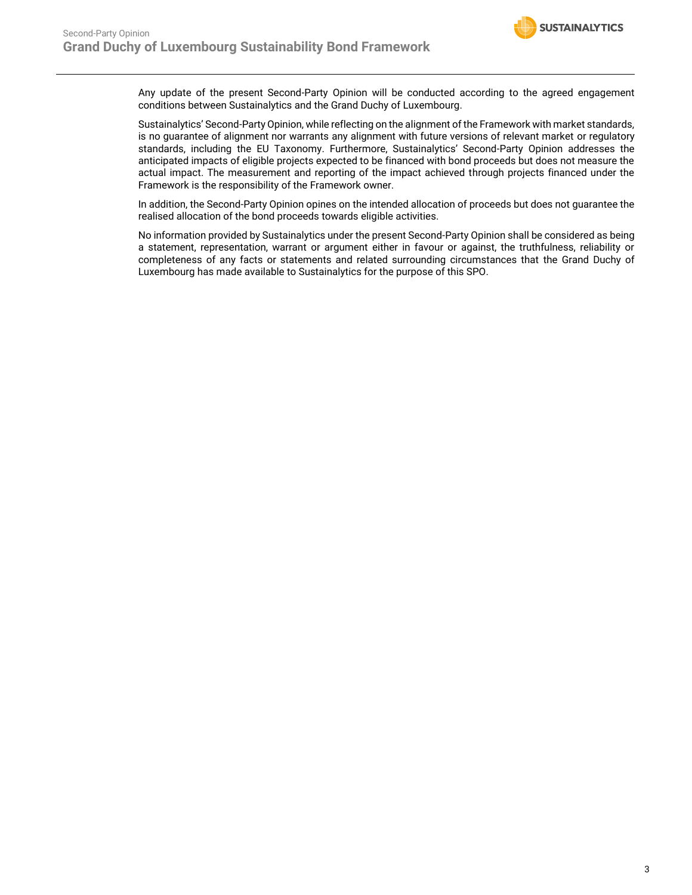Any update of the present Second-Party Opinion will be conducted according to the agreed engagement conditions between Sustainalytics and the Grand Duchy of Luxembourg.

Sustainalytics' Second-Party Opinion, while reflecting on the alignment of the Framework with market standards, is no guarantee of alignment nor warrants any alignment with future versions of relevant market or regulatory standards, including the EU Taxonomy. Furthermore, Sustainalytics' Second-Party Opinion addresses the anticipated impacts of eligible projects expected to be financed with bond proceeds but does not measure the actual impact. The measurement and reporting of the impact achieved through projects financed under the Framework is the responsibility of the Framework owner.

In addition, the Second-Party Opinion opines on the intended allocation of proceeds but does not guarantee the realised allocation of the bond proceeds towards eligible activities.

<span id="page-2-0"></span>No information provided by Sustainalytics under the present Second-Party Opinion shall be considered as being a statement, representation, warrant or argument either in favour or against, the truthfulness, reliability or completeness of any facts or statements and related surrounding circumstances that the Grand Duchy of Luxembourg has made available to Sustainalytics for the purpose of this SPO.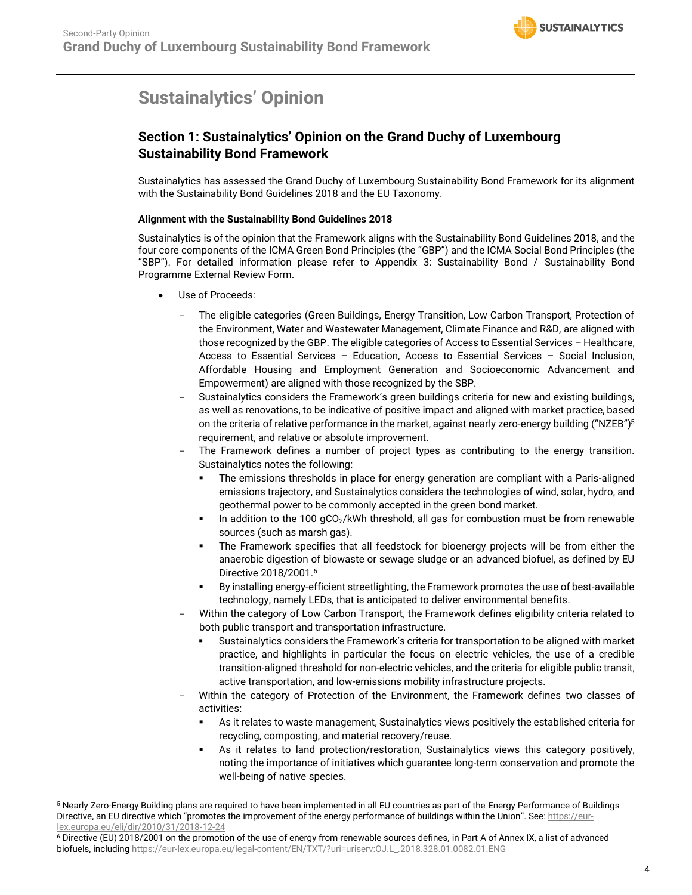# **Sustainalytics' Opinion**

# **Section 1: Sustainalytics' Opinion on the Grand Duchy of Luxembourg Sustainability Bond Framework**

Sustainalytics has assessed the Grand Duchy of Luxembourg Sustainability Bond Framework for its alignment with the Sustainability Bond Guidelines 2018 and the EU Taxonomy.

#### **Alignment with the Sustainability Bond Guidelines 2018**

Sustainalytics is of the opinion that the Framework aligns with the Sustainability Bond Guidelines 2018, and the four core components of the ICMA Green Bond Principles (the "GBP") and the ICMA Social Bond Principles (the "SBP"). For detailed information please refer to Appendix 3: Sustainability Bond / Sustainability Bond Programme External Review Form.

- Use of Proceeds:
	- The eligible categories (Green Buildings, Energy Transition, Low Carbon Transport, Protection of the Environment, Water and Wastewater Management, Climate Finance and R&D, are aligned with those recognized by the GBP. The eligible categories of Access to Essential Services – Healthcare, Access to Essential Services – Education, Access to Essential Services – Social Inclusion, Affordable Housing and Employment Generation and Socioeconomic Advancement and Empowerment) are aligned with those recognized by the SBP.
	- Sustainalytics considers the Framework's green buildings criteria for new and existing buildings, as well as renovations, to be indicative of positive impact and aligned with market practice, based on the criteria of relative performance in the market, against nearly zero-energy building ("NZEB")<sup>5</sup> requirement, and relative or absolute improvement.
	- The Framework defines a number of project types as contributing to the energy transition. Sustainalytics notes the following:
		- The emissions thresholds in place for energy generation are compliant with a Paris-aligned emissions trajectory, and Sustainalytics considers the technologies of wind, solar, hydro, and geothermal power to be commonly accepted in the green bond market.
		- **■** In addition to the 100  $qCO<sub>2</sub>/kWh$  threshold, all gas for combustion must be from renewable sources (such as marsh gas).
		- The Framework specifies that all feedstock for bioenergy projects will be from either the anaerobic digestion of biowaste or sewage sludge or an advanced biofuel, as defined by EU Directive 2018/2001. 6
		- By installing energy-efficient streetlighting, the Framework promotes the use of best-available technology, namely LEDs, that is anticipated to deliver environmental benefits.
	- Within the category of Low Carbon Transport, the Framework defines eligibility criteria related to both public transport and transportation infrastructure.
		- Sustainalytics considers the Framework's criteria for transportation to be aligned with market practice, and highlights in particular the focus on electric vehicles, the use of a credible transition-aligned threshold for non-electric vehicles, and the criteria for eligible public transit, active transportation, and low-emissions mobility infrastructure projects.
	- Within the category of Protection of the Environment, the Framework defines two classes of activities:
		- As it relates to waste management, Sustainalytics views positively the established criteria for recycling, composting, and material recovery/reuse.
		- As it relates to land protection/restoration, Sustainalytics views this category positively, noting the importance of initiatives which guarantee long-term conservation and promote the well-being of native species.

<sup>5</sup> Nearly Zero-Energy Building plans are required to have been implemented in all EU countries as part of the Energy Performance of Buildings Directive, an EU directive which "promotes the improvement of the energy performance of buildings within the Union". See: https://eurlex.europa.eu/eli/dir/2010/31/2018-12-24

<sup>6</sup> Directive (EU) 2018/2001 on the promotion of the use of energy from renewable sources defines, in Part A of Annex IX, a list of advanced biofuels, including https://eur-lex.europa.eu/legal-content/EN/TXT/?uri=uriserv:OJ.L\_.2018.328.01.0082.01.ENG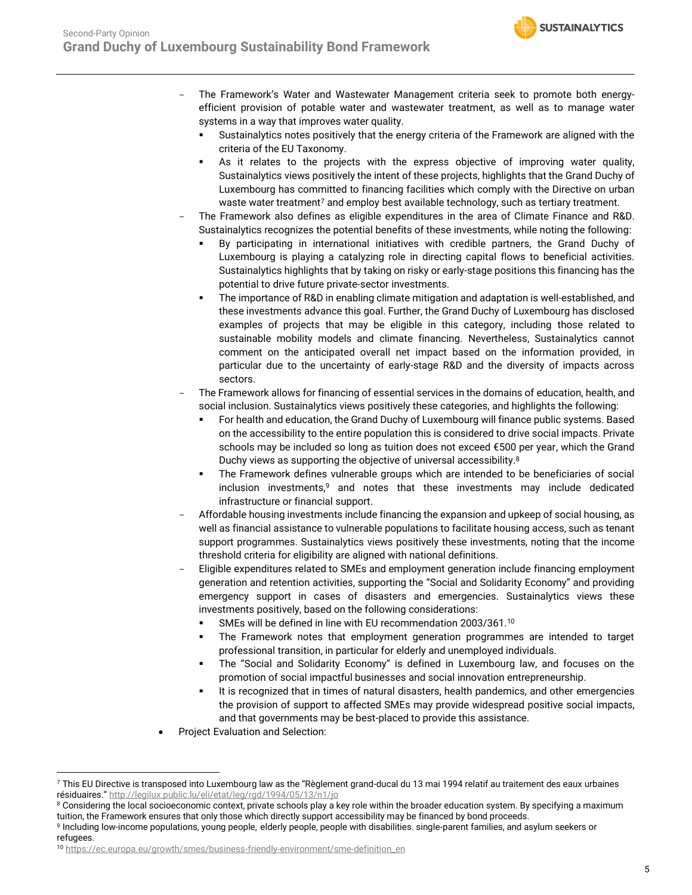- The Framework's Water and Wastewater Management criteria seek to promote both energyefficient provision of potable water and wastewater treatment, as well as to manage water systems in a way that improves water quality.
	- Sustainalytics notes positively that the energy criteria of the Framework are aligned with the criteria of the EU Taxonomy.
	- As it relates to the projects with the express objective of improving water quality, Sustainalytics views positively the intent of these projects, highlights that the Grand Duchy of Luxembourg has committed to financing facilities which comply with the Directive on urban waste water treatment<sup>7</sup> and employ best available technology, such as tertiary treatment.
- The Framework also defines as eligible expenditures in the area of Climate Finance and R&D. Sustainalytics recognizes the potential benefits of these investments, while noting the following:
	- By participating in international initiatives with credible partners, the Grand Duchy of Luxembourg is playing a catalyzing role in directing capital flows to beneficial activities. Sustainalytics highlights that by taking on risky or early-stage positions this financing has the potential to drive future private-sector investments.
	- The importance of R&D in enabling climate mitigation and adaptation is well-established, and these investments advance this goal. Further, the Grand Duchy of Luxembourg has disclosed examples of projects that may be eligible in this category, including those related to sustainable mobility models and climate financing. Nevertheless, Sustainalytics cannot comment on the anticipated overall net impact based on the information provided, in particular due to the uncertainty of early-stage R&D and the diversity of impacts across sectors.
- The Framework allows for financing of essential services in the domains of education, health, and social inclusion. Sustainalytics views positively these categories, and highlights the following:
	- For health and education, the Grand Duchy of Luxembourg will finance public systems. Based on the accessibility to the entire population this is considered to drive social impacts. Private schools may be included so long as tuition does not exceed €500 per year, which the Grand Duchy views as supporting the objective of universal accessibility.<sup>8</sup>
	- The Framework defines vulnerable groups which are intended to be beneficiaries of social inclusion investments,<sup>9</sup> and notes that these investments may include dedicated infrastructure or financial support.
- Affordable housing investments include financing the expansion and upkeep of social housing, as well as financial assistance to vulnerable populations to facilitate housing access, such as tenant support programmes. Sustainalytics views positively these investments, noting that the income threshold criteria for eligibility are aligned with national definitions.
- Eligible expenditures related to SMEs and employment generation include financing employment generation and retention activities, supporting the "Social and Solidarity Economy" and providing emergency support in cases of disasters and emergencies. Sustainalytics views these investments positively, based on the following considerations:
	- SMEs will be defined in line with EU recommendation 2003/361.<sup>10</sup>
	- The Framework notes that employment generation programmes are intended to target professional transition, in particular for elderly and unemployed individuals.
	- The "Social and Solidarity Economy" is defined in Luxembourg law, and focuses on the promotion of social impactful businesses and social innovation entrepreneurship.
	- It is recognized that in times of natural disasters, health pandemics, and other emergencies the provision of support to affected SMEs may provide widespread positive social impacts, and that governments may be best-placed to provide this assistance.
- Project Evaluation and Selection:

 $7$  This EU Directive is transposed into Luxembourg law as the "Règlement grand-ducal du 13 mai 1994 relatif au traitement des eaux urbaines résiduaires." <http://legilux.public.lu/eli/etat/leg/rgd/1994/05/13/n1/jo>

<sup>&</sup>lt;sup>8</sup> Considering the local socioeconomic context, private schools play a key role within the broader education system. By specifying a maximum tuition, the Framework ensures that only those which directly support accessibility may be financed by bond proceeds.

<sup>9</sup> Including low-income populations, young people, elderly people, people with disabilities. single-parent families, and asylum seekers or refugees.

<sup>10</sup> [https://ec.europa.eu/growth/smes/business-friendly-environment/sme-definition\\_en](https://ec.europa.eu/growth/smes/business-friendly-environment/sme-definition_en)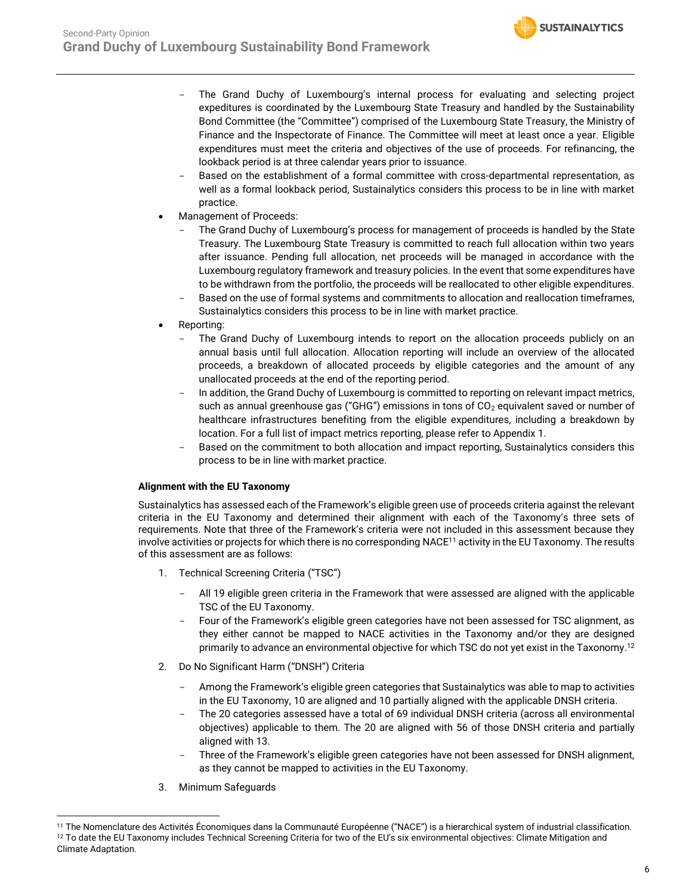- The Grand Duchy of Luxembourg's internal process for evaluating and selecting project expeditures is coordinated by the Luxembourg State Treasury and handled by the Sustainability Bond Committee (the "Committee") comprised of the Luxembourg State Treasury, the Ministry of Finance and the Inspectorate of Finance. The Committee will meet at least once a year. Eligible expenditures must meet the criteria and objectives of the use of proceeds. For refinancing, the lookback period is at three calendar years prior to issuance.
- Based on the establishment of a formal committee with cross-departmental representation, as well as a formal lookback period, Sustainalytics considers this process to be in line with market practice.
- Management of Proceeds:
	- The Grand Duchy of Luxembourg's process for management of proceeds is handled by the State Treasury. The Luxembourg State Treasury is committed to reach full allocation within two years after issuance. Pending full allocation, net proceeds will be managed in accordance with the Luxembourg regulatory framework and treasury policies. In the event that some expenditures have to be withdrawn from the portfolio, the proceeds will be reallocated to other eligible expenditures. Based on the use of formal systems and commitments to allocation and reallocation timeframes,
	- Sustainalytics considers this process to be in line with market practice.
- Reporting:
	- The Grand Duchy of Luxembourg intends to report on the allocation proceeds publicly on an annual basis until full allocation. Allocation reporting will include an overview of the allocated proceeds, a breakdown of allocated proceeds by eligible categories and the amount of any unallocated proceeds at the end of the reporting period.
	- In addition, the Grand Duchy of Luxembourg is committed to reporting on relevant impact metrics, such as annual greenhouse gas ("GHG") emissions in tons of  $CO<sub>2</sub>$  equivalent saved or number of healthcare infrastructures benefiting from the eligible expenditures, including a breakdown by location. For a full list of impact metrics reporting, please refer to Appendix 1.
	- Based on the commitment to both allocation and impact reporting, Sustainalytics considers this process to be in line with market practice.

#### **Alignment with the EU Taxonomy**

Sustainalytics has assessed each of the Framework's eligible green use of proceeds criteria against the relevant criteria in the EU Taxonomy and determined their alignment with each of the Taxonomy's three sets of requirements. Note that three of the Framework's criteria were not included in this assessment because they involve activities or projects for which there is no corresponding NACE<sup>11</sup> activity in the EU Taxonomy. The results of this assessment are as follows:

- 1. Technical Screening Criteria ("TSC")
	- All 19 eligible green criteria in the Framework that were assessed are aligned with the applicable TSC of the EU Taxonomy.
	- Four of the Framework's eligible green categories have not been assessed for TSC alignment, as they either cannot be mapped to NACE activities in the Taxonomy and/or they are designed primarily to advance an environmental objective for which TSC do not yet exist in the Taxonomy. 12
- 2. Do No Significant Harm ("DNSH") Criteria
	- Among the Framework's eligible green categories that Sustainalytics was able to map to activities in the EU Taxonomy, 10 are aligned and 10 partially aligned with the applicable DNSH criteria.
	- The 20 categories assessed have a total of 69 individual DNSH criteria (across all environmental objectives) applicable to them. The 20 are aligned with 56 of those DNSH criteria and partially aligned with 13.
	- Three of the Framework's eligible green categories have not been assessed for DNSH alignment, as they cannot be mapped to activities in the EU Taxonomy.
- 3. Minimum Safeguards

<sup>&</sup>lt;sup>11</sup> The Nomenclature des Activités Économiques dans la Communauté Européenne ("NACE") is a hierarchical system of industrial classification. <sup>12</sup> To date the EU Taxonomy includes Technical Screening Criteria for two of the EU's six environmental objectives: Climate Mitigation and Climate Adaptation.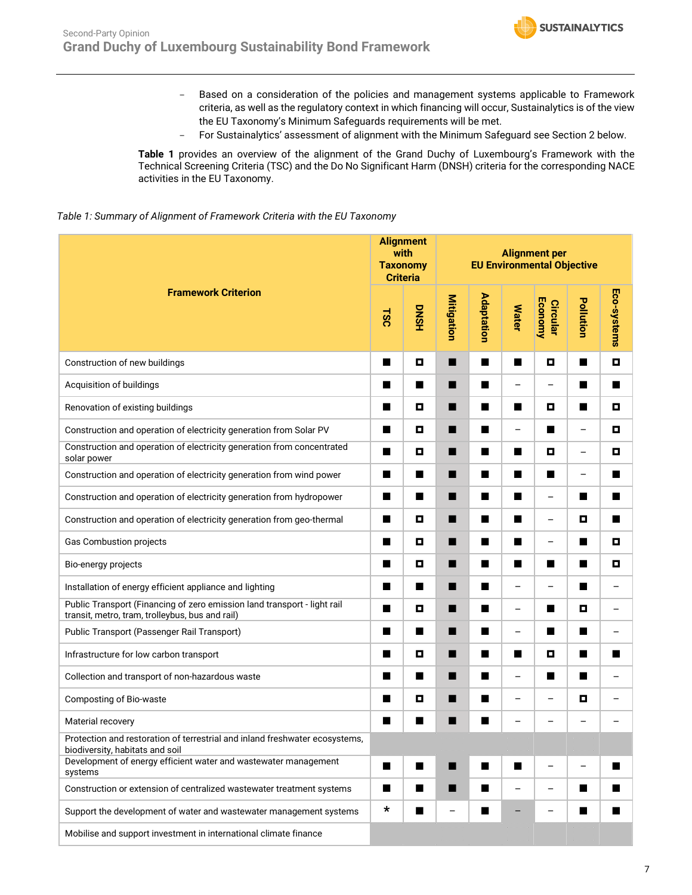- Based on a consideration of the policies and management systems applicable to Framework criteria, as well as the regulatory context in which financing will occur, Sustainalytics is of the view the EU Taxonomy's Minimum Safeguards requirements will be met.
- For Sustainalytics' assessment of alignment with the Minimum Safeguard see Section 2 below.

**Table 1** provides an overview of the alignment of the Grand Duchy of Luxembourg's Framework with the Technical Screening Criteria (TSC) and the Do No Significant Harm (DNSH) criteria for the corresponding NACE activities in the EU Taxonomy.

#### *Table 1: Summary of Alignment of Framework Criteria with the EU Taxonomy*

|                                                                                                                             |                | <b>Alignment</b><br>with<br><b>Alignment per</b><br><b>EU Environmental Objective</b><br><b>Taxonomy</b><br><b>Criteria</b> |                   |                |                          |                                   |                          |             |  |
|-----------------------------------------------------------------------------------------------------------------------------|----------------|-----------------------------------------------------------------------------------------------------------------------------|-------------------|----------------|--------------------------|-----------------------------------|--------------------------|-------------|--|
| <b>Framework Criterion</b>                                                                                                  | <b>1SC</b>     | <b>DNSH</b>                                                                                                                 | <b>Mitigation</b> | Adaptation     | <b>Water</b>             | <b>Economy</b><br><b>Circular</b> | Pollution                | Eco-systems |  |
| Construction of new buildings                                                                                               | $\blacksquare$ | О                                                                                                                           | ■                 | $\blacksquare$ | $\blacksquare$           | $\blacksquare$                    | ■                        | o           |  |
| Acquisition of buildings                                                                                                    | ■              | п                                                                                                                           | ■                 | ш              | -                        | $\qquad \qquad -$                 | ■                        | ■           |  |
| Renovation of existing buildings                                                                                            | ■              | О                                                                                                                           | ■                 | ш              | ■                        | О                                 | п                        | O           |  |
| Construction and operation of electricity generation from Solar PV                                                          | ■              | О                                                                                                                           | П                 | ш              | -                        | ■                                 | $\qquad \qquad -$        | O           |  |
| Construction and operation of electricity generation from concentrated<br>solar power                                       | ■              | О                                                                                                                           | ■                 | ш              | ■                        | О                                 |                          | о           |  |
| Construction and operation of electricity generation from wind power                                                        | ■              | п                                                                                                                           | ■                 | ш              | ■                        | $\blacksquare$                    | $\overline{\phantom{0}}$ | ■           |  |
| Construction and operation of electricity generation from hydropower                                                        | ■              | п                                                                                                                           | П                 | $\blacksquare$ | $\blacksquare$           | $\qquad \qquad -$                 | $\blacksquare$           | ■           |  |
| Construction and operation of electricity generation from geo-thermal                                                       | ■              | О                                                                                                                           | ■                 | ш              | ■                        | $\overline{\phantom{0}}$          | о                        | ■           |  |
| Gas Combustion projects                                                                                                     | ■              | О                                                                                                                           | ■                 | ш              | ■                        | $\overbrace{\phantom{123221111}}$ | ш                        | O           |  |
| Bio-energy projects                                                                                                         | ■              | О                                                                                                                           | п                 | $\blacksquare$ | $\blacksquare$           | $\blacksquare$                    | ■                        | O           |  |
| Installation of energy efficient appliance and lighting                                                                     | ■              | ■                                                                                                                           | ■                 | ш              | —                        | -                                 | ш                        |             |  |
| Public Transport (Financing of zero emission land transport - light rail<br>transit, metro, tram, trolleybus, bus and rail) | ■              | О                                                                                                                           | ■                 | ш              | -                        | ■                                 | o                        |             |  |
| Public Transport (Passenger Rail Transport)                                                                                 | ■              | п                                                                                                                           | ■                 | ш              | $\overline{\phantom{m}}$ | ■                                 | ■                        |             |  |
| Infrastructure for low carbon transport                                                                                     | ■              | О                                                                                                                           | п                 | ш              | п                        | О                                 | ш                        | ■           |  |
| Collection and transport of non-hazardous waste                                                                             | ■              | ■                                                                                                                           | ■                 | ш              | -                        | ■                                 | ■                        |             |  |
| Composting of Bio-waste                                                                                                     | ■              | о                                                                                                                           | ■                 | ш              | $\overline{\phantom{0}}$ | $\qquad \qquad -$                 | О                        |             |  |
| Material recovery                                                                                                           | ■              | ■                                                                                                                           | ■                 | ш              | -                        |                                   |                          |             |  |
| Protection and restoration of terrestrial and inland freshwater ecosystems<br>biodiversity, habitats and soil               |                |                                                                                                                             |                   |                |                          |                                   |                          |             |  |
| Development of energy efficient water and wastewater management<br>systems                                                  | $\blacksquare$ | $\blacksquare$                                                                                                              | ■                 | $\blacksquare$ | $\blacksquare$           | $\qquad \qquad -$                 | -                        | ■           |  |
| Construction or extension of centralized wastewater treatment systems                                                       | ■              | ■                                                                                                                           |                   | ш              | -                        | -                                 | $\blacksquare$           | ■           |  |
| Support the development of water and wastewater management systems                                                          | $\star$        | ■                                                                                                                           | $\qquad \qquad -$ | ш              |                          | $\overline{\phantom{0}}$          | п                        | ■           |  |
| Mobilise and support investment in international climate finance                                                            |                |                                                                                                                             |                   |                |                          |                                   |                          |             |  |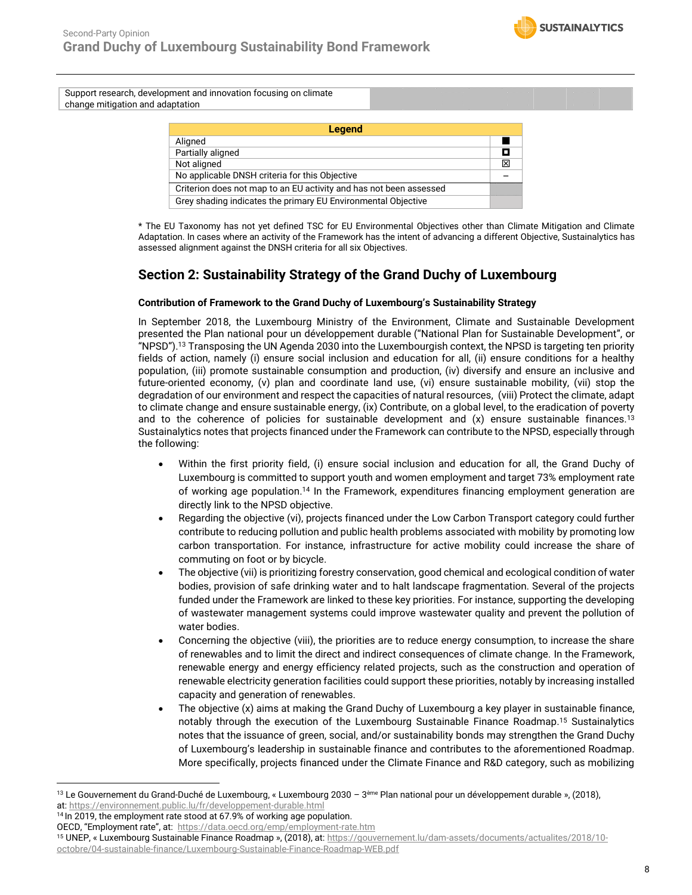Support research, development and innovation focusing on climate change mitigation and adaptation

| <b>Legend</b>                                                      |   |
|--------------------------------------------------------------------|---|
| Aligned                                                            |   |
| Partially aligned                                                  | п |
| Not aligned                                                        | X |
| No applicable DNSH criteria for this Objective                     |   |
| Criterion does not map to an EU activity and has not been assessed |   |
| Grey shading indicates the primary EU Environmental Objective      |   |

\* The EU Taxonomy has not yet defined TSC for EU Environmental Objectives other than Climate Mitigation and Climate Adaptation. In cases where an activity of the Framework has the intent of advancing a different Objective, Sustainalytics has assessed alignment against the DNSH criteria for all six Objectives.

# **Section 2: Sustainability Strategy of the Grand Duchy of Luxembourg**

#### **Contribution of Framework to the Grand Duchy of Luxembourg's Sustainability Strategy**

<span id="page-7-0"></span>In September 2018, the Luxembourg Ministry of the Environment, Climate and Sustainable Development presented the Plan national pour un développement durable ("National Plan for Sustainable Development", or "NPSD").<sup>13</sup> Transposing the UN Agenda 2030 into the Luxembourgish context, the NPSD is targeting ten priority fields of action, namely (i) ensure social inclusion and education for all, (ii) ensure conditions for a healthy population, (iii) promote sustainable consumption and production, (iv) diversify and ensure an inclusive and future-oriented economy, (v) plan and coordinate land use, (vi) ensure sustainable mobility, (vii) stop the degradation of our environment and respect the capacities of natural resources, (viii) Protect the climate, adapt to climate change and ensure sustainable energy, (ix) Contribute, on a global level, to the eradication of poverty and to the coherence of policies for sustainable development and  $(x)$  ensure sustainable finances.<sup>[13](#page-7-0)</sup> Sustainalytics notes that projects financed under the Framework can contribute to the NPSD, especially through the following:

- Within the first priority field, (i) ensure social inclusion and education for all, the Grand Duchy of Luxembourg is committed to support youth and women employment and target 73% employment rate of working age population.<sup>14</sup> In the Framework, expenditures financing employment generation are directly link to the NPSD objective.
- Regarding the objective (vi), projects financed under the Low Carbon Transport category could further contribute to reducing pollution and public health problems associated with mobility by promoting low carbon transportation. For instance, infrastructure for active mobility could increase the share of commuting on foot or by bicycle.
- The objective (vii) is prioritizing forestry conservation, good chemical and ecological condition of water bodies, provision of safe drinking water and to halt landscape fragmentation. Several of the projects funded under the Framework are linked to these key priorities. For instance, supporting the developing of wastewater management systems could improve wastewater quality and prevent the pollution of water bodies.
- Concerning the objective (viii), the priorities are to reduce energy consumption, to increase the share of renewables and to limit the direct and indirect consequences of climate change. In the Framework, renewable energy and energy efficiency related projects, such as the construction and operation of renewable electricity generation facilities could support these priorities, notably by increasing installed capacity and generation of renewables.
- The objective (x) aims at making the Grand Duchy of Luxembourg a key player in sustainable finance, notably through the execution of the Luxembourg Sustainable Finance Roadmap.<sup>15</sup> Sustainalytics notes that the issuance of green, social, and/or sustainability bonds may strengthen the Grand Duchy of Luxembourg's leadership in sustainable finance and contributes to the aforementioned Roadmap. More specifically, projects financed under the Climate Finance and R&D category, such as mobilizing

<sup>&</sup>lt;sup>13</sup> Le Gouvernement du Grand-Duché de Luxembourg, « Luxembourg 2030 – 3<sup>ème</sup> Plan national pour un développement durable », (2018), at: <https://environnement.public.lu/fr/developpement-durable.html>

<sup>&</sup>lt;sup>14</sup> In 2019, the employment rate stood at 67.9% of working age population.

OECD, "Employment rate", at: <https://data.oecd.org/emp/employment-rate.htm>

<sup>15</sup> UNEP, « Luxembourg Sustainable Finance Roadmap », (2018), at: [https://gouvernement.lu/dam-assets/documents/actualites/2018/10](https://gouvernement.lu/dam-assets/documents/actualites/2018/10-octobre/04-sustainable-finance/Luxembourg-Sustainable-Finance-Roadmap-WEB.pdf) [octobre/04-sustainable-finance/Luxembourg-Sustainable-Finance-Roadmap-WEB.pdf](https://gouvernement.lu/dam-assets/documents/actualites/2018/10-octobre/04-sustainable-finance/Luxembourg-Sustainable-Finance-Roadmap-WEB.pdf)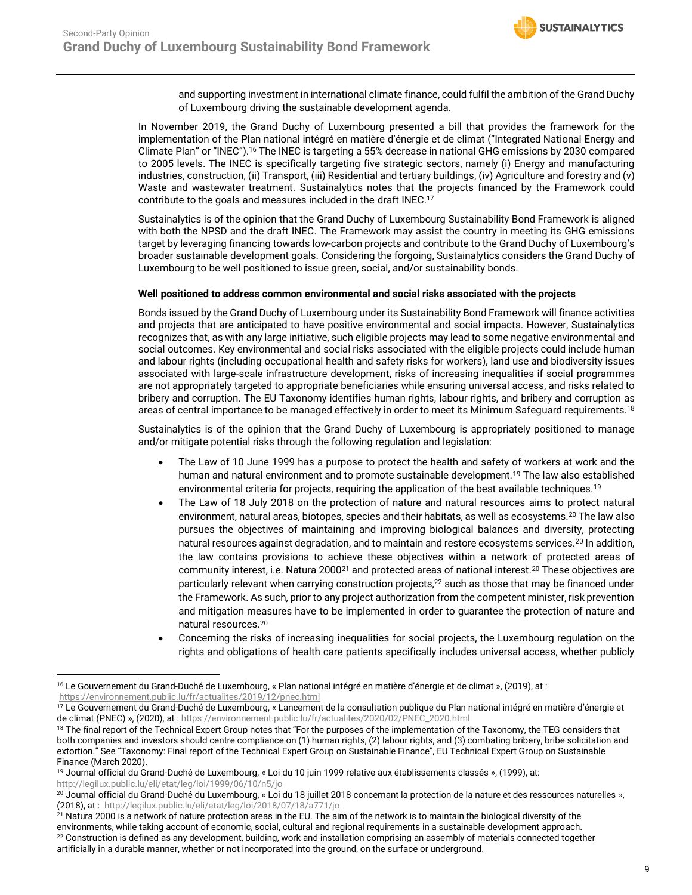<span id="page-8-2"></span>and supporting investment in international climate finance, could fulfil the ambition of the Grand Duchy of Luxembourg driving the sustainable development agenda.

In November 2019, the Grand Duchy of Luxembourg presented a bill that provides the framework for the implementation of the Plan national intégré en matière d'énergie et de climat ("Integrated National Energy and Climate Plan" or "INEC").<sup>16</sup> The INEC is targeting a 55% decrease in national GHG emissions by 2030 compared to 2005 levels. The INEC is specifically targeting five strategic sectors, namely (i) Energy and manufacturing industries, construction, (ii) Transport, (iii) Residential and tertiary buildings, (iv) Agriculture and forestry and (v) Waste and wastewater treatment. Sustainalytics notes that the projects financed by the Framework could contribute to the goals and measures included in the draft INEC. 17

Sustainalytics is of the opinion that the Grand Duchy of Luxembourg Sustainability Bond Framework is aligned with both the NPSD and the draft INEC. The Framework may assist the country in meeting its GHG emissions target by leveraging financing towards low-carbon projects and contribute to the Grand Duchy of Luxembourg's broader sustainable development goals. Considering the forgoing, Sustainalytics considers the Grand Duchy of Luxembourg to be well positioned to issue green, social, and/or sustainability bonds.

#### **Well positioned to address common environmental and social risks associated with the projects**

Bonds issued by the Grand Duchy of Luxembourg under its Sustainability Bond Framework will finance activities and projects that are anticipated to have positive environmental and social impacts. However, Sustainalytics recognizes that, as with any large initiative, such eligible projects may lead to some negative environmental and social outcomes. Key environmental and social risks associated with the eligible projects could include human and labour rights (including occupational health and safety risks for workers), land use and biodiversity issues associated with large-scale infrastructure development, risks of increasing inequalities if social programmes are not appropriately targeted to appropriate beneficiaries while ensuring universal access, and risks related to bribery and corruption. The EU Taxonomy identifies human rights, labour rights, and bribery and corruption as areas of central importance to be managed effectively in order to meet its Minimum Safeguard requirements.<sup>18</sup>

Sustainalytics is of the opinion that the Grand Duchy of Luxembourg is appropriately positioned to manage and/or mitigate potential risks through the following regulation and legislation:

- <span id="page-8-0"></span>• The Law of 10 June 1999 has a purpose to protect the health and safety of workers at work and the human and natural environment and to promote sustainable development.<sup>19</sup> The law also established environmental criteria for projects, requiring the application of the best available techniques.[19](#page-8-0)
- <span id="page-8-1"></span>• The Law of 18 July 2018 on the protection of nature and natural resources aims to protect natural environment, natural areas, biotopes, species and their habitats, as well as ecosystems.<sup>20</sup> The law also pursues the objectives of maintaining and improving biological balances and diversity, protecting natural resources against degradation, and to maintain and restore ecosystems services.[20](#page-8-1) In addition, the law contains provisions to achieve these objectives within a network of protected areas of community interest, i.e. Natura 2000<sup>21</sup> and protected areas of national interest.[20](#page-8-1) These objectives are particularly relevant when carrying construction projects,<sup>22</sup> such as those that may be financed under the Framework. As such, prior to any project authorization from the competent minister, risk prevention and mitigation measures have to be implemented in order to guarantee the protection of nature and natural resources.[20](#page-8-1)
- Concerning the risks of increasing inequalities for social projects, the Luxembourg regulation on the rights and obligations of health care patients specifically includes universal access, whether publicly

<sup>16</sup> Le Gouvernement du Grand-Duché de Luxembourg, « Plan national intégré en matière d'énergie et de climat », (2019), at : <https://environnement.public.lu/fr/actualites/2019/12/pnec.html>

<sup>&</sup>lt;sup>17</sup> Le Gouvernement du Grand-Duché de Luxembourg, « Lancement de la consultation publique du Plan national intégré en matière d'énergie et de climat (PNEC) », (2020), at [: https://environnement.public.lu/fr/actualites/2020/02/PNEC\\_2020.html](https://environnement.public.lu/fr/actualites/2020/02/PNEC_2020.html)

<sup>&</sup>lt;sup>18</sup> The final report of the Technical Expert Group notes that "For the purposes of the implementation of the Taxonomy, the TEG considers that both companies and investors should centre compliance on (1) human rights, (2) labour rights, and (3) combating bribery, bribe solicitation and extortion." See "Taxonomy: Final report of the Technical Expert Group on Sustainable Finance", EU Technical Expert Group on Sustainable Finance (March 2020).

<sup>19</sup> Journal official du Grand-Duché de Luxembourg, « Loi du 10 juin 1999 relative aux établissements classés », (1999), at: <http://legilux.public.lu/eli/etat/leg/loi/1999/06/10/n5/jo>

<sup>&</sup>lt;sup>20</sup> Journal official du Grand-Duché du Luxembourg, « Loi du 18 juillet 2018 concernant la protection de la nature et des ressources naturelles », (2018), at :<http://legilux.public.lu/eli/etat/leg/loi/2018/07/18/a771/jo>

<sup>&</sup>lt;sup>21</sup> Natura 2000 is a network of nature protection areas in the EU. The aim of the network is to maintain the biological diversity of the environments, while taking account of economic, social, cultural and regional requirements in a sustainable development approach. <sup>22</sup> Construction is defined as any development, building, work and installation comprising an assembly of materials connected together artificially in a durable manner, whether or not incorporated into the ground, on the surface or underground.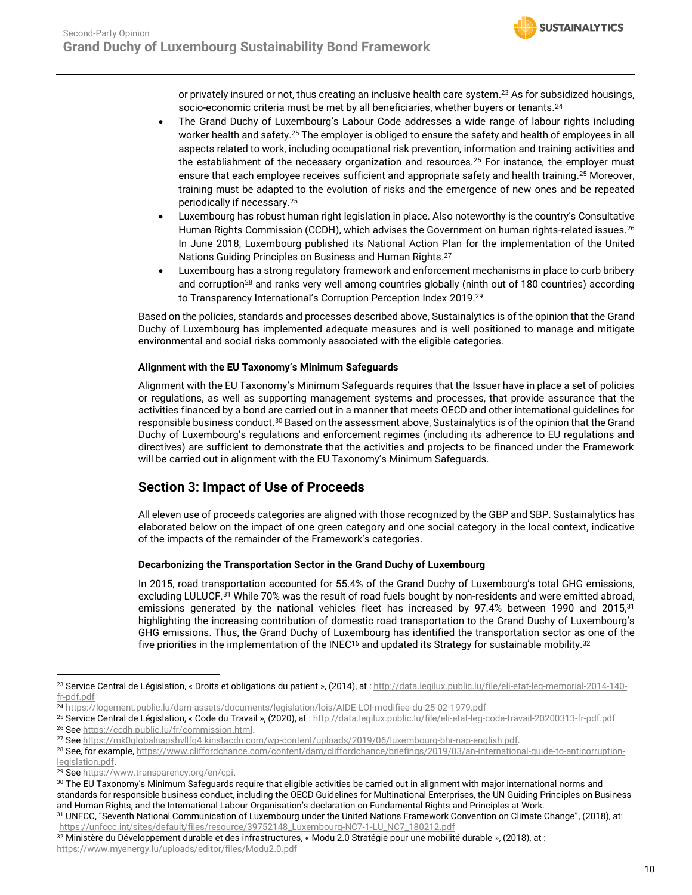<span id="page-9-0"></span>or privately insured or not, thus creating an inclusive health care system. <sup>23</sup> As for subsidized housings, socio-economic criteria must be met by all beneficiaries, whether buyers or tenants.<sup>24</sup>

- The Grand Duchy of Luxembourg's Labour Code addresses a wide range of labour rights including worker health and safety. <sup>25</sup> The employer is obliged to ensure the safety and health of employees in all aspects related to work, including occupational risk prevention, information and training activities and the establishment of the necessary organization and resources.<sup>[25](#page-9-0)</sup> For instance, the employer must ensure that each employee receives sufficient and appropriate safety and health training. [25](#page-9-0) Moreover, training must be adapted to the evolution of risks and the emergence of new ones and be repeated periodically if necessary.[25](#page-9-0)
- Luxembourg has robust human right legislation in place. Also noteworthy is the country's Consultative Human Rights Commission (CCDH), which advises the Government on human rights-related issues. 26 In June 2018, Luxembourg published its National Action Plan for the implementation of the United Nations Guiding Principles on Business and Human Rights.<sup>27</sup>
- Luxembourg has a strong regulatory framework and enforcement mechanisms in place to curb bribery and corruption<sup>28</sup> and ranks very well among countries globally (ninth out of 180 countries) according to Transparency International's Corruption Perception Index 2019.<sup>29</sup>

Based on the policies, standards and processes described above, Sustainalytics is of the opinion that the Grand Duchy of Luxembourg has implemented adequate measures and is well positioned to manage and mitigate environmental and social risks commonly associated with the eligible categories.

#### **Alignment with the EU Taxonomy's Minimum Safeguards**

Alignment with the EU Taxonomy's Minimum Safeguards requires that the Issuer have in place a set of policies or regulations, as well as supporting management systems and processes, that provide assurance that the activities financed by a bond are carried out in a manner that meets OECD and other international guidelines for responsible business conduct.<sup>30</sup> Based on the assessment above, Sustainalytics is of the opinion that the Grand Duchy of Luxembourg's regulations and enforcement regimes (including its adherence to EU regulations and directives) are sufficient to demonstrate that the activities and projects to be financed under the Framework will be carried out in alignment with the EU Taxonomy's Minimum Safeguards.

# **Section 3: Impact of Use of Proceeds**

All eleven use of proceeds categories are aligned with those recognized by the GBP and SBP. Sustainalytics has elaborated below on the impact of one green category and one social category in the local context, indicative of the impacts of the remainder of the Framework's categories.

#### **Decarbonizing the Transportation Sector in the Grand Duchy of Luxembourg**

<span id="page-9-2"></span><span id="page-9-1"></span>In 2015, road transportation accounted for 55.4% of the Grand Duchy of Luxembourg's total GHG emissions, excluding LULUCF.<sup>31</sup> While 70% was the result of road fuels bought by non-residents and were emitted abroad, emissions generated by the national vehicles fleet has increased by 97.4% between 1990 and 2015,<sup>[31](#page-9-1)</sup> highlighting the increasing contribution of domestic road transportation to the Grand Duchy of Luxembourg's GHG emissions. Thus, the Grand Duchy of Luxembourg has identified the transportation sector as one of the five priorities in the implementation of the INEC<sup>[16](#page-8-2)</sup> and updated its Strategy for sustainable mobility.<sup>32</sup>

<sup>&</sup>lt;sup>23</sup> Service Central de Législation, « Droits et obligations du patient », (2014), at [: http://data.legilux.public.lu/file/eli-etat-leg-memorial-2014-140](http://data.legilux.public.lu/file/eli-etat-leg-memorial-2014-140-fr-pdf.pdf) [fr-pdf.pdf](http://data.legilux.public.lu/file/eli-etat-leg-memorial-2014-140-fr-pdf.pdf)

<sup>24</sup> <https://logement.public.lu/dam-assets/documents/legislation/lois/AIDE-LOI-modifiee-du-25-02-1979.pdf>

<sup>25</sup> Service Central de Législation, « Code du Travail », (2020), at [: http://data.legilux.public.lu/file/eli-etat-leg-code-travail-20200313-fr-pdf.pdf](http://data.legilux.public.lu/file/eli-etat-leg-code-travail-20200313-fr-pdf.pdf) <sup>26</sup> Se[e https://ccdh.public.lu/fr/commission.html.](https://ccdh.public.lu/fr/commission.html)

<sup>27</sup> Se[e https://mk0globalnapshvllfq4.kinstacdn.com/wp-content/uploads/2019/06/luxembourg-bhr-nap-english.pdf.](https://mk0globalnapshvllfq4.kinstacdn.com/wp-content/uploads/2019/06/luxembourg-bhr-nap-english.pdf)

<sup>28</sup> See, for example, [https://www.cliffordchance.com/content/dam/cliffordchance/briefings/2019/03/an-international-guide-to-anticorruption](https://www.cliffordchance.com/content/dam/cliffordchance/briefings/2019/03/an-international-guide-to-anticorruption-legislation.pdf)[legislation.pdf.](https://www.cliffordchance.com/content/dam/cliffordchance/briefings/2019/03/an-international-guide-to-anticorruption-legislation.pdf)

<sup>29</sup> Se[e https://www.transparency.org/en/cpi.](https://www.transparency.org/en/cpi)

<sup>30</sup> The EU Taxonomy's Minimum Safeguards require that eligible activities be carried out in alignment with major international norms and standards for responsible business conduct, including the OECD Guidelines for Multinational Enterprises, the UN Guiding Principles on Business and Human Rights, and the International Labour Organisation's declaration on Fundamental Rights and Principles at Work.

<sup>31</sup> UNFCC, "Seventh National Communication of Luxembourg under the United Nations Framework Convention on Climate Change", (2018), at: [https://unfccc.int/sites/default/files/resource/39752148\\_Luxembourg-NC7-1-LU\\_NC7\\_180212.pdf](https://unfccc.int/sites/default/files/resource/39752148_Luxembourg-NC7-1-LU_NC7_180212.pdf)

<sup>32</sup> Ministère du Développement durable et des infrastructures, « Modu 2.0 Stratégie pour une mobilité durable », (2018), at : <https://www.myenergy.lu/uploads/editor/files/Modu2.0.pdf>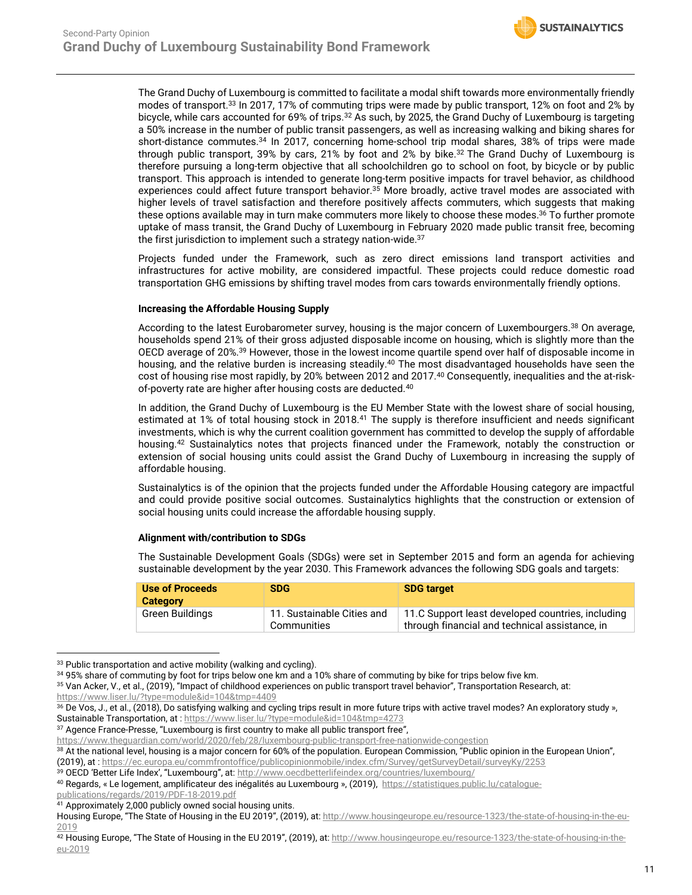The Grand Duchy of Luxembourg is committed to facilitate a modal shift towards more environmentally friendly modes of transport.<sup>33</sup> In 2017, 17% of commuting trips were made by public transport, 12% on foot and 2% by bicycle, while cars accounted for 69% of trips.[32](#page-9-2) As such, by 2025, the Grand Duchy of Luxembourg is targeting a 50% increase in the number of public transit passengers, as well as increasing walking and biking shares for short-distance commutes.<sup>34</sup> In 2017, concerning home-school trip modal shares, 38% of trips were made through public transport, 39% by cars, 21% by foot and 2% by bike.[32](#page-9-2) The Grand Duchy of Luxembourg is therefore pursuing a long-term objective that all schoolchildren go to school on foot, by bicycle or by public transport. This approach is intended to generate long-term positive impacts for travel behavior, as childhood experiences could affect future transport behavior.<sup>35</sup> More broadly, active travel modes are associated with higher levels of travel satisfaction and therefore positively affects commuters, which suggests that making these options available may in turn make commuters more likely to choose these modes. <sup>36</sup> To further promote uptake of mass transit, the Grand Duchy of Luxembourg in February 2020 made public transit free, becoming the first jurisdiction to implement such a strategy nation-wide.<sup>37</sup>

Projects funded under the Framework, such as zero direct emissions land transport activities and infrastructures for active mobility, are considered impactful. These projects could reduce domestic road transportation GHG emissions by shifting travel modes from cars towards environmentally friendly options.

#### **Increasing the Affordable Housing Supply**

<span id="page-10-1"></span><span id="page-10-0"></span>According to the latest Eurobarometer survey, housing is the major concern of Luxembourgers.<sup>38</sup> On average, households spend 21% of their gross adjusted disposable income on housing, which is slightly more than the OECD average of 20%.<sup>39</sup> However, those in the lowest income quartile spend over half of disposable income in housing, and the relative burden is increasing steadily.<sup>40</sup> The most disadvantaged households have seen the cost of housing rise most rapidly, by 20% between 2012 and 2017.[40](#page-10-0) Consequently, inequalities and the at-risk-of-poverty rate are higher after housing costs are deducted.<sup>[40](#page-10-1)</sup>

In addition, the Grand Duchy of Luxembourg is the EU Member State with the lowest share of social housing, estimated at 1% of total housing stock in 2018.<sup>41</sup> The supply is therefore insufficient and needs significant investments, which is why the current coalition government has committed to develop the supply of affordable housing.<sup>42</sup> Sustainalytics notes that projects financed under the Framework, notably the construction or extension of social housing units could assist the Grand Duchy of Luxembourg in increasing the supply of affordable housing.

Sustainalytics is of the opinion that the projects funded under the Affordable Housing category are impactful and could provide positive social outcomes. Sustainalytics highlights that the construction or extension of social housing units could increase the affordable housing supply.

#### **Alignment with/contribution to SDGs**

The Sustainable Development Goals (SDGs) were set in September 2015 and form an agenda for achieving sustainable development by the year 2030. This Framework advances the following SDG goals and targets:

| <b>Use of Proceeds</b><br><b>Category</b> | <b>SDG</b>                                | <b>SDG target</b>                                                                                   |
|-------------------------------------------|-------------------------------------------|-----------------------------------------------------------------------------------------------------|
| Green Buildings                           | 11. Sustainable Cities and<br>Communities | 11.C Support least developed countries, including<br>through financial and technical assistance, in |

<sup>&</sup>lt;sup>33</sup> Public transportation and active mobility (walking and cycling).

<sup>39</sup> OECD 'Better Life Index', "Luxembourg", at: <http://www.oecdbetterlifeindex.org/countries/luxembourg/>

[publications/regards/2019/PDF-18-2019.pdf](https://statistiques.public.lu/catalogue-publications/regards/2019/PDF-18-2019.pdf)

<sup>34 95%</sup> share of commuting by foot for trips below one km and a 10% share of commuting by bike for trips below five km.

<sup>35</sup> Van Acker, V., et al., (2019), "Impact of childhood experiences on public transport travel behavior", Transportation Research, at: <https://www.liser.lu/?type=module&id=104&tmp=4409>

<sup>&</sup>lt;sup>36</sup> De Vos, J., et al., (2018), Do satisfying walking and cycling trips result in more future trips with active travel modes? An exploratory study », Sustainable Transportation, at [: https://www.liser.lu/?type=module&id=104&tmp=4273](https://www.liser.lu/?type=module&id=104&tmp=4273)

<sup>&</sup>lt;sup>37</sup> Agence France-Presse, "Luxembourg is first country to make all public transport free",

https://www.theguardian.com/world/2020/feb/28/luxembourg-public-transport-free-nationwide-congestion

<sup>38</sup> At the national level, housing is a major concern for 60% of the population. European Commission, "Public opinion in the European Union", (2019), at [: https://ec.europa.eu/commfrontoffice/publicopinionmobile/index.cfm/Survey/getSurveyDetail/surveyKy/2253](https://ec.europa.eu/commfrontoffice/publicopinionmobile/index.cfm/Survey/getSurveyDetail/surveyKy/2253)

<sup>40</sup> Regards, « Le logement, amplificateur des inégalités au Luxembourg », (2019), [https://statistiques.public.lu/catalogue-](https://statistiques.public.lu/catalogue-publications/regards/2019/PDF-18-2019.pdf)

<sup>41</sup> Approximately 2,000 publicly owned social housing units.

Housing Europe, "The State of Housing in the EU 2019", (2019), at: [http://www.housingeurope.eu/resource-1323/the-state-of-housing-in-the-eu-](http://www.housingeurope.eu/resource-1323/the-state-of-housing-in-the-eu-2019)[2019](http://www.housingeurope.eu/resource-1323/the-state-of-housing-in-the-eu-2019)

<sup>42</sup> Housing Europe, "The State of Housing in the EU 2019", (2019), at: [http://www.housingeurope.eu/resource-1323/the-state-of-housing-in-the](http://www.housingeurope.eu/resource-1323/the-state-of-housing-in-the-eu-2019)[eu-2019](http://www.housingeurope.eu/resource-1323/the-state-of-housing-in-the-eu-2019)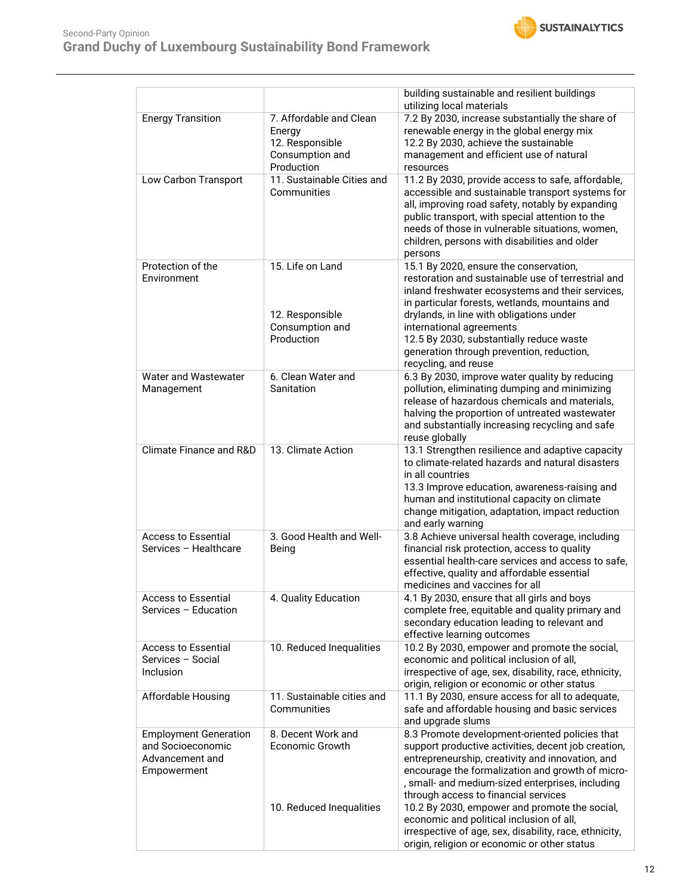

|                                                                                     |                                                                                       | building sustainable and resilient buildings<br>utilizing local materials                                                                                                                                                                                                                                                                                                                   |
|-------------------------------------------------------------------------------------|---------------------------------------------------------------------------------------|---------------------------------------------------------------------------------------------------------------------------------------------------------------------------------------------------------------------------------------------------------------------------------------------------------------------------------------------------------------------------------------------|
| <b>Energy Transition</b>                                                            | 7. Affordable and Clean<br>Energy<br>12. Responsible<br>Consumption and<br>Production | 7.2 By 2030, increase substantially the share of<br>renewable energy in the global energy mix<br>12.2 By 2030, achieve the sustainable<br>management and efficient use of natural<br>resources                                                                                                                                                                                              |
| Low Carbon Transport                                                                | 11. Sustainable Cities and<br>Communities                                             | 11.2 By 2030, provide access to safe, affordable,<br>accessible and sustainable transport systems for<br>all, improving road safety, notably by expanding<br>public transport, with special attention to the<br>needs of those in vulnerable situations, women,<br>children, persons with disabilities and older<br>persons                                                                 |
| Protection of the<br>Environment                                                    | 15. Life on Land<br>12. Responsible<br>Consumption and<br>Production                  | 15.1 By 2020, ensure the conservation,<br>restoration and sustainable use of terrestrial and<br>inland freshwater ecosystems and their services,<br>in particular forests, wetlands, mountains and<br>drylands, in line with obligations under<br>international agreements<br>12.5 By 2030, substantially reduce waste<br>generation through prevention, reduction,<br>recycling, and reuse |
| Water and Wastewater<br>Management                                                  | 6. Clean Water and<br>Sanitation                                                      | 6.3 By 2030, improve water quality by reducing<br>pollution, eliminating dumping and minimizing<br>release of hazardous chemicals and materials,<br>halving the proportion of untreated wastewater<br>and substantially increasing recycling and safe<br>reuse globally                                                                                                                     |
| <b>Climate Finance and R&amp;D</b>                                                  | 13. Climate Action                                                                    | 13.1 Strengthen resilience and adaptive capacity<br>to climate-related hazards and natural disasters<br>in all countries<br>13.3 Improve education, awareness-raising and<br>human and institutional capacity on climate<br>change mitigation, adaptation, impact reduction<br>and early warning                                                                                            |
| <b>Access to Essential</b><br>Services - Healthcare                                 | 3. Good Health and Well-<br>Being                                                     | 3.8 Achieve universal health coverage, including<br>financial risk protection, access to quality<br>essential health-care services and access to safe,<br>effective, quality and affordable essential<br>medicines and vaccines for all                                                                                                                                                     |
| <b>Access to Essential</b><br>Services - Education                                  | 4. Quality Education                                                                  | 4.1 By 2030, ensure that all girls and boys<br>complete free, equitable and quality primary and<br>secondary education leading to relevant and<br>effective learning outcomes                                                                                                                                                                                                               |
| <b>Access to Essential</b><br>Services - Social<br>Inclusion                        | 10. Reduced Inequalities                                                              | 10.2 By 2030, empower and promote the social,<br>economic and political inclusion of all,<br>irrespective of age, sex, disability, race, ethnicity,<br>origin, religion or economic or other status                                                                                                                                                                                         |
| Affordable Housing                                                                  | 11. Sustainable cities and<br>Communities                                             | 11.1 By 2030, ensure access for all to adequate,<br>safe and affordable housing and basic services<br>and upgrade slums                                                                                                                                                                                                                                                                     |
| <b>Employment Generation</b><br>and Socioeconomic<br>Advancement and<br>Empowerment | 8. Decent Work and<br>Economic Growth                                                 | 8.3 Promote development-oriented policies that<br>support productive activities, decent job creation,<br>entrepreneurship, creativity and innovation, and<br>encourage the formalization and growth of micro-<br>, small- and medium-sized enterprises, including<br>through access to financial services                                                                                   |
|                                                                                     | 10. Reduced Inequalities                                                              | 10.2 By 2030, empower and promote the social,<br>economic and political inclusion of all,<br>irrespective of age, sex, disability, race, ethnicity,<br>origin, religion or economic or other status                                                                                                                                                                                         |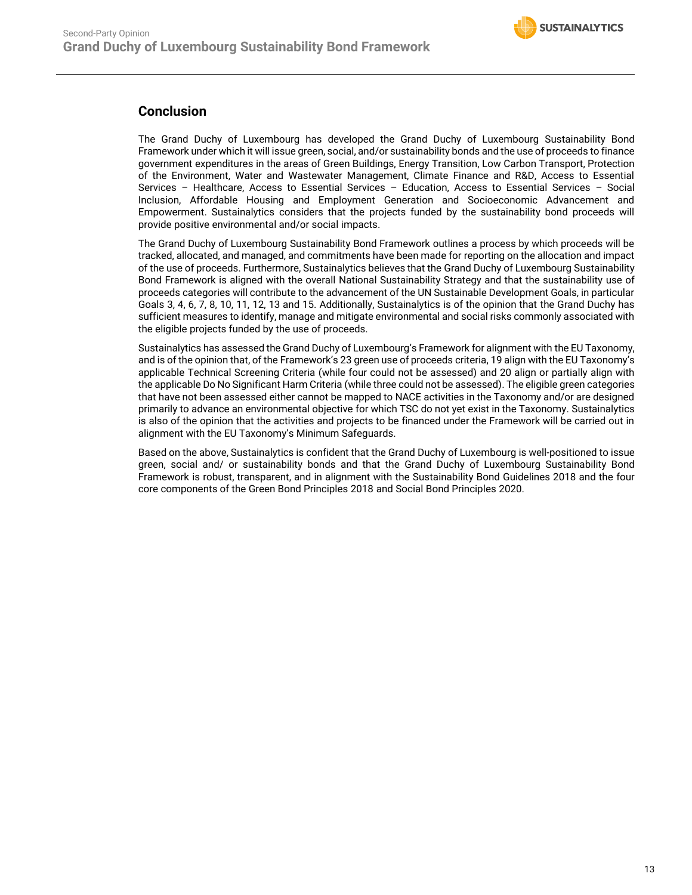

# **Conclusion**

The Grand Duchy of Luxembourg has developed the Grand Duchy of Luxembourg Sustainability Bond Framework under which it will issue green, social, and/or sustainability bonds and the use of proceeds to finance government expenditures in the areas of Green Buildings, Energy Transition, Low Carbon Transport, Protection of the Environment, Water and Wastewater Management, Climate Finance and R&D, Access to Essential Services – Healthcare, Access to Essential Services – Education, Access to Essential Services – Social Inclusion, Affordable Housing and Employment Generation and Socioeconomic Advancement and Empowerment. Sustainalytics considers that the projects funded by the sustainability bond proceeds will provide positive environmental and/or social impacts.

The Grand Duchy of Luxembourg Sustainability Bond Framework outlines a process by which proceeds will be tracked, allocated, and managed, and commitments have been made for reporting on the allocation and impact of the use of proceeds. Furthermore, Sustainalytics believes that the Grand Duchy of Luxembourg Sustainability Bond Framework is aligned with the overall National Sustainability Strategy and that the sustainability use of proceeds categories will contribute to the advancement of the UN Sustainable Development Goals, in particular Goals 3, 4, 6, 7, 8, 10, 11, 12, 13 and 15. Additionally, Sustainalytics is of the opinion that the Grand Duchy has sufficient measures to identify, manage and mitigate environmental and social risks commonly associated with the eligible projects funded by the use of proceeds.

Sustainalytics has assessed the Grand Duchy of Luxembourg's Framework for alignment with the EU Taxonomy, and is of the opinion that, of the Framework's 23 green use of proceeds criteria, 19 align with the EU Taxonomy's applicable Technical Screening Criteria (while four could not be assessed) and 20 align or partially align with the applicable Do No Significant Harm Criteria (while three could not be assessed). The eligible green categories that have not been assessed either cannot be mapped to NACE activities in the Taxonomy and/or are designed primarily to advance an environmental objective for which TSC do not yet exist in the Taxonomy. Sustainalytics is also of the opinion that the activities and projects to be financed under the Framework will be carried out in alignment with the EU Taxonomy's Minimum Safeguards.

Based on the above, Sustainalytics is confident that the Grand Duchy of Luxembourg is well-positioned to issue green, social and/ or sustainability bonds and that the Grand Duchy of Luxembourg Sustainability Bond Framework is robust, transparent, and in alignment with the Sustainability Bond Guidelines 2018 and the four core components of the Green Bond Principles 2018 and Social Bond Principles 2020.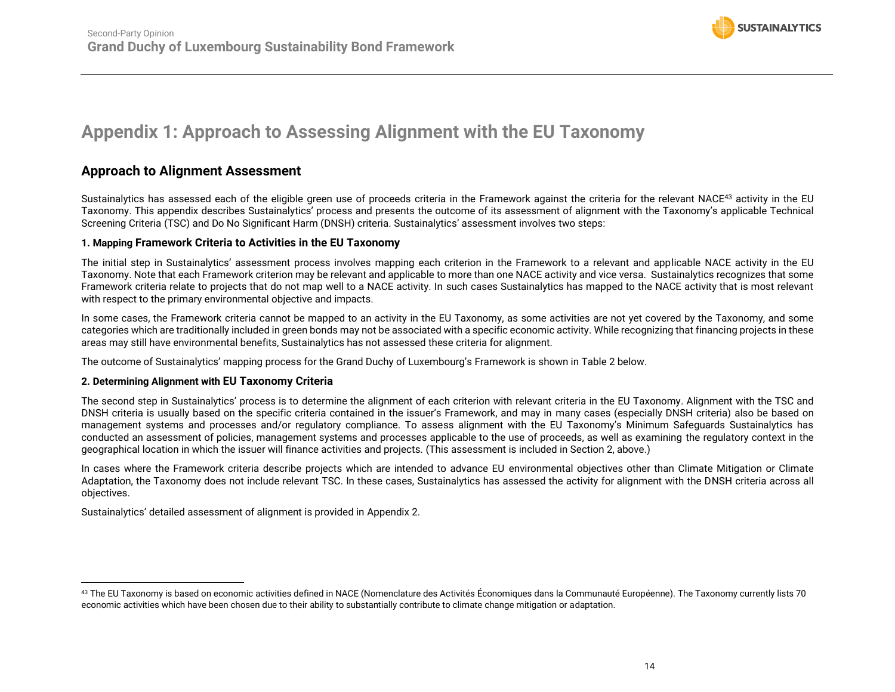

# **Appendix 1: Approach to Assessing Alignment with the EU Taxonomy**

# **Approach to Alignment Assessment**

Sustainalytics has assessed each of the eligible green use of proceeds criteria in the Framework against the criteria for the relevant NACE<sup>43</sup> activity in the EU Taxonomy. This appendix describes Sustainalytics' process and presents the outcome of its assessment of alignment with the Taxonomy's applicable Technical Screening Criteria (TSC) and Do No Significant Harm (DNSH) criteria. Sustainalytics' assessment involves two steps:

#### **1. Mapping Framework Criteria to Activities in the EU Taxonomy**

The initial step in Sustainalytics' assessment process involves mapping each criterion in the Framework to a relevant and applicable NACE activity in the EU Taxonomy. Note that each Framework criterion may be relevant and applicable to more than one NACE activity and vice versa. Sustainalytics recognizes that some Framework criteria relate to projects that do not map well to a NACE activity. In such cases Sustainalytics has mapped to the NACE activity that is most relevant with respect to the primary environmental objective and impacts.

<span id="page-13-0"></span>In some cases, the Framework criteria cannot be mapped to an activity in the EU Taxonomy, as some activities are not yet covered by the Taxonomy, and some categories which are traditionally included in green bonds may not be associated with a specific economic activity. While recognizing that financing projects in these areas may still have environmental benefits, Sustainalytics has not assessed these criteria for alignment.

The outcome of Sustainalytics' mapping process for the Grand Duchy of Luxembourg's Framework is shown in [Table 2](#page-14-0) below.

#### **2. Determining Alignment with EU Taxonomy Criteria**

The second step in Sustainalytics' process is to determine the alignment of each criterion with relevant criteria in the EU Taxonomy. Alignment with the TSC and DNSH criteria is usually based on the specific criteria contained in the issuer's Framework, and may in many cases (especially DNSH criteria) also be based on management systems and processes and/or regulatory compliance. To assess alignment with the EU Taxonomy's Minimum Safeguards Sustainalytics has conducted an assessment of policies, management systems and processes applicable to the use of proceeds, as well as examining the regulatory context in the geographical location in which the issuer will finance activities and projects. (This assessment is included in Section 2, above.)

In cases where the Framework criteria describe projects which are intended to advance EU environmental objectives other than Climate Mitigation or Climate Adaptation, the Taxonomy does not include relevant TSC. In these cases, Sustainalytics has assessed the activity for alignment with the DNSH criteria across all objectives.

Sustainalytics' detailed assessment of alignment is provided in Appendix 2.

<sup>&</sup>lt;sup>43</sup> The EU Taxonomy is based on economic activities defined in NACE (Nomenclature des Activités Économiques dans la Communauté Européenne). The Taxonomy currently lists 70 economic activities which have been chosen due to their ability to substantially contribute to climate change mitigation or adaptation.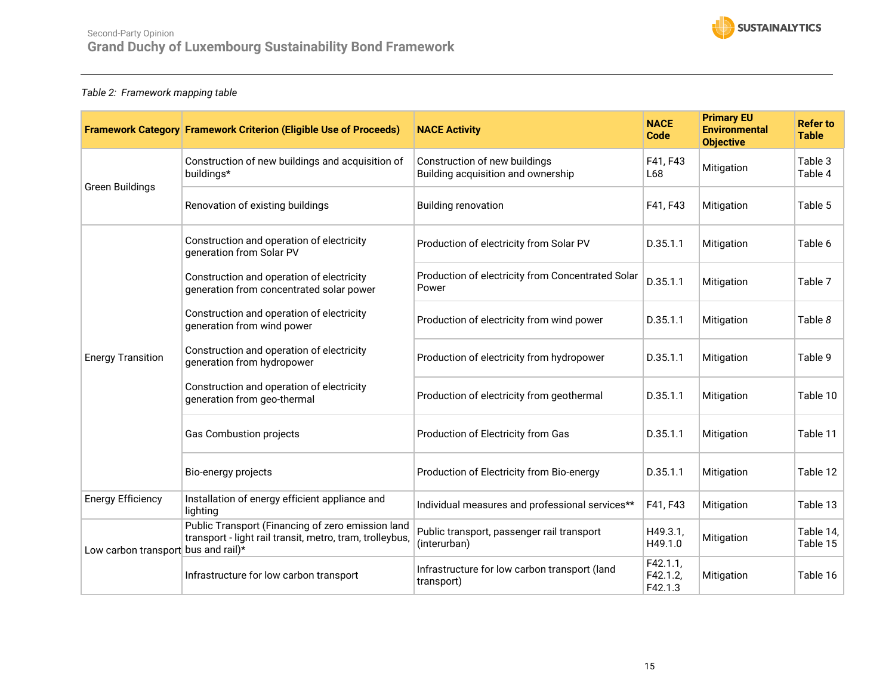

## <span id="page-14-0"></span>*Table 2: Framework mapping table*

|                                     | <b>Framework Category Framework Criterion (Eligible Use of Proceeds)</b>                                      | <b>NACE Activity</b>                                                | <b>NACE</b><br><b>Code</b>      | <b>Primary EU</b><br><b>Environmental</b><br><b>Objective</b> | <b>Refer to</b><br><b>Table</b> |
|-------------------------------------|---------------------------------------------------------------------------------------------------------------|---------------------------------------------------------------------|---------------------------------|---------------------------------------------------------------|---------------------------------|
| <b>Green Buildings</b>              | Construction of new buildings and acquisition of<br>buildings*                                                | Construction of new buildings<br>Building acquisition and ownership | F41, F43<br>L68                 | Mitigation                                                    | Table 3<br>Table 4              |
|                                     | Renovation of existing buildings                                                                              | <b>Building renovation</b>                                          | F41, F43                        | Mitigation                                                    | Table 5                         |
|                                     | Construction and operation of electricity<br>generation from Solar PV                                         | Production of electricity from Solar PV                             | D.35.1.1                        | Mitigation                                                    | Table 6                         |
|                                     | Construction and operation of electricity<br>generation from concentrated solar power                         | Production of electricity from Concentrated Solar<br>Power          | D.35.1.1                        | Mitigation                                                    | Table 7                         |
|                                     | Construction and operation of electricity<br>generation from wind power                                       | Production of electricity from wind power                           | D.35.1.1                        | Mitigation                                                    | Table 8                         |
| <b>Energy Transition</b>            | Construction and operation of electricity<br>generation from hydropower                                       | Production of electricity from hydropower                           | D.35.1.1                        | Mitigation                                                    | Table 9                         |
|                                     | Construction and operation of electricity<br>generation from geo-thermal                                      | Production of electricity from geothermal                           | D.35.1.1                        | Mitigation                                                    | Table 10                        |
|                                     | <b>Gas Combustion projects</b>                                                                                | Production of Electricity from Gas                                  | D.35.1.1                        | Mitigation                                                    | Table 11                        |
|                                     | Bio-energy projects                                                                                           | Production of Electricity from Bio-energy                           | D.35.1.1                        | Mitigation                                                    | Table 12                        |
| <b>Energy Efficiency</b>            | Installation of energy efficient appliance and<br>lighting                                                    | Individual measures and professional services**                     | F41, F43                        | Mitigation                                                    | Table 13                        |
| Low carbon transport bus and rail)* | Public Transport (Financing of zero emission land<br>transport - light rail transit, metro, tram, trolleybus, | Public transport, passenger rail transport<br>(interurban)          | H49.3.1,<br>H49.1.0             | Mitigation                                                    | Table 14,<br>Table 15           |
|                                     | Infrastructure for low carbon transport                                                                       | Infrastructure for low carbon transport (land<br>transport)         | F42.1.1,<br>F42.1.2,<br>F42.1.3 | Mitigation                                                    | Table 16                        |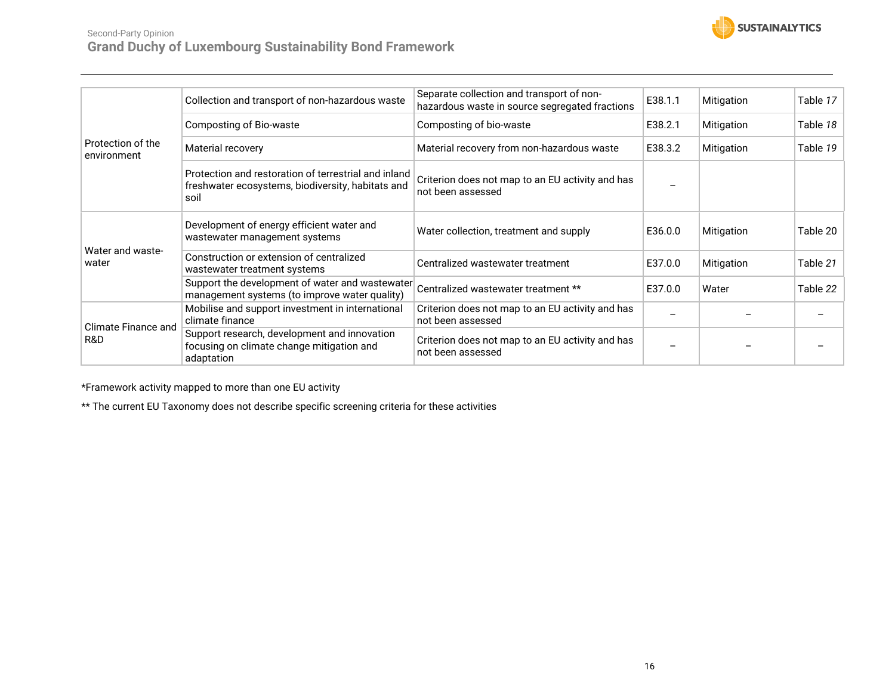

# Second-Party Opinion **Grand Duchy of Luxembourg Sustainability Bond Framework**

| Protection of the<br>environment  | Collection and transport of non-hazardous waste                                                                   | Separate collection and transport of non-<br>hazardous waste in source segregated fractions | E38.1.1 | Mitigation | Table 17 |
|-----------------------------------|-------------------------------------------------------------------------------------------------------------------|---------------------------------------------------------------------------------------------|---------|------------|----------|
|                                   | Composting of Bio-waste                                                                                           | Composting of bio-waste                                                                     | E38.2.1 | Mitigation | Table 18 |
|                                   | Material recovery                                                                                                 | Material recovery from non-hazardous waste                                                  | E38.3.2 | Mitigation | Table 19 |
|                                   | Protection and restoration of terrestrial and inland<br>freshwater ecosystems, biodiversity, habitats and<br>soil | Criterion does not map to an EU activity and has<br>not been assessed                       |         |            |          |
|                                   | Development of energy efficient water and<br>wastewater management systems                                        | Water collection, treatment and supply                                                      | E36.0.0 | Mitigation | Table 20 |
| Water and waste-<br>water         | Construction or extension of centralized<br>wastewater treatment systems                                          | Centralized wastewater treatment                                                            | E37.0.0 | Mitigation | Table 21 |
|                                   | Support the development of water and wastewater<br>management systems (to improve water quality)                  | Centralized wastewater treatment **                                                         | E37.0.0 | Water      | Table 22 |
| <b>Climate Finance and</b><br>R&D | Mobilise and support investment in international<br>climate finance                                               | Criterion does not map to an EU activity and has<br>not been assessed                       |         |            |          |
|                                   | Support research, development and innovation<br>focusing on climate change mitigation and<br>adaptation           | Criterion does not map to an EU activity and has<br>not been assessed                       |         |            |          |

\*Framework activity mapped to more than one EU activity

\*\* The current EU Taxonomy does not describe specific screening criteria for these activities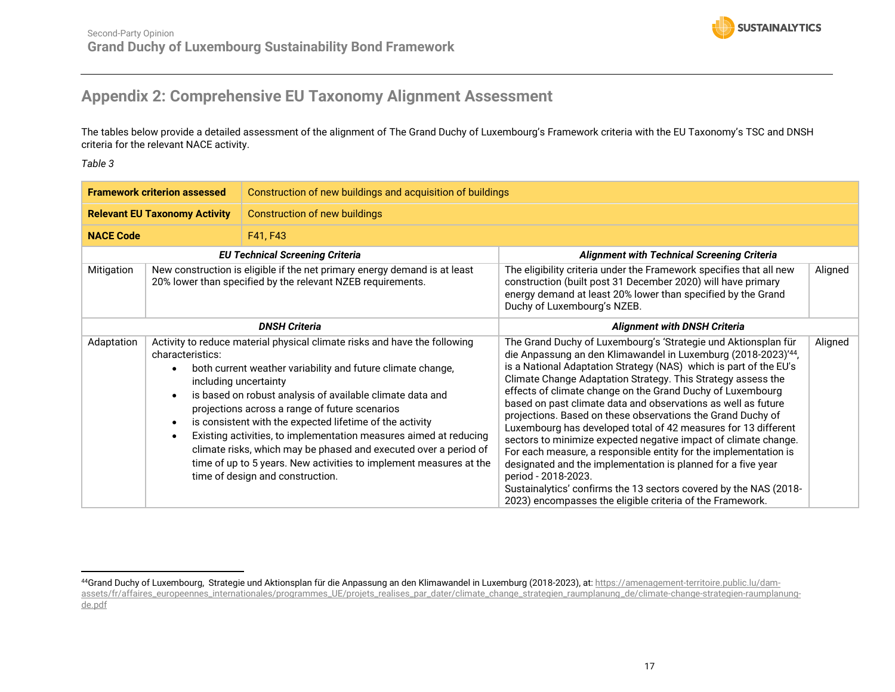![](_page_16_Picture_1.jpeg)

# **Appendix 2: Comprehensive EU Taxonomy Alignment Assessment**

The tables below provide a detailed assessment of the alignment of The Grand Duchy of Luxembourg's Framework criteria with the EU Taxonomy's TSC and DNSH criteria for the relevant NACE activity.

<span id="page-16-1"></span><span id="page-16-0"></span>

|                  | <b>Framework criterion assessed</b>  | Construction of new buildings and acquisition of buildings                                                                                                                                                                                                                                                                                                                                                                                                                                                                                                                                      |                                                                                                                                                                                                                                                                                                                                                                                                                                                                                                                                                                                                                                                                                                                                                                                                                                                                                                      |         |
|------------------|--------------------------------------|-------------------------------------------------------------------------------------------------------------------------------------------------------------------------------------------------------------------------------------------------------------------------------------------------------------------------------------------------------------------------------------------------------------------------------------------------------------------------------------------------------------------------------------------------------------------------------------------------|------------------------------------------------------------------------------------------------------------------------------------------------------------------------------------------------------------------------------------------------------------------------------------------------------------------------------------------------------------------------------------------------------------------------------------------------------------------------------------------------------------------------------------------------------------------------------------------------------------------------------------------------------------------------------------------------------------------------------------------------------------------------------------------------------------------------------------------------------------------------------------------------------|---------|
|                  | <b>Relevant EU Taxonomy Activity</b> | <b>Construction of new buildings</b>                                                                                                                                                                                                                                                                                                                                                                                                                                                                                                                                                            |                                                                                                                                                                                                                                                                                                                                                                                                                                                                                                                                                                                                                                                                                                                                                                                                                                                                                                      |         |
| <b>NACE Code</b> |                                      | F41, F43                                                                                                                                                                                                                                                                                                                                                                                                                                                                                                                                                                                        |                                                                                                                                                                                                                                                                                                                                                                                                                                                                                                                                                                                                                                                                                                                                                                                                                                                                                                      |         |
|                  |                                      | <b>EU Technical Screening Criteria</b>                                                                                                                                                                                                                                                                                                                                                                                                                                                                                                                                                          | <b>Alignment with Technical Screening Criteria</b>                                                                                                                                                                                                                                                                                                                                                                                                                                                                                                                                                                                                                                                                                                                                                                                                                                                   |         |
| Mitigation       |                                      | New construction is eligible if the net primary energy demand is at least<br>20% lower than specified by the relevant NZEB requirements.                                                                                                                                                                                                                                                                                                                                                                                                                                                        | The eligibility criteria under the Framework specifies that all new<br>construction (built post 31 December 2020) will have primary<br>energy demand at least 20% lower than specified by the Grand<br>Duchy of Luxembourg's NZEB.                                                                                                                                                                                                                                                                                                                                                                                                                                                                                                                                                                                                                                                                   | Aligned |
|                  |                                      | <b>DNSH Criteria</b>                                                                                                                                                                                                                                                                                                                                                                                                                                                                                                                                                                            | <b>Alignment with DNSH Criteria</b>                                                                                                                                                                                                                                                                                                                                                                                                                                                                                                                                                                                                                                                                                                                                                                                                                                                                  |         |
| Adaptation       | characteristics:                     | Activity to reduce material physical climate risks and have the following<br>both current weather variability and future climate change,<br>including uncertainty<br>is based on robust analysis of available climate data and<br>projections across a range of future scenarios<br>is consistent with the expected lifetime of the activity<br>Existing activities, to implementation measures aimed at reducing<br>climate risks, which may be phased and executed over a period of<br>time of up to 5 years. New activities to implement measures at the<br>time of design and construction. | The Grand Duchy of Luxembourg's 'Strategie und Aktionsplan für<br>die Anpassung an den Klimawandel in Luxemburg (2018-2023)'44,<br>is a National Adaptation Strategy (NAS) which is part of the EU's<br>Climate Change Adaptation Strategy. This Strategy assess the<br>effects of climate change on the Grand Duchy of Luxembourg<br>based on past climate data and observations as well as future<br>projections. Based on these observations the Grand Duchy of<br>Luxembourg has developed total of 42 measures for 13 different<br>sectors to minimize expected negative impact of climate change.<br>For each measure, a responsible entity for the implementation is<br>designated and the implementation is planned for a five year<br>period - 2018-2023.<br>Sustainalytics' confirms the 13 sectors covered by the NAS (2018-<br>2023) encompasses the eligible criteria of the Framework. | Aligned |

<sup>44</sup>Grand Duchy of Luxembourg, Strategie und Aktionsplan für die Anpassung an den Klimawandel in Luxemburg (2018-2023), at[: https://amenagement-territoire.public.lu/dam](https://amenagement-territoire.public.lu/dam-assets/fr/affaires_europeennes_internationales/programmes_UE/projets_realises_par_dater/climate_change_strategien_raumplanung_de/climate-change-strategien-raumplanung-de.pdf)[assets/fr/affaires\\_europeennes\\_internationales/programmes\\_UE/projets\\_realises\\_par\\_dater/climate\\_change\\_strategien\\_raumplanung\\_de/climate-change-strategien-raumplanung](https://amenagement-territoire.public.lu/dam-assets/fr/affaires_europeennes_internationales/programmes_UE/projets_realises_par_dater/climate_change_strategien_raumplanung_de/climate-change-strategien-raumplanung-de.pdf)[de.pdf](https://amenagement-territoire.public.lu/dam-assets/fr/affaires_europeennes_internationales/programmes_UE/projets_realises_par_dater/climate_change_strategien_raumplanung_de/climate-change-strategien-raumplanung-de.pdf)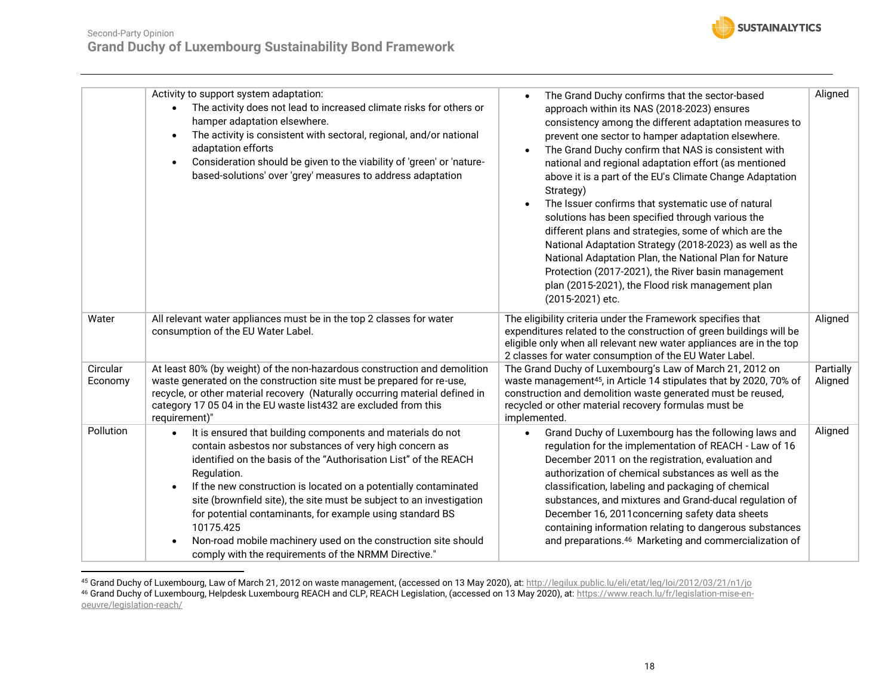![](_page_17_Picture_1.jpeg)

|                     | Activity to support system adaptation:<br>The activity does not lead to increased climate risks for others or<br>hamper adaptation elsewhere.<br>The activity is consistent with sectoral, regional, and/or national<br>$\bullet$<br>adaptation efforts<br>Consideration should be given to the viability of 'green' or 'nature-<br>$\bullet$<br>based-solutions' over 'grey' measures to address adaptation                                                                                                                                                                        | The Grand Duchy confirms that the sector-based<br>approach within its NAS (2018-2023) ensures<br>consistency among the different adaptation measures to<br>prevent one sector to hamper adaptation elsewhere.<br>The Grand Duchy confirm that NAS is consistent with<br>national and regional adaptation effort (as mentioned<br>above it is a part of the EU's Climate Change Adaptation<br>Strategy)<br>The Issuer confirms that systematic use of natural<br>solutions has been specified through various the<br>different plans and strategies, some of which are the<br>National Adaptation Strategy (2018-2023) as well as the<br>National Adaptation Plan, the National Plan for Nature<br>Protection (2017-2021), the River basin management<br>plan (2015-2021), the Flood risk management plan<br>(2015-2021) etc. | Aligned              |
|---------------------|-------------------------------------------------------------------------------------------------------------------------------------------------------------------------------------------------------------------------------------------------------------------------------------------------------------------------------------------------------------------------------------------------------------------------------------------------------------------------------------------------------------------------------------------------------------------------------------|------------------------------------------------------------------------------------------------------------------------------------------------------------------------------------------------------------------------------------------------------------------------------------------------------------------------------------------------------------------------------------------------------------------------------------------------------------------------------------------------------------------------------------------------------------------------------------------------------------------------------------------------------------------------------------------------------------------------------------------------------------------------------------------------------------------------------|----------------------|
| Water               | All relevant water appliances must be in the top 2 classes for water<br>consumption of the EU Water Label.                                                                                                                                                                                                                                                                                                                                                                                                                                                                          | The eligibility criteria under the Framework specifies that<br>expenditures related to the construction of green buildings will be<br>eligible only when all relevant new water appliances are in the top<br>2 classes for water consumption of the EU Water Label.                                                                                                                                                                                                                                                                                                                                                                                                                                                                                                                                                          | Aligned              |
| Circular<br>Economy | At least 80% (by weight) of the non-hazardous construction and demolition<br>waste generated on the construction site must be prepared for re-use,<br>recycle, or other material recovery (Naturally occurring material defined in<br>category 17 05 04 in the EU waste list432 are excluded from this<br>requirement)"                                                                                                                                                                                                                                                             | The Grand Duchy of Luxembourg's Law of March 21, 2012 on<br>waste management <sup>45</sup> , in Article 14 stipulates that by 2020, 70% of<br>construction and demolition waste generated must be reused,<br>recycled or other material recovery formulas must be<br>implemented.                                                                                                                                                                                                                                                                                                                                                                                                                                                                                                                                            | Partially<br>Aligned |
| Pollution           | It is ensured that building components and materials do not<br>$\bullet$<br>contain asbestos nor substances of very high concern as<br>identified on the basis of the "Authorisation List" of the REACH<br>Regulation.<br>If the new construction is located on a potentially contaminated<br>$\bullet$<br>site (brownfield site), the site must be subject to an investigation<br>for potential contaminants, for example using standard BS<br>10175.425<br>Non-road mobile machinery used on the construction site should<br>comply with the requirements of the NRMM Directive." | Grand Duchy of Luxembourg has the following laws and<br>regulation for the implementation of REACH - Law of 16<br>December 2011 on the registration, evaluation and<br>authorization of chemical substances as well as the<br>classification, labeling and packaging of chemical<br>substances, and mixtures and Grand-ducal regulation of<br>December 16, 2011 concerning safety data sheets<br>containing information relating to dangerous substances<br>and preparations. <sup>46</sup> Marketing and commercialization of                                                                                                                                                                                                                                                                                               | Aligned              |

<sup>45</sup> Grand Duchy of Luxembourg, Law of March 21, 2012 on waste management, (accessed on 13 May 2020), at[: http://legilux.public.lu/eli/etat/leg/loi/2012/03/21/n1/jo](http://legilux.public.lu/eli/etat/leg/loi/2012/03/21/n1/jo)

<sup>46</sup> Grand Duchy of Luxembourg, Helpdesk Luxembourg REACH and CLP, REACH Legislation, (accessed on 13 May 2020), at[: https://www.reach.lu/fr/legislation-mise-en](https://www.reach.lu/fr/legislation-mise-en-oeuvre/legislation-reach/)[oeuvre/legislation-reach/](https://www.reach.lu/fr/legislation-mise-en-oeuvre/legislation-reach/)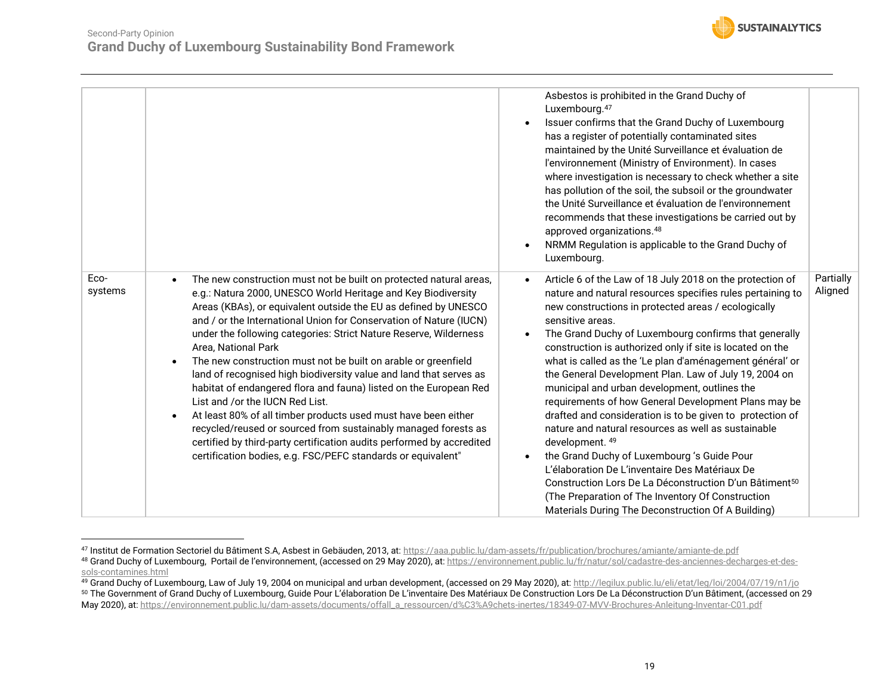![](_page_18_Picture_1.jpeg)

|                 |                                                                                                                                                                                                                                                                                                                                                                                                                                                                                                                                                                                                                                                                                                                                                                                                                                                                                                                                 | Asbestos is prohibited in the Grand Duchy of<br>Luxembourg. <sup>47</sup><br>Issuer confirms that the Grand Duchy of Luxembourg<br>has a register of potentially contaminated sites<br>maintained by the Unité Surveillance et évaluation de<br>l'environnement (Ministry of Environment). In cases<br>where investigation is necessary to check whether a site<br>has pollution of the soil, the subsoil or the groundwater<br>the Unité Surveillance et évaluation de l'environnement<br>recommends that these investigations be carried out by<br>approved organizations. <sup>48</sup><br>NRMM Regulation is applicable to the Grand Duchy of<br>Luxembourg.                                                                                                                                                                                                                                                                                                                |                      |
|-----------------|---------------------------------------------------------------------------------------------------------------------------------------------------------------------------------------------------------------------------------------------------------------------------------------------------------------------------------------------------------------------------------------------------------------------------------------------------------------------------------------------------------------------------------------------------------------------------------------------------------------------------------------------------------------------------------------------------------------------------------------------------------------------------------------------------------------------------------------------------------------------------------------------------------------------------------|---------------------------------------------------------------------------------------------------------------------------------------------------------------------------------------------------------------------------------------------------------------------------------------------------------------------------------------------------------------------------------------------------------------------------------------------------------------------------------------------------------------------------------------------------------------------------------------------------------------------------------------------------------------------------------------------------------------------------------------------------------------------------------------------------------------------------------------------------------------------------------------------------------------------------------------------------------------------------------|----------------------|
| Eco-<br>systems | The new construction must not be built on protected natural areas,<br>$\bullet$<br>e.g.: Natura 2000, UNESCO World Heritage and Key Biodiversity<br>Areas (KBAs), or equivalent outside the EU as defined by UNESCO<br>and / or the International Union for Conservation of Nature (IUCN)<br>under the following categories: Strict Nature Reserve, Wilderness<br>Area, National Park<br>The new construction must not be built on arable or greenfield<br>land of recognised high biodiversity value and land that serves as<br>habitat of endangered flora and fauna) listed on the European Red<br>List and /or the IUCN Red List.<br>At least 80% of all timber products used must have been either<br>$\bullet$<br>recycled/reused or sourced from sustainably managed forests as<br>certified by third-party certification audits performed by accredited<br>certification bodies, e.g. FSC/PEFC standards or equivalent" | Article 6 of the Law of 18 July 2018 on the protection of<br>nature and natural resources specifies rules pertaining to<br>new constructions in protected areas / ecologically<br>sensitive areas.<br>The Grand Duchy of Luxembourg confirms that generally<br>construction is authorized only if site is located on the<br>what is called as the 'Le plan d'aménagement général' or<br>the General Development Plan. Law of July 19, 2004 on<br>municipal and urban development, outlines the<br>requirements of how General Development Plans may be<br>drafted and consideration is to be given to protection of<br>nature and natural resources as well as sustainable<br>development. 49<br>the Grand Duchy of Luxembourg 's Guide Pour<br>L'élaboration De L'inventaire Des Matériaux De<br>Construction Lors De La Déconstruction D'un Bâtiment <sup>50</sup><br>(The Preparation of The Inventory Of Construction<br>Materials During The Deconstruction Of A Building) | Partially<br>Aligned |

<sup>47</sup> Institut de Formation Sectoriel du Bâtiment S.A, Asbest in Gebäuden, 2013, at:<https://aaa.public.lu/dam-assets/fr/publication/brochures/amiante/amiante-de.pdf> 48 Grand Duchy of Luxembourg, Portail de l'environnement, (accessed on 29 May 2020), at[: https://environnement.public.lu/fr/natur/sol/cadastre-des-anciennes-decharges-et-des](https://environnement.public.lu/fr/natur/sol/cadastre-des-anciennes-decharges-et-des-sols-contamines.html)[sols-contamines.html](https://environnement.public.lu/fr/natur/sol/cadastre-des-anciennes-decharges-et-des-sols-contamines.html)

<sup>49</sup> Grand Duchy of Luxembourg, Law of July 19, 2004 on municipal and urban development, (accessed on 29 May 2020), at[: http://legilux.public.lu/eli/etat/leg/loi/2004/07/19/n1/jo](http://legilux.public.lu/eli/etat/leg/loi/2004/07/19/n1/jo) <sup>50</sup> The Government of Grand Duchy of Luxembourg, Guide Pour L'élaboration De L'inventaire Des Matériaux De Construction Lors De La Déconstruction D'un Bâtiment, (accessed on 29

May 2020), at[: https://environnement.public.lu/dam-assets/documents/offall\\_a\\_ressourcen/d%C3%A9chets-inertes/18349-07-MVV-Brochures-Anleitung-Inventar-C01.pdf](https://environnement.public.lu/dam-assets/documents/offall_a_ressourcen/d%C3%A9chets-inertes/18349-07-MVV-Brochures-Anleitung-Inventar-C01.pdf)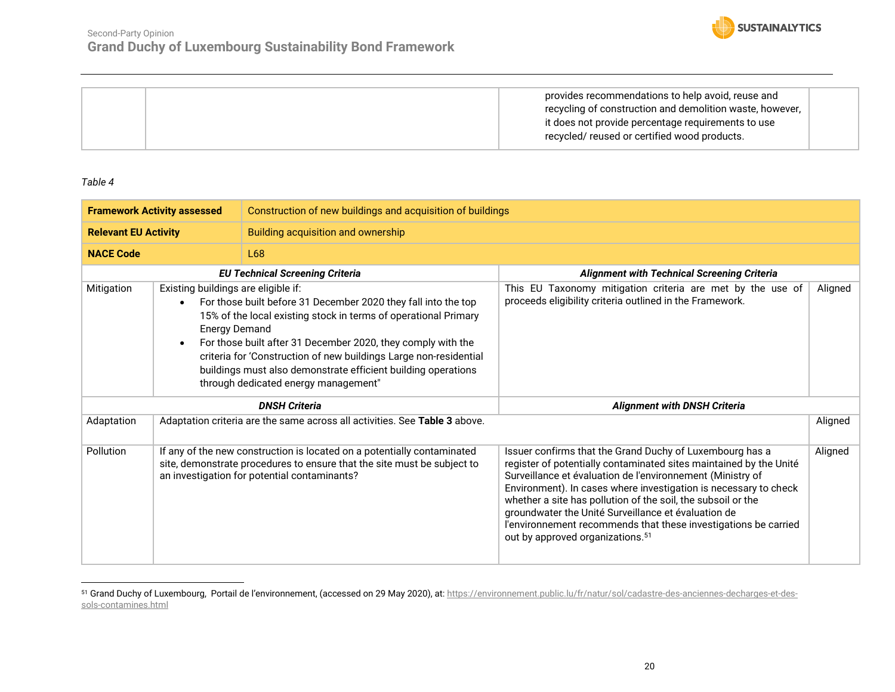![](_page_19_Picture_0.jpeg)

|  | provides recommendations to help avoid, reuse and<br>recycling of construction and demolition waste, however,<br>it does not provide percentage requirements to use<br>recycled/reused or certified wood products. |  |
|--|--------------------------------------------------------------------------------------------------------------------------------------------------------------------------------------------------------------------|--|
|--|--------------------------------------------------------------------------------------------------------------------------------------------------------------------------------------------------------------------|--|

<span id="page-19-0"></span>

|                             | Construction of new buildings and acquisition of buildings<br><b>Framework Activity assessed</b> |                                                                                                                                                                                                                                                                                                                                                                                 |                                                                                                                                                                                                                                                                                                                                                                                                                                                                                                            |         |
|-----------------------------|--------------------------------------------------------------------------------------------------|---------------------------------------------------------------------------------------------------------------------------------------------------------------------------------------------------------------------------------------------------------------------------------------------------------------------------------------------------------------------------------|------------------------------------------------------------------------------------------------------------------------------------------------------------------------------------------------------------------------------------------------------------------------------------------------------------------------------------------------------------------------------------------------------------------------------------------------------------------------------------------------------------|---------|
| <b>Relevant EU Activity</b> |                                                                                                  | Building acquisition and ownership                                                                                                                                                                                                                                                                                                                                              |                                                                                                                                                                                                                                                                                                                                                                                                                                                                                                            |         |
| <b>NACE Code</b>            |                                                                                                  | L68                                                                                                                                                                                                                                                                                                                                                                             |                                                                                                                                                                                                                                                                                                                                                                                                                                                                                                            |         |
|                             |                                                                                                  | <b>EU Technical Screening Criteria</b>                                                                                                                                                                                                                                                                                                                                          | <b>Alignment with Technical Screening Criteria</b>                                                                                                                                                                                                                                                                                                                                                                                                                                                         |         |
| Mitigation                  | Existing buildings are eligible if:<br><b>Energy Demand</b>                                      | For those built before 31 December 2020 they fall into the top<br>15% of the local existing stock in terms of operational Primary<br>For those built after 31 December 2020, they comply with the<br>criteria for 'Construction of new buildings Large non-residential<br>buildings must also demonstrate efficient building operations<br>through dedicated energy management" | This EU Taxonomy mitigation criteria are met by the use of<br>proceeds eligibility criteria outlined in the Framework.                                                                                                                                                                                                                                                                                                                                                                                     | Aligned |
|                             |                                                                                                  | <b>DNSH Criteria</b>                                                                                                                                                                                                                                                                                                                                                            | <b>Alignment with DNSH Criteria</b>                                                                                                                                                                                                                                                                                                                                                                                                                                                                        |         |
| Adaptation                  |                                                                                                  | Adaptation criteria are the same across all activities. See Table 3 above.                                                                                                                                                                                                                                                                                                      |                                                                                                                                                                                                                                                                                                                                                                                                                                                                                                            | Aligned |
| Pollution                   |                                                                                                  | If any of the new construction is located on a potentially contaminated<br>site, demonstrate procedures to ensure that the site must be subject to<br>an investigation for potential contaminants?                                                                                                                                                                              | Issuer confirms that the Grand Duchy of Luxembourg has a<br>register of potentially contaminated sites maintained by the Unité<br>Surveillance et évaluation de l'environnement (Ministry of<br>Environment). In cases where investigation is necessary to check<br>whether a site has pollution of the soil, the subsoil or the<br>groundwater the Unité Surveillance et évaluation de<br>l'environnement recommends that these investigations be carried<br>out by approved organizations. <sup>51</sup> | Aligned |

<sup>&</sup>lt;sup>51</sup> Grand Duchy of Luxembourg, Portail de l'environnement, (accessed on 29 May 2020), at: <u>https://environnement.public.lu/fr/natur/sol/cadastre-des-anciennes-decharges-et-des-</u> [sols-contamines.html](https://environnement.public.lu/fr/natur/sol/cadastre-des-anciennes-decharges-et-des-sols-contamines.html)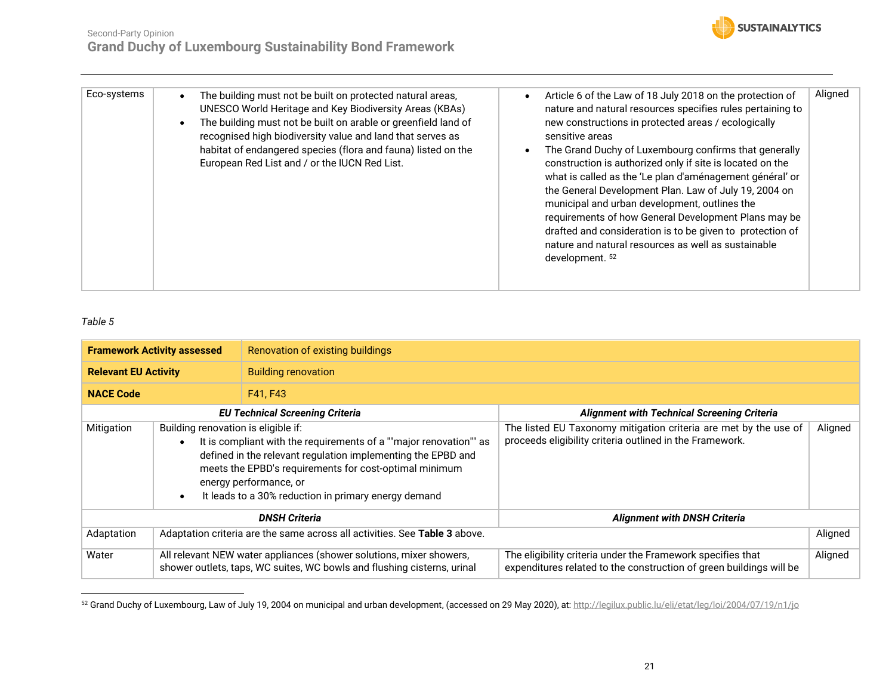![](_page_20_Picture_1.jpeg)

| Eco-systems | The building must not be built on protected natural areas,<br><b>UNESCO World Heritage and Key Biodiversity Areas (KBAs)</b><br>The building must not be built on arable or greenfield land of<br>recognised high biodiversity value and land that serves as<br>habitat of endangered species (flora and fauna) listed on the<br>European Red List and / or the IUCN Red List. | Article 6 of the Law of 18 July 2018 on the protection of<br>nature and natural resources specifies rules pertaining to<br>new constructions in protected areas / ecologically<br>sensitive areas<br>The Grand Duchy of Luxembourg confirms that generally<br>construction is authorized only if site is located on the<br>what is called as the 'Le plan d'aménagement général' or<br>the General Development Plan. Law of July 19, 2004 on<br>municipal and urban development, outlines the<br>requirements of how General Development Plans may be<br>drafted and consideration is to be given to protection of<br>nature and natural resources as well as sustainable<br>development. <sup>52</sup> | Aligned |
|-------------|--------------------------------------------------------------------------------------------------------------------------------------------------------------------------------------------------------------------------------------------------------------------------------------------------------------------------------------------------------------------------------|---------------------------------------------------------------------------------------------------------------------------------------------------------------------------------------------------------------------------------------------------------------------------------------------------------------------------------------------------------------------------------------------------------------------------------------------------------------------------------------------------------------------------------------------------------------------------------------------------------------------------------------------------------------------------------------------------------|---------|

<span id="page-20-0"></span>

| <b>Framework Activity assessed</b>                                                       |                                                                                                                                                                                                                                                                                                                       | Renovation of existing buildings                                                                                                               |                                                                                                                                    |         |  |
|------------------------------------------------------------------------------------------|-----------------------------------------------------------------------------------------------------------------------------------------------------------------------------------------------------------------------------------------------------------------------------------------------------------------------|------------------------------------------------------------------------------------------------------------------------------------------------|------------------------------------------------------------------------------------------------------------------------------------|---------|--|
| <b>Relevant EU Activity</b>                                                              |                                                                                                                                                                                                                                                                                                                       | <b>Building renovation</b>                                                                                                                     |                                                                                                                                    |         |  |
| <b>NACE Code</b>                                                                         |                                                                                                                                                                                                                                                                                                                       | F41, F43                                                                                                                                       |                                                                                                                                    |         |  |
|                                                                                          |                                                                                                                                                                                                                                                                                                                       | <b>EU Technical Screening Criteria</b>                                                                                                         | <b>Alignment with Technical Screening Criteria</b>                                                                                 |         |  |
| Mitigation                                                                               | Building renovation is eligible if:<br>It is compliant with the requirements of a ""major renovation"" as<br>defined in the relevant regulation implementing the EPBD and<br>meets the EPBD's requirements for cost-optimal minimum<br>energy performance, or<br>It leads to a 30% reduction in primary energy demand |                                                                                                                                                | The listed EU Taxonomy mitigation criteria are met by the use of<br>proceeds eligibility criteria outlined in the Framework.       | Aligned |  |
| <b>DNSH Criteria</b>                                                                     |                                                                                                                                                                                                                                                                                                                       |                                                                                                                                                | <b>Alignment with DNSH Criteria</b>                                                                                                |         |  |
| Adaptation criteria are the same across all activities. See Table 3 above.<br>Adaptation |                                                                                                                                                                                                                                                                                                                       |                                                                                                                                                |                                                                                                                                    | Aligned |  |
| Water                                                                                    |                                                                                                                                                                                                                                                                                                                       | All relevant NEW water appliances (shower solutions, mixer showers,<br>shower outlets, taps, WC suites, WC bowls and flushing cisterns, urinal | The eligibility criteria under the Framework specifies that<br>expenditures related to the construction of green buildings will be | Aligned |  |

<sup>52</sup> Grand Duchy of Luxembourg, Law of July 19, 2004 on municipal and urban development, (accessed on 29 May 2020), at[: http://legilux.public.lu/eli/etat/leg/loi/2004/07/19/n1/jo](http://legilux.public.lu/eli/etat/leg/loi/2004/07/19/n1/jo)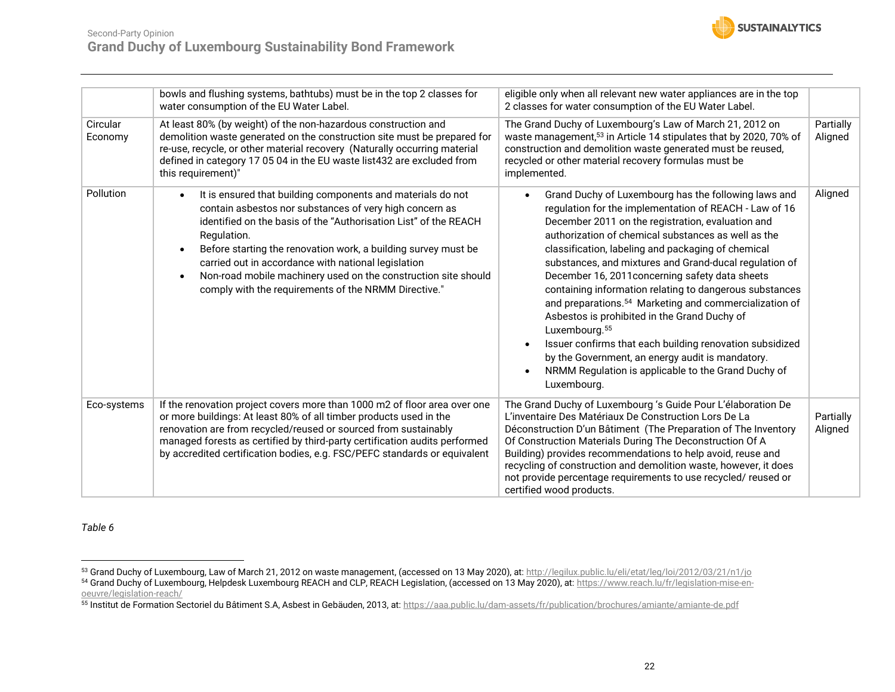![](_page_21_Picture_0.jpeg)

![](_page_21_Picture_1.jpeg)

|                     | bowls and flushing systems, bathtubs) must be in the top 2 classes for<br>water consumption of the EU Water Label.                                                                                                                                                                                                                                                                                                                                           | eligible only when all relevant new water appliances are in the top<br>2 classes for water consumption of the EU Water Label.                                                                                                                                                                                                                                                                                                                                                                                                                                                                                                                                                                                                                                                                     |                      |  |
|---------------------|--------------------------------------------------------------------------------------------------------------------------------------------------------------------------------------------------------------------------------------------------------------------------------------------------------------------------------------------------------------------------------------------------------------------------------------------------------------|---------------------------------------------------------------------------------------------------------------------------------------------------------------------------------------------------------------------------------------------------------------------------------------------------------------------------------------------------------------------------------------------------------------------------------------------------------------------------------------------------------------------------------------------------------------------------------------------------------------------------------------------------------------------------------------------------------------------------------------------------------------------------------------------------|----------------------|--|
| Circular<br>Economy | At least 80% (by weight) of the non-hazardous construction and<br>demolition waste generated on the construction site must be prepared for<br>re-use, recycle, or other material recovery (Naturally occurring material<br>defined in category 17 05 04 in the EU waste list432 are excluded from<br>this requirement)"                                                                                                                                      | The Grand Duchy of Luxembourg's Law of March 21, 2012 on<br>waste management, <sup>53</sup> in Article 14 stipulates that by 2020, 70% of<br>construction and demolition waste generated must be reused,<br>recycled or other material recovery formulas must be<br>implemented.                                                                                                                                                                                                                                                                                                                                                                                                                                                                                                                  | Partially<br>Aligned |  |
| Pollution           | It is ensured that building components and materials do not<br>contain asbestos nor substances of very high concern as<br>identified on the basis of the "Authorisation List" of the REACH<br>Regulation.<br>Before starting the renovation work, a building survey must be<br>carried out in accordance with national legislation<br>Non-road mobile machinery used on the construction site should<br>comply with the requirements of the NRMM Directive." | Grand Duchy of Luxembourg has the following laws and<br>regulation for the implementation of REACH - Law of 16<br>December 2011 on the registration, evaluation and<br>authorization of chemical substances as well as the<br>classification, labeling and packaging of chemical<br>substances, and mixtures and Grand-ducal regulation of<br>December 16, 2011 concerning safety data sheets<br>containing information relating to dangerous substances<br>and preparations. <sup>54</sup> Marketing and commercialization of<br>Asbestos is prohibited in the Grand Duchy of<br>Luxembourg. <sup>55</sup><br>Issuer confirms that each building renovation subsidized<br>by the Government, an energy audit is mandatory.<br>NRMM Regulation is applicable to the Grand Duchy of<br>Luxembourg. | Aligned              |  |
| Eco-systems         | If the renovation project covers more than 1000 m2 of floor area over one<br>or more buildings: At least 80% of all timber products used in the<br>renovation are from recycled/reused or sourced from sustainably<br>managed forests as certified by third-party certification audits performed<br>by accredited certification bodies, e.g. FSC/PEFC standards or equivalent                                                                                | The Grand Duchy of Luxembourg 's Guide Pour L'élaboration De<br>L'inventaire Des Matériaux De Construction Lors De La<br>Déconstruction D'un Bâtiment (The Preparation of The Inventory<br>Of Construction Materials During The Deconstruction Of A<br>Building) provides recommendations to help avoid, reuse and<br>recycling of construction and demolition waste, however, it does<br>not provide percentage requirements to use recycled/reused or<br>certified wood products.                                                                                                                                                                                                                                                                                                               | Partially<br>Aligned |  |

<span id="page-21-0"></span><sup>53</sup> Grand Duchy of Luxembourg, Law of March 21, 2012 on waste management, (accessed on 13 May 2020), at[: http://legilux.public.lu/eli/etat/leg/loi/2012/03/21/n1/jo](http://legilux.public.lu/eli/etat/leg/loi/2012/03/21/n1/jo)

<sup>54</sup> Grand Duchy of Luxembourg, Helpdesk Luxembourg REACH and CLP, REACH Legislation, (accessed on 13 May 2020), at[: https://www.reach.lu/fr/legislation-mise-en](https://www.reach.lu/fr/legislation-mise-en-oeuvre/legislation-reach/)[oeuvre/legislation-reach/](https://www.reach.lu/fr/legislation-mise-en-oeuvre/legislation-reach/)

<sup>&</sup>lt;sup>55</sup> Institut de Formation Sectoriel du Bâtiment S.A, Asbest in Gebäuden, 2013, at: <u>https://aaa.public.lu/dam-assets/fr/publication/brochures/amiante/amiante-de.pdf</u>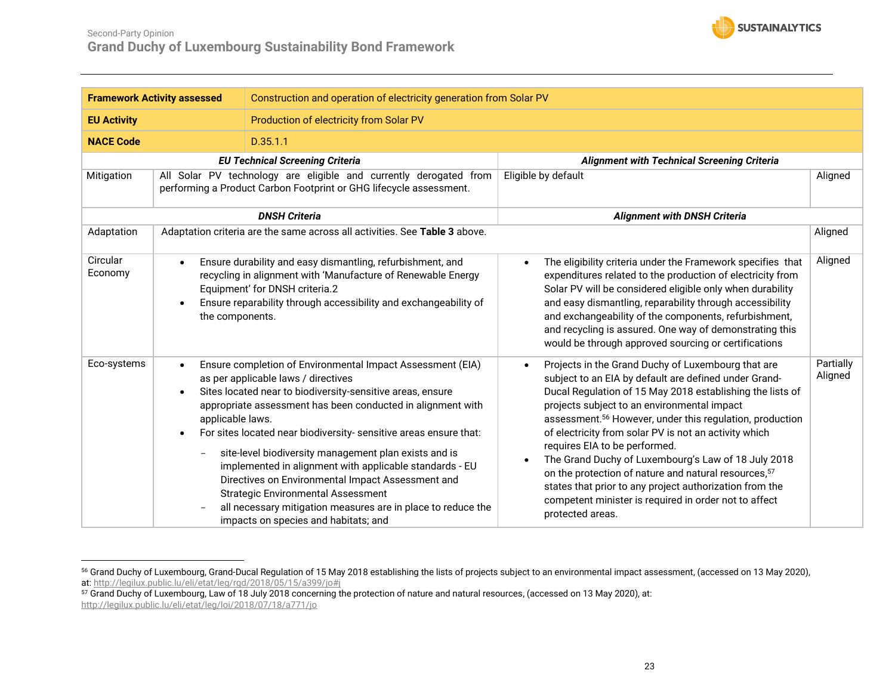![](_page_22_Picture_0.jpeg)

| <b>Framework Activity assessed</b>                            |                                                                                                                                         | Construction and operation of electricity generation from Solar PV                                                                                                                                                                                                                                                                                                                                                                                                                                                                                                                                                                |                                                                                                                                                                                                                                                                                                                                                                                                                                                                                                                                                                                                                                                                             |                      |
|---------------------------------------------------------------|-----------------------------------------------------------------------------------------------------------------------------------------|-----------------------------------------------------------------------------------------------------------------------------------------------------------------------------------------------------------------------------------------------------------------------------------------------------------------------------------------------------------------------------------------------------------------------------------------------------------------------------------------------------------------------------------------------------------------------------------------------------------------------------------|-----------------------------------------------------------------------------------------------------------------------------------------------------------------------------------------------------------------------------------------------------------------------------------------------------------------------------------------------------------------------------------------------------------------------------------------------------------------------------------------------------------------------------------------------------------------------------------------------------------------------------------------------------------------------------|----------------------|
| <b>EU Activity</b><br>Production of electricity from Solar PV |                                                                                                                                         |                                                                                                                                                                                                                                                                                                                                                                                                                                                                                                                                                                                                                                   |                                                                                                                                                                                                                                                                                                                                                                                                                                                                                                                                                                                                                                                                             |                      |
| <b>NACE Code</b>                                              |                                                                                                                                         | D.35.1.1                                                                                                                                                                                                                                                                                                                                                                                                                                                                                                                                                                                                                          |                                                                                                                                                                                                                                                                                                                                                                                                                                                                                                                                                                                                                                                                             |                      |
|                                                               |                                                                                                                                         | <b>EU Technical Screening Criteria</b>                                                                                                                                                                                                                                                                                                                                                                                                                                                                                                                                                                                            | <b>Alignment with Technical Screening Criteria</b>                                                                                                                                                                                                                                                                                                                                                                                                                                                                                                                                                                                                                          |                      |
| Mitigation                                                    | All Solar PV technology are eligible and currently derogated from<br>performing a Product Carbon Footprint or GHG lifecycle assessment. |                                                                                                                                                                                                                                                                                                                                                                                                                                                                                                                                                                                                                                   | Eligible by default                                                                                                                                                                                                                                                                                                                                                                                                                                                                                                                                                                                                                                                         | Aligned              |
|                                                               |                                                                                                                                         | <b>DNSH Criteria</b>                                                                                                                                                                                                                                                                                                                                                                                                                                                                                                                                                                                                              | <b>Alignment with DNSH Criteria</b>                                                                                                                                                                                                                                                                                                                                                                                                                                                                                                                                                                                                                                         |                      |
| Adaptation                                                    |                                                                                                                                         | Adaptation criteria are the same across all activities. See Table 3 above.                                                                                                                                                                                                                                                                                                                                                                                                                                                                                                                                                        |                                                                                                                                                                                                                                                                                                                                                                                                                                                                                                                                                                                                                                                                             | Aligned              |
| Circular<br>Economy                                           | the components.                                                                                                                         | Ensure durability and easy dismantling, refurbishment, and<br>recycling in alignment with 'Manufacture of Renewable Energy<br>Equipment' for DNSH criteria.2<br>Ensure reparability through accessibility and exchangeability of                                                                                                                                                                                                                                                                                                                                                                                                  | The eligibility criteria under the Framework specifies that<br>$\bullet$<br>expenditures related to the production of electricity from<br>Solar PV will be considered eligible only when durability<br>and easy dismantling, reparability through accessibility<br>and exchangeability of the components, refurbishment,<br>and recycling is assured. One way of demonstrating this<br>would be through approved sourcing or certifications                                                                                                                                                                                                                                 | Aligned              |
| Eco-systems                                                   | $\bullet$<br>applicable laws.<br>$\bullet$<br>$\overline{\phantom{a}}$                                                                  | Ensure completion of Environmental Impact Assessment (EIA)<br>as per applicable laws / directives<br>Sites located near to biodiversity-sensitive areas, ensure<br>appropriate assessment has been conducted in alignment with<br>For sites located near biodiversity- sensitive areas ensure that:<br>site-level biodiversity management plan exists and is<br>implemented in alignment with applicable standards - EU<br>Directives on Environmental Impact Assessment and<br><b>Strategic Environmental Assessment</b><br>all necessary mitigation measures are in place to reduce the<br>impacts on species and habitats; and | Projects in the Grand Duchy of Luxembourg that are<br>$\bullet$<br>subject to an EIA by default are defined under Grand-<br>Ducal Regulation of 15 May 2018 establishing the lists of<br>projects subject to an environmental impact<br>assessment. <sup>56</sup> However, under this regulation, production<br>of electricity from solar PV is not an activity which<br>requires EIA to be performed.<br>The Grand Duchy of Luxembourg's Law of 18 July 2018<br>$\bullet$<br>on the protection of nature and natural resources, 57<br>states that prior to any project authorization from the<br>competent minister is required in order not to affect<br>protected areas. | Partially<br>Aligned |

 $^{56}$  Grand Duchy of Luxembourg, Grand-Ducal Regulation of 15 May 2018 establishing the lists of projects subject to an environmental impact assessment, (accessed on 13 May 2020), at:<http://legilux.public.lu/eli/etat/leg/rgd/2018/05/15/a399/jo#j>

 $^{57}$  Grand Duchy of Luxembourg, Law of 18 July 2018 concerning the protection of nature and natural resources, (accessed on 13 May 2020), at: <http://legilux.public.lu/eli/etat/leg/loi/2018/07/18/a771/jo>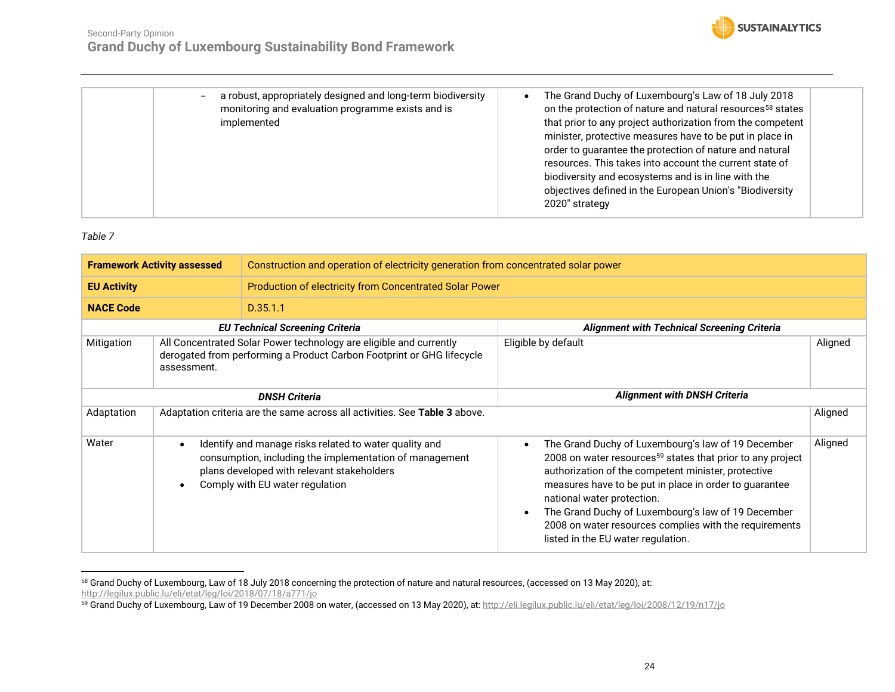![](_page_23_Picture_1.jpeg)

| a robust, appropriately designed and long-term biodiversity<br>monitoring and evaluation programme exists and is<br>implemented | The Grand Duchy of Luxembourg's Law of 18 July 2018<br>on the protection of nature and natural resources <sup>58</sup> states<br>that prior to any project authorization from the competent<br>minister, protective measures have to be put in place in<br>order to guarantee the protection of nature and natural<br>resources. This takes into account the current state of<br>biodiversity and ecosystems and is in line with the<br>objectives defined in the European Union's "Biodiversity<br>2020" strategy |
|---------------------------------------------------------------------------------------------------------------------------------|--------------------------------------------------------------------------------------------------------------------------------------------------------------------------------------------------------------------------------------------------------------------------------------------------------------------------------------------------------------------------------------------------------------------------------------------------------------------------------------------------------------------|

<span id="page-23-0"></span>

| <b>Framework Activity assessed</b> |                                                                                                                                                            | Construction and operation of electricity generation from concentrated solar power                                                                                                                 |                                                                                                                                                                                                                                                                                                                                                                                                                                                             |         |  |
|------------------------------------|------------------------------------------------------------------------------------------------------------------------------------------------------------|----------------------------------------------------------------------------------------------------------------------------------------------------------------------------------------------------|-------------------------------------------------------------------------------------------------------------------------------------------------------------------------------------------------------------------------------------------------------------------------------------------------------------------------------------------------------------------------------------------------------------------------------------------------------------|---------|--|
| <b>EU Activity</b>                 |                                                                                                                                                            | Production of electricity from Concentrated Solar Power                                                                                                                                            |                                                                                                                                                                                                                                                                                                                                                                                                                                                             |         |  |
| <b>NACE Code</b>                   |                                                                                                                                                            | D.35.1.1                                                                                                                                                                                           |                                                                                                                                                                                                                                                                                                                                                                                                                                                             |         |  |
|                                    |                                                                                                                                                            | <b>EU Technical Screening Criteria</b>                                                                                                                                                             | <b>Alignment with Technical Screening Criteria</b>                                                                                                                                                                                                                                                                                                                                                                                                          |         |  |
| Mitigation                         | All Concentrated Solar Power technology are eligible and currently<br>derogated from performing a Product Carbon Footprint or GHG lifecycle<br>assessment. |                                                                                                                                                                                                    | Eligible by default                                                                                                                                                                                                                                                                                                                                                                                                                                         | Aligned |  |
|                                    |                                                                                                                                                            | <b>DNSH Criteria</b>                                                                                                                                                                               | <b>Alignment with DNSH Criteria</b>                                                                                                                                                                                                                                                                                                                                                                                                                         |         |  |
| Adaptation                         |                                                                                                                                                            | Adaptation criteria are the same across all activities. See Table 3 above.                                                                                                                         |                                                                                                                                                                                                                                                                                                                                                                                                                                                             | Aligned |  |
| Water                              | $\bullet$                                                                                                                                                  | Identify and manage risks related to water quality and<br>consumption, including the implementation of management<br>plans developed with relevant stakeholders<br>Comply with EU water regulation | The Grand Duchy of Luxembourg's law of 19 December<br>$\bullet$<br>2008 on water resources <sup>59</sup> states that prior to any project<br>authorization of the competent minister, protective<br>measures have to be put in place in order to guarantee<br>national water protection.<br>The Grand Duchy of Luxembourg's law of 19 December<br>$\bullet$<br>2008 on water resources complies with the requirements<br>listed in the EU water regulation. | Aligned |  |

 $^{58}$  Grand Duchy of Luxembourg, Law of 18 July 2018 concerning the protection of nature and natural resources, (accessed on 13 May 2020), at: <http://legilux.public.lu/eli/etat/leg/loi/2018/07/18/a771/jo>

<sup>&</sup>lt;sup>59</sup> Grand Duchy of Luxembourg, Law of 19 December 2008 on water, (accessed on 13 May 2020), at: <u>http://eli.legilux.public.lu/eli/etat/leg/loi/2008/12/19/n17/jo</u>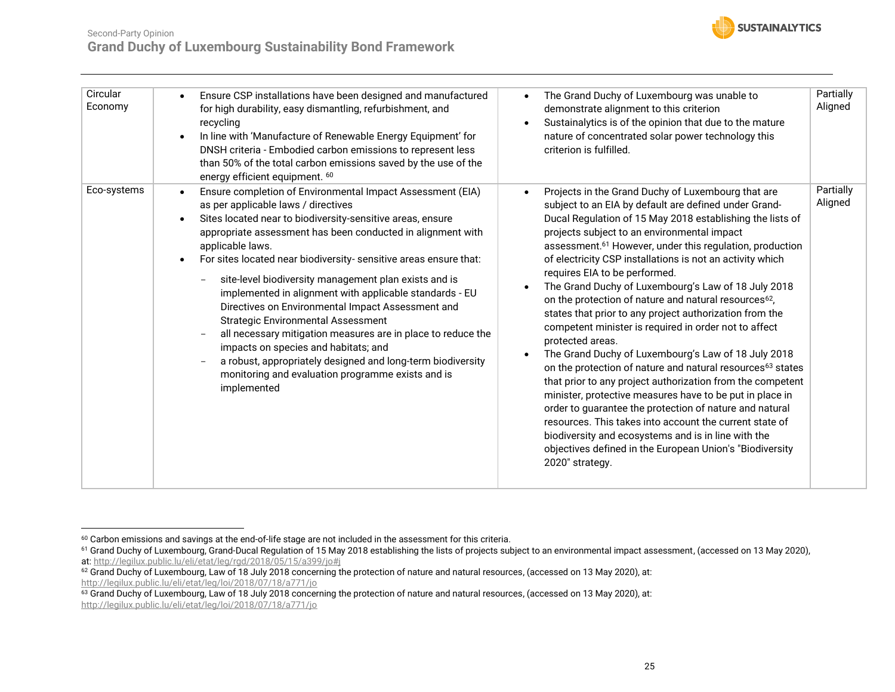![](_page_24_Picture_0.jpeg)

| Circular<br>Economy | Ensure CSP installations have been designed and manufactured<br>for high durability, easy dismantling, refurbishment, and<br>recycling<br>In line with 'Manufacture of Renewable Energy Equipment' for<br>DNSH criteria - Embodied carbon emissions to represent less<br>than 50% of the total carbon emissions saved by the use of the<br>energy efficient equipment. 60                                                                                                                                                                                                                                                                                                                                                                                                                | The Grand Duchy of Luxembourg was unable to<br>$\bullet$<br>demonstrate alignment to this criterion<br>Sustainalytics is of the opinion that due to the mature<br>$\bullet$<br>nature of concentrated solar power technology this<br>criterion is fulfilled.                                                                                                                                                                                                                                                                                                                                                                                                                                                                                                                                                                                                                                                                                                                                                                                                                                                                                                                                                       | Partially<br>Aligned |
|---------------------|------------------------------------------------------------------------------------------------------------------------------------------------------------------------------------------------------------------------------------------------------------------------------------------------------------------------------------------------------------------------------------------------------------------------------------------------------------------------------------------------------------------------------------------------------------------------------------------------------------------------------------------------------------------------------------------------------------------------------------------------------------------------------------------|--------------------------------------------------------------------------------------------------------------------------------------------------------------------------------------------------------------------------------------------------------------------------------------------------------------------------------------------------------------------------------------------------------------------------------------------------------------------------------------------------------------------------------------------------------------------------------------------------------------------------------------------------------------------------------------------------------------------------------------------------------------------------------------------------------------------------------------------------------------------------------------------------------------------------------------------------------------------------------------------------------------------------------------------------------------------------------------------------------------------------------------------------------------------------------------------------------------------|----------------------|
| Eco-systems         | Ensure completion of Environmental Impact Assessment (EIA)<br>as per applicable laws / directives<br>Sites located near to biodiversity-sensitive areas, ensure<br>appropriate assessment has been conducted in alignment with<br>applicable laws.<br>For sites located near biodiversity- sensitive areas ensure that:<br>site-level biodiversity management plan exists and is<br>implemented in alignment with applicable standards - EU<br>Directives on Environmental Impact Assessment and<br><b>Strategic Environmental Assessment</b><br>all necessary mitigation measures are in place to reduce the<br>impacts on species and habitats; and<br>a robust, appropriately designed and long-term biodiversity<br>monitoring and evaluation programme exists and is<br>implemented | Projects in the Grand Duchy of Luxembourg that are<br>$\bullet$<br>subject to an EIA by default are defined under Grand-<br>Ducal Regulation of 15 May 2018 establishing the lists of<br>projects subject to an environmental impact<br>assessment. <sup>61</sup> However, under this regulation, production<br>of electricity CSP installations is not an activity which<br>requires EIA to be performed.<br>The Grand Duchy of Luxembourg's Law of 18 July 2018<br>$\bullet$<br>on the protection of nature and natural resources <sup>62</sup> ,<br>states that prior to any project authorization from the<br>competent minister is required in order not to affect<br>protected areas.<br>The Grand Duchy of Luxembourg's Law of 18 July 2018<br>on the protection of nature and natural resources <sup>63</sup> states<br>that prior to any project authorization from the competent<br>minister, protective measures have to be put in place in<br>order to guarantee the protection of nature and natural<br>resources. This takes into account the current state of<br>biodiversity and ecosystems and is in line with the<br>objectives defined in the European Union's "Biodiversity<br>2020" strategy. | Partially<br>Aligned |

 $^{60}$  Carbon emissions and savings at the end-of-life stage are not included in the assessment for this criteria.

 $^{61}$  Grand Duchy of Luxembourg, Grand-Ducal Regulation of 15 May 2018 establishing the lists of projects subject to an environmental impact assessment, (accessed on 13 May 2020), at:<http://legilux.public.lu/eli/etat/leg/rgd/2018/05/15/a399/jo#j>

<sup>62</sup> Grand Duchy of Luxembourg, Law of 18 July 2018 concerning the protection of nature and natural resources, (accessed on 13 May 2020), at: <http://legilux.public.lu/eli/etat/leg/loi/2018/07/18/a771/jo>

 $^{63}$  Grand Duchy of Luxembourg, Law of 18 July 2018 concerning the protection of nature and natural resources, (accessed on 13 May 2020), at: <http://legilux.public.lu/eli/etat/leg/loi/2018/07/18/a771/jo>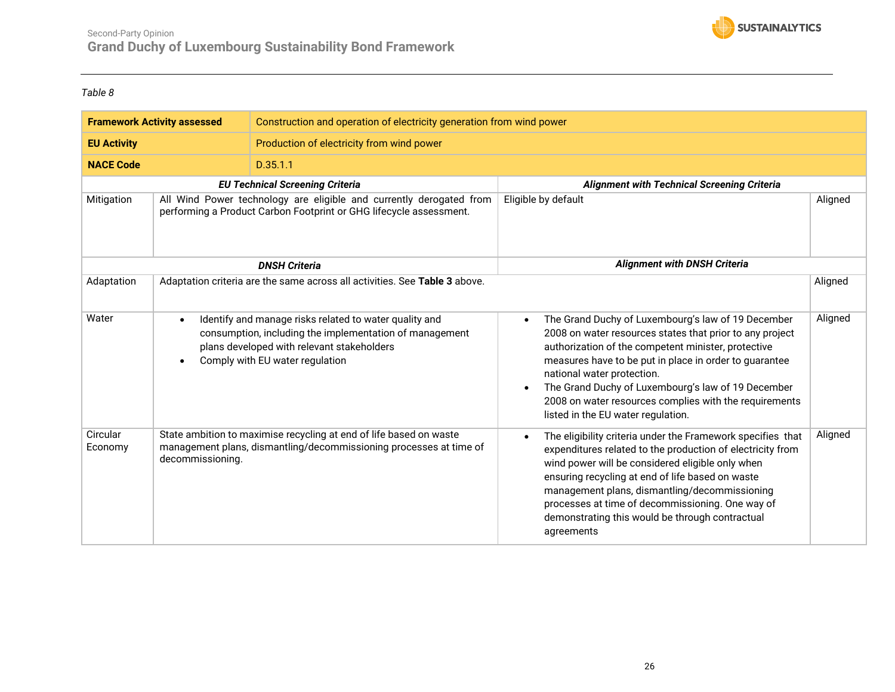![](_page_25_Picture_1.jpeg)

<span id="page-25-0"></span>

| <b>Framework Activity assessed</b> |                  | Construction and operation of electricity generation from wind power                                                                                                                               |                                                                                                                                                                                                                                                                                                                                                                                                                                  |         |  |
|------------------------------------|------------------|----------------------------------------------------------------------------------------------------------------------------------------------------------------------------------------------------|----------------------------------------------------------------------------------------------------------------------------------------------------------------------------------------------------------------------------------------------------------------------------------------------------------------------------------------------------------------------------------------------------------------------------------|---------|--|
| <b>EU Activity</b>                 |                  | Production of electricity from wind power                                                                                                                                                          |                                                                                                                                                                                                                                                                                                                                                                                                                                  |         |  |
| <b>NACE Code</b>                   |                  | D.35.1.1                                                                                                                                                                                           |                                                                                                                                                                                                                                                                                                                                                                                                                                  |         |  |
|                                    |                  | <b>EU Technical Screening Criteria</b>                                                                                                                                                             | <b>Alignment with Technical Screening Criteria</b>                                                                                                                                                                                                                                                                                                                                                                               |         |  |
| Mitigation                         |                  | All Wind Power technology are eligible and currently derogated from<br>performing a Product Carbon Footprint or GHG lifecycle assessment.                                                          | Eligible by default                                                                                                                                                                                                                                                                                                                                                                                                              | Aligned |  |
|                                    |                  | <b>DNSH Criteria</b>                                                                                                                                                                               | <b>Alignment with DNSH Criteria</b>                                                                                                                                                                                                                                                                                                                                                                                              |         |  |
| Adaptation                         |                  | Adaptation criteria are the same across all activities. See Table 3 above.                                                                                                                         |                                                                                                                                                                                                                                                                                                                                                                                                                                  | Aligned |  |
| Water                              |                  | Identify and manage risks related to water quality and<br>consumption, including the implementation of management<br>plans developed with relevant stakeholders<br>Comply with EU water regulation | The Grand Duchy of Luxembourg's law of 19 December<br>$\bullet$<br>2008 on water resources states that prior to any project<br>authorization of the competent minister, protective<br>measures have to be put in place in order to guarantee<br>national water protection.<br>The Grand Duchy of Luxembourg's law of 19 December<br>2008 on water resources complies with the requirements<br>listed in the EU water regulation. | Aligned |  |
| Circular<br>Economy                | decommissioning. | State ambition to maximise recycling at end of life based on waste<br>management plans, dismantling/decommissioning processes at time of                                                           | The eligibility criteria under the Framework specifies that<br>$\bullet$<br>expenditures related to the production of electricity from<br>wind power will be considered eligible only when<br>ensuring recycling at end of life based on waste<br>management plans, dismantling/decommissioning<br>processes at time of decommissioning. One way of<br>demonstrating this would be through contractual<br>agreements             | Aligned |  |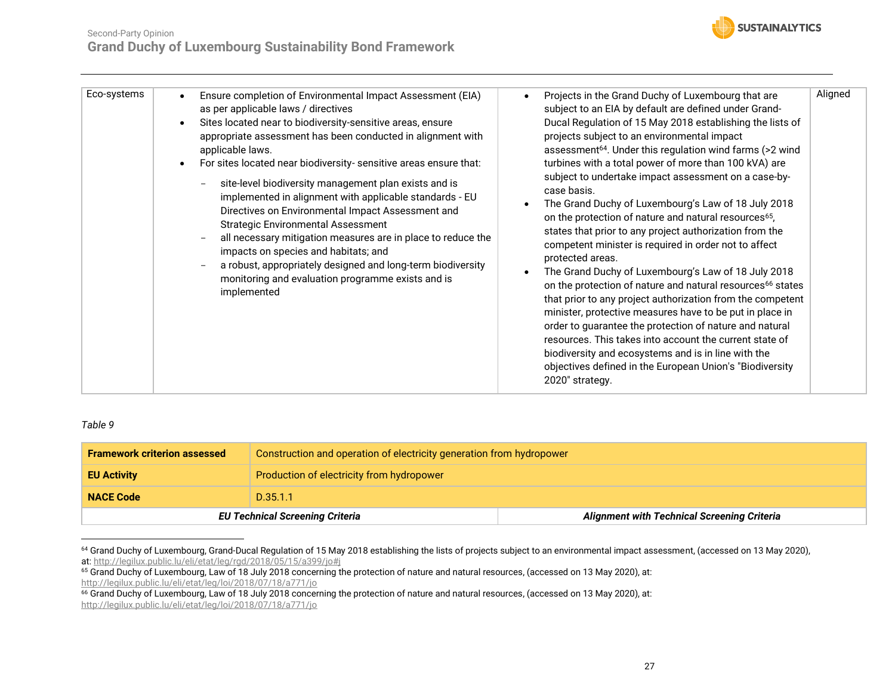#### Second-Party Opinion **Grand Duchy of Luxembourg Sustainability Bond Framework**

![](_page_26_Picture_1.jpeg)

| Eco-systems | Ensure completion of Environmental Impact Assessment (EIA)<br>as per applicable laws / directives<br>Sites located near to biodiversity-sensitive areas, ensure<br>appropriate assessment has been conducted in alignment with<br>applicable laws.<br>For sites located near biodiversity- sensitive areas ensure that:<br>site-level biodiversity management plan exists and is<br>implemented in alignment with applicable standards - EU<br>Directives on Environmental Impact Assessment and<br><b>Strategic Environmental Assessment</b><br>all necessary mitigation measures are in place to reduce the<br>impacts on species and habitats; and<br>a robust, appropriately designed and long-term biodiversity<br>monitoring and evaluation programme exists and is<br>implemented | Projects in the Grand Duchy of Luxembourg that are<br>subject to an EIA by default are defined under Grand-<br>Ducal Regulation of 15 May 2018 establishing the lists of<br>projects subject to an environmental impact<br>assessment <sup>64</sup> . Under this regulation wind farms (>2 wind<br>turbines with a total power of more than 100 kVA) are<br>subject to undertake impact assessment on a case-by-<br>case basis.<br>The Grand Duchy of Luxembourg's Law of 18 July 2018<br>on the protection of nature and natural resources <sup>65</sup> ,<br>states that prior to any project authorization from the<br>competent minister is required in order not to affect<br>protected areas.<br>The Grand Duchy of Luxembourg's Law of 18 July 2018<br>on the protection of nature and natural resources <sup>66</sup> states<br>that prior to any project authorization from the competent<br>minister, protective measures have to be put in place in<br>order to guarantee the protection of nature and natural<br>resources. This takes into account the current state of<br>biodiversity and ecosystems and is in line with the<br>objectives defined in the European Union's "Biodiversity"<br>2020" strategy. | Aligned |
|-------------|------------------------------------------------------------------------------------------------------------------------------------------------------------------------------------------------------------------------------------------------------------------------------------------------------------------------------------------------------------------------------------------------------------------------------------------------------------------------------------------------------------------------------------------------------------------------------------------------------------------------------------------------------------------------------------------------------------------------------------------------------------------------------------------|-----------------------------------------------------------------------------------------------------------------------------------------------------------------------------------------------------------------------------------------------------------------------------------------------------------------------------------------------------------------------------------------------------------------------------------------------------------------------------------------------------------------------------------------------------------------------------------------------------------------------------------------------------------------------------------------------------------------------------------------------------------------------------------------------------------------------------------------------------------------------------------------------------------------------------------------------------------------------------------------------------------------------------------------------------------------------------------------------------------------------------------------------------------------------------------------------------------------------------|---------|

<span id="page-26-0"></span>

| <b>Framework criterion assessed</b> | Construction and operation of electricity generation from hydropower                         |  |
|-------------------------------------|----------------------------------------------------------------------------------------------|--|
| <b>EU Activity</b>                  | Production of electricity from hydropower                                                    |  |
| <b>NACE Code</b>                    | D.35.1.1                                                                                     |  |
|                                     | <b>Alignment with Technical Screening Criteria</b><br><b>EU Technical Screening Criteria</b> |  |

<sup>&</sup>lt;sup>64</sup> Grand Duchy of Luxembourg, Grand-Ducal Regulation of 15 May 2018 establishing the lists of projects subject to an environmental impact assessment, (accessed on 13 May 2020), at:<http://legilux.public.lu/eli/etat/leg/rgd/2018/05/15/a399/jo#j>

<sup>&</sup>lt;sup>65</sup> Grand Duchy of Luxembourg, Law of 18 July 2018 concerning the protection of nature and natural resources, (accessed on 13 May 2020), at: <http://legilux.public.lu/eli/etat/leg/loi/2018/07/18/a771/jo>

 $^{66}$  Grand Duchy of Luxembourg, Law of 18 July 2018 concerning the protection of nature and natural resources, (accessed on 13 May 2020), at: <http://legilux.public.lu/eli/etat/leg/loi/2018/07/18/a771/jo>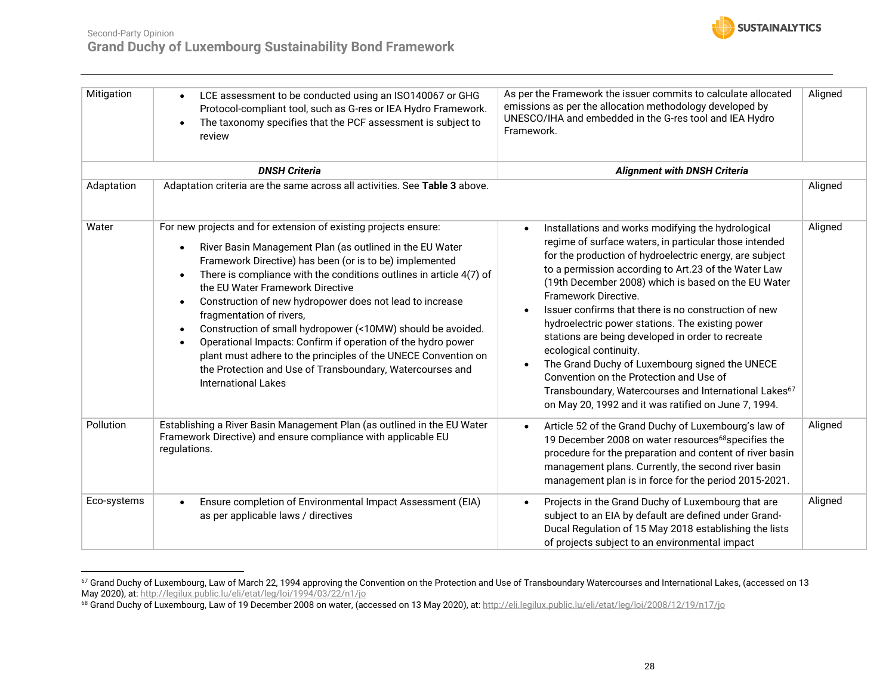![](_page_27_Picture_1.jpeg)

| Mitigation  | LCE assessment to be conducted using an ISO140067 or GHG<br>Protocol-compliant tool, such as G-res or IEA Hydro Framework.<br>The taxonomy specifies that the PCF assessment is subject to<br>review                                                                                                                                                                                                                                                                                                                                                                                                                                                                                                                  | As per the Framework the issuer commits to calculate allocated<br>emissions as per the allocation methodology developed by<br>UNESCO/IHA and embedded in the G-res tool and IEA Hydro<br>Framework.                                                                                                                                                                                                                                                                                                                                                                                                                                                                                                                                                           | Aligned |
|-------------|-----------------------------------------------------------------------------------------------------------------------------------------------------------------------------------------------------------------------------------------------------------------------------------------------------------------------------------------------------------------------------------------------------------------------------------------------------------------------------------------------------------------------------------------------------------------------------------------------------------------------------------------------------------------------------------------------------------------------|---------------------------------------------------------------------------------------------------------------------------------------------------------------------------------------------------------------------------------------------------------------------------------------------------------------------------------------------------------------------------------------------------------------------------------------------------------------------------------------------------------------------------------------------------------------------------------------------------------------------------------------------------------------------------------------------------------------------------------------------------------------|---------|
|             | <b>DNSH Criteria</b>                                                                                                                                                                                                                                                                                                                                                                                                                                                                                                                                                                                                                                                                                                  | <b>Alignment with DNSH Criteria</b>                                                                                                                                                                                                                                                                                                                                                                                                                                                                                                                                                                                                                                                                                                                           |         |
| Adaptation  | Adaptation criteria are the same across all activities. See Table 3 above.                                                                                                                                                                                                                                                                                                                                                                                                                                                                                                                                                                                                                                            |                                                                                                                                                                                                                                                                                                                                                                                                                                                                                                                                                                                                                                                                                                                                                               | Aligned |
| Water       | For new projects and for extension of existing projects ensure:<br>River Basin Management Plan (as outlined in the EU Water<br>$\bullet$<br>Framework Directive) has been (or is to be) implemented<br>There is compliance with the conditions outlines in article 4(7) of<br>$\bullet$<br>the EU Water Framework Directive<br>Construction of new hydropower does not lead to increase<br>fragmentation of rivers,<br>Construction of small hydropower (<10MW) should be avoided.<br>$\bullet$<br>Operational Impacts: Confirm if operation of the hydro power<br>plant must adhere to the principles of the UNECE Convention on<br>the Protection and Use of Transboundary, Watercourses and<br>International Lakes | Installations and works modifying the hydrological<br>$\bullet$<br>regime of surface waters, in particular those intended<br>for the production of hydroelectric energy, are subject<br>to a permission according to Art.23 of the Water Law<br>(19th December 2008) which is based on the EU Water<br>Framework Directive.<br>Issuer confirms that there is no construction of new<br>$\bullet$<br>hydroelectric power stations. The existing power<br>stations are being developed in order to recreate<br>ecological continuity.<br>The Grand Duchy of Luxembourg signed the UNECE<br>Convention on the Protection and Use of<br>Transboundary, Watercourses and International Lakes <sup>67</sup><br>on May 20, 1992 and it was ratified on June 7, 1994. | Aligned |
| Pollution   | Establishing a River Basin Management Plan (as outlined in the EU Water<br>Framework Directive) and ensure compliance with applicable EU<br>regulations.                                                                                                                                                                                                                                                                                                                                                                                                                                                                                                                                                              | Article 52 of the Grand Duchy of Luxembourg's law of<br>$\bullet$<br>19 December 2008 on water resources <sup>68</sup> specifies the<br>procedure for the preparation and content of river basin<br>management plans. Currently, the second river basin<br>management plan is in force for the period 2015-2021.                                                                                                                                                                                                                                                                                                                                                                                                                                              | Aligned |
| Eco-systems | Ensure completion of Environmental Impact Assessment (EIA)<br>as per applicable laws / directives                                                                                                                                                                                                                                                                                                                                                                                                                                                                                                                                                                                                                     | Projects in the Grand Duchy of Luxembourg that are<br>$\bullet$<br>subject to an EIA by default are defined under Grand-<br>Ducal Regulation of 15 May 2018 establishing the lists<br>of projects subject to an environmental impact                                                                                                                                                                                                                                                                                                                                                                                                                                                                                                                          | Aligned |

<sup>67</sup> Grand Duchy of Luxembourg, Law of March 22, 1994 approving the Convention on the Protection and Use of Transboundary Watercourses and International Lakes, (accessed on 13 May 2020), at[: http://legilux.public.lu/eli/etat/leg/loi/1994/03/22/n1/jo](http://legilux.public.lu/eli/etat/leg/loi/1994/03/22/n1/jo)

<sup>&</sup>lt;sup>68</sup> Grand Duchy of Luxembourg, Law of 19 December 2008 on water, (accessed on 13 May 2020), at: <u>http://eli.legilux.public.lu/eli/etat/leg/loi/2008/12/19/n17/jo</u>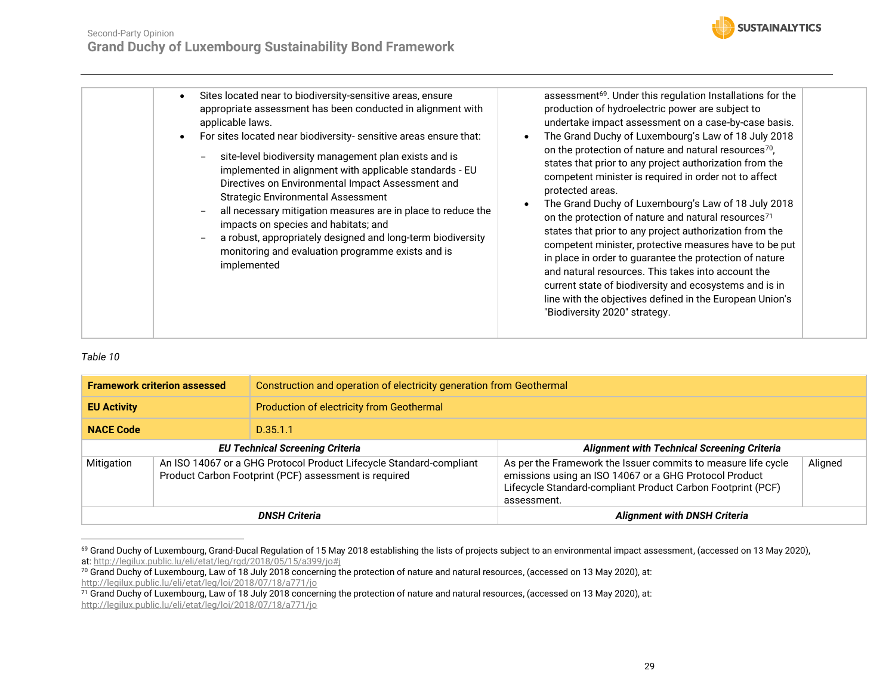![](_page_28_Picture_1.jpeg)

| assessment <sup>69</sup> . Under this regulation Installations for the<br>Sites located near to biodiversity-sensitive areas, ensure<br>appropriate assessment has been conducted in alignment with<br>production of hydroelectric power are subject to<br>undertake impact assessment on a case-by-case basis.<br>applicable laws.<br>The Grand Duchy of Luxembourg's Law of 18 July 2018<br>For sites located near biodiversity- sensitive areas ensure that:<br>on the protection of nature and natural resources <sup>70</sup> ,<br>site-level biodiversity management plan exists and is<br>states that prior to any project authorization from the<br>implemented in alignment with applicable standards - EU<br>competent minister is required in order not to affect<br>Directives on Environmental Impact Assessment and<br>protected areas.<br><b>Strategic Environmental Assessment</b><br>The Grand Duchy of Luxembourg's Law of 18 July 2018<br>all necessary mitigation measures are in place to reduce the<br>on the protection of nature and natural resources <sup>71</sup><br>impacts on species and habitats; and<br>states that prior to any project authorization from the<br>a robust, appropriately designed and long-term biodiversity<br>competent minister, protective measures have to be put<br>monitoring and evaluation programme exists and is<br>in place in order to guarantee the protection of nature<br>implemented<br>and natural resources. This takes into account the<br>current state of biodiversity and ecosystems and is in<br>line with the objectives defined in the European Union's<br>"Biodiversity 2020" strategy. |  |
|----------------------------------------------------------------------------------------------------------------------------------------------------------------------------------------------------------------------------------------------------------------------------------------------------------------------------------------------------------------------------------------------------------------------------------------------------------------------------------------------------------------------------------------------------------------------------------------------------------------------------------------------------------------------------------------------------------------------------------------------------------------------------------------------------------------------------------------------------------------------------------------------------------------------------------------------------------------------------------------------------------------------------------------------------------------------------------------------------------------------------------------------------------------------------------------------------------------------------------------------------------------------------------------------------------------------------------------------------------------------------------------------------------------------------------------------------------------------------------------------------------------------------------------------------------------------------------------------------------------------------------------------------------------------|--|
|                                                                                                                                                                                                                                                                                                                                                                                                                                                                                                                                                                                                                                                                                                                                                                                                                                                                                                                                                                                                                                                                                                                                                                                                                                                                                                                                                                                                                                                                                                                                                                                                                                                                      |  |

<span id="page-28-0"></span>

| <b>Framework criterion assessed</b>                                                                                                        |  | Construction and operation of electricity generation from Geothermal |                                                                                                                                                                                                       |         |
|--------------------------------------------------------------------------------------------------------------------------------------------|--|----------------------------------------------------------------------|-------------------------------------------------------------------------------------------------------------------------------------------------------------------------------------------------------|---------|
| <b>EU Activity</b>                                                                                                                         |  | Production of electricity from Geothermal                            |                                                                                                                                                                                                       |         |
| <b>NACE Code</b>                                                                                                                           |  | D.35.1.1                                                             |                                                                                                                                                                                                       |         |
| <b>EU Technical Screening Criteria</b>                                                                                                     |  |                                                                      | <b>Alignment with Technical Screening Criteria</b>                                                                                                                                                    |         |
| An ISO 14067 or a GHG Protocol Product Lifecycle Standard-compliant<br>Mitigation<br>Product Carbon Footprint (PCF) assessment is required |  |                                                                      | As per the Framework the Issuer commits to measure life cycle<br>emissions using an ISO 14067 or a GHG Protocol Product<br>Lifecycle Standard-compliant Product Carbon Footprint (PCF)<br>assessment. | Aligned |
| <b>DNSH Criteria</b>                                                                                                                       |  |                                                                      | <b>Alignment with DNSH Criteria</b>                                                                                                                                                                   |         |

<sup>&</sup>lt;sup>69</sup> Grand Duchy of Luxembourg, Grand-Ducal Regulation of 15 May 2018 establishing the lists of projects subject to an environmental impact assessment, (accessed on 13 May 2020), at:<http://legilux.public.lu/eli/etat/leg/rgd/2018/05/15/a399/jo#j>

<sup>70</sup> Grand Duchy of Luxembourg, Law of 18 July 2018 concerning the protection of nature and natural resources, (accessed on 13 May 2020), at: <http://legilux.public.lu/eli/etat/leg/loi/2018/07/18/a771/jo>

 $^{71}$  Grand Duchy of Luxembourg, Law of 18 July 2018 concerning the protection of nature and natural resources, (accessed on 13 May 2020), at: <http://legilux.public.lu/eli/etat/leg/loi/2018/07/18/a771/jo>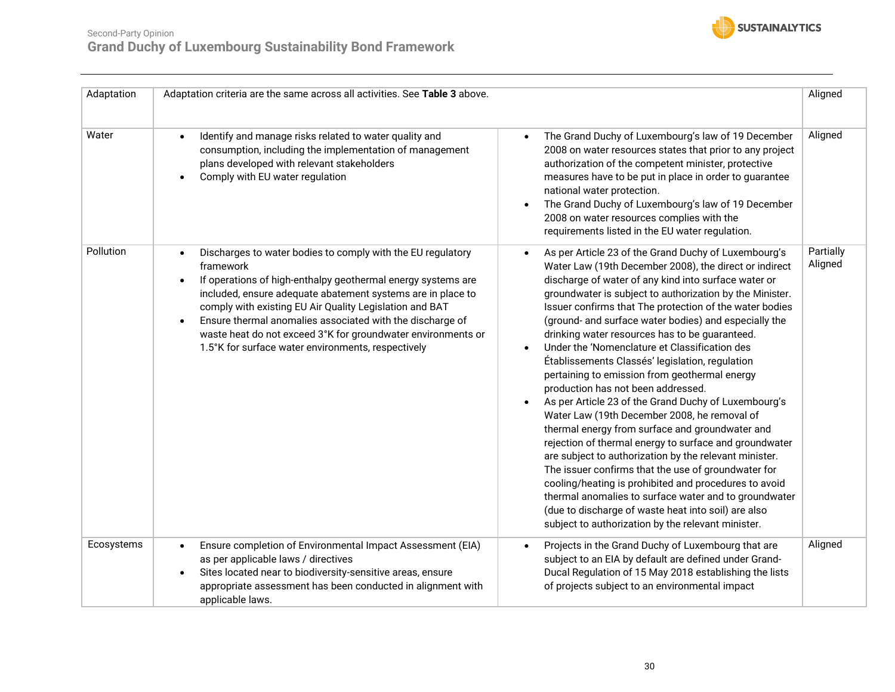![](_page_29_Picture_1.jpeg)

| Adaptation | Adaptation criteria are the same across all activities. See Table 3 above.                                                                                                                                                                                                                                                                                                                                                                                                      |                                                                                                                                                                                                                                                                                                                                                                                                                                                                                                                                                                                                                                                                                                                                                                                                                                                                                                                                                                                                                                                                                                                                                                                       | Aligned              |
|------------|---------------------------------------------------------------------------------------------------------------------------------------------------------------------------------------------------------------------------------------------------------------------------------------------------------------------------------------------------------------------------------------------------------------------------------------------------------------------------------|---------------------------------------------------------------------------------------------------------------------------------------------------------------------------------------------------------------------------------------------------------------------------------------------------------------------------------------------------------------------------------------------------------------------------------------------------------------------------------------------------------------------------------------------------------------------------------------------------------------------------------------------------------------------------------------------------------------------------------------------------------------------------------------------------------------------------------------------------------------------------------------------------------------------------------------------------------------------------------------------------------------------------------------------------------------------------------------------------------------------------------------------------------------------------------------|----------------------|
| Water      | Identify and manage risks related to water quality and<br>consumption, including the implementation of management<br>plans developed with relevant stakeholders<br>Comply with EU water regulation                                                                                                                                                                                                                                                                              | The Grand Duchy of Luxembourg's law of 19 December<br>$\bullet$<br>2008 on water resources states that prior to any project<br>authorization of the competent minister, protective<br>measures have to be put in place in order to guarantee<br>national water protection.<br>The Grand Duchy of Luxembourg's law of 19 December<br>$\bullet$<br>2008 on water resources complies with the<br>requirements listed in the EU water regulation.                                                                                                                                                                                                                                                                                                                                                                                                                                                                                                                                                                                                                                                                                                                                         | Aligned              |
| Pollution  | Discharges to water bodies to comply with the EU regulatory<br>framework<br>If operations of high-enthalpy geothermal energy systems are<br>$\bullet$<br>included, ensure adequate abatement systems are in place to<br>comply with existing EU Air Quality Legislation and BAT<br>Ensure thermal anomalies associated with the discharge of<br>$\bullet$<br>waste heat do not exceed 3°K for groundwater environments or<br>1.5°K for surface water environments, respectively | As per Article 23 of the Grand Duchy of Luxembourg's<br>$\bullet$<br>Water Law (19th December 2008), the direct or indirect<br>discharge of water of any kind into surface water or<br>groundwater is subject to authorization by the Minister.<br>Issuer confirms that The protection of the water bodies<br>(ground- and surface water bodies) and especially the<br>drinking water resources has to be guaranteed.<br>Under the 'Nomenclature et Classification des<br>Établissements Classés' legislation, regulation<br>pertaining to emission from geothermal energy<br>production has not been addressed.<br>As per Article 23 of the Grand Duchy of Luxembourg's<br>Water Law (19th December 2008, he removal of<br>thermal energy from surface and groundwater and<br>rejection of thermal energy to surface and groundwater<br>are subject to authorization by the relevant minister.<br>The issuer confirms that the use of groundwater for<br>cooling/heating is prohibited and procedures to avoid<br>thermal anomalies to surface water and to groundwater<br>(due to discharge of waste heat into soil) are also<br>subject to authorization by the relevant minister. | Partially<br>Aligned |
| Ecosystems | Ensure completion of Environmental Impact Assessment (EIA)<br>as per applicable laws / directives<br>Sites located near to biodiversity-sensitive areas, ensure<br>appropriate assessment has been conducted in alignment with<br>applicable laws.                                                                                                                                                                                                                              | Projects in the Grand Duchy of Luxembourg that are<br>subject to an EIA by default are defined under Grand-<br>Ducal Regulation of 15 May 2018 establishing the lists<br>of projects subject to an environmental impact                                                                                                                                                                                                                                                                                                                                                                                                                                                                                                                                                                                                                                                                                                                                                                                                                                                                                                                                                               | Aligned              |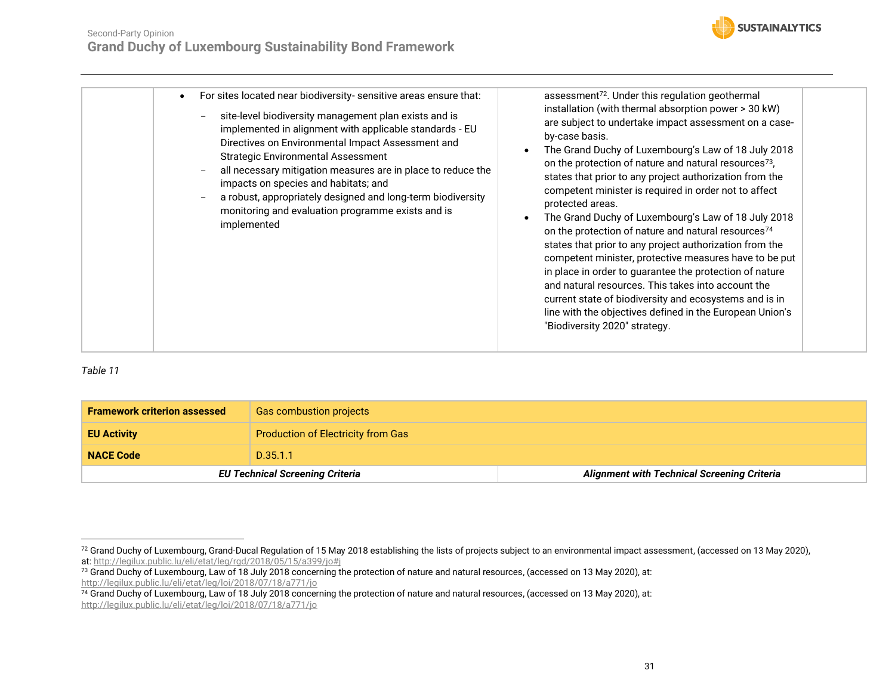![](_page_30_Picture_1.jpeg)

| For sites located near biodiversity- sensitive areas ensure that:<br>$\bullet$<br>site-level biodiversity management plan exists and is<br>implemented in alignment with applicable standards - EU<br>Directives on Environmental Impact Assessment and<br><b>Strategic Environmental Assessment</b><br>all necessary mitigation measures are in place to reduce the<br>impacts on species and habitats; and<br>a robust, appropriately designed and long-term biodiversity<br>monitoring and evaluation programme exists and is<br>implemented | assessment <sup>72</sup> . Under this regulation geothermal<br>installation (with thermal absorption power > 30 kW)<br>are subject to undertake impact assessment on a case-<br>by-case basis.<br>The Grand Duchy of Luxembourg's Law of 18 July 2018<br>on the protection of nature and natural resources <sup>73</sup> ,<br>states that prior to any project authorization from the<br>competent minister is required in order not to affect<br>protected areas.<br>The Grand Duchy of Luxembourg's Law of 18 July 2018<br>on the protection of nature and natural resources <sup>74</sup><br>states that prior to any project authorization from the<br>competent minister, protective measures have to be put<br>in place in order to guarantee the protection of nature<br>and natural resources. This takes into account the<br>current state of biodiversity and ecosystems and is in<br>line with the objectives defined in the European Union's<br>"Biodiversity 2020" strategy. |
|-------------------------------------------------------------------------------------------------------------------------------------------------------------------------------------------------------------------------------------------------------------------------------------------------------------------------------------------------------------------------------------------------------------------------------------------------------------------------------------------------------------------------------------------------|-------------------------------------------------------------------------------------------------------------------------------------------------------------------------------------------------------------------------------------------------------------------------------------------------------------------------------------------------------------------------------------------------------------------------------------------------------------------------------------------------------------------------------------------------------------------------------------------------------------------------------------------------------------------------------------------------------------------------------------------------------------------------------------------------------------------------------------------------------------------------------------------------------------------------------------------------------------------------------------------|

<span id="page-30-0"></span>

| <b>Framework criterion assessed</b> | <b>Gas combustion projects</b>            |                                                    |
|-------------------------------------|-------------------------------------------|----------------------------------------------------|
| <b>EU Activity</b>                  | <b>Production of Electricity from Gas</b> |                                                    |
| <b>NACE Code</b>                    | D.35.1.1                                  |                                                    |
|                                     | <b>EU Technical Screening Criteria</b>    | <b>Alignment with Technical Screening Criteria</b> |

<sup>72</sup> Grand Duchy of Luxembourg, Grand-Ducal Regulation of 15 May 2018 establishing the lists of projects subject to an environmental impact assessment, (accessed on 13 May 2020), at:<http://legilux.public.lu/eli/etat/leg/rgd/2018/05/15/a399/jo#j>

<sup>&</sup>lt;sup>73</sup> Grand Duchy of Luxembourg, Law of 18 July 2018 concerning the protection of nature and natural resources, (accessed on 13 May 2020), at: <http://legilux.public.lu/eli/etat/leg/loi/2018/07/18/a771/jo>

 $^{74}$  Grand Duchy of Luxembourg, Law of 18 July 2018 concerning the protection of nature and natural resources, (accessed on 13 May 2020), at: <http://legilux.public.lu/eli/etat/leg/loi/2018/07/18/a771/jo>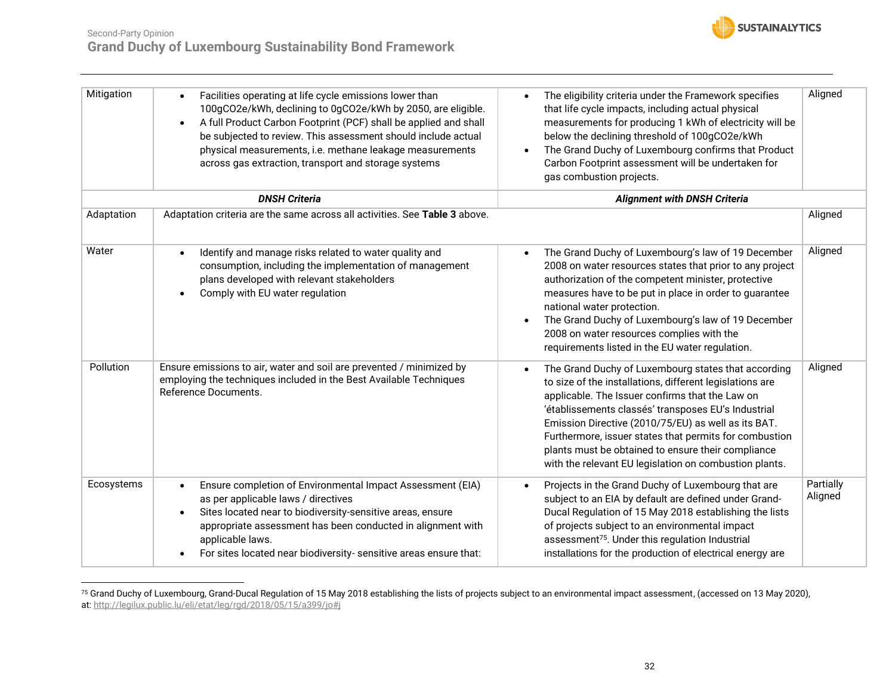![](_page_31_Picture_1.jpeg)

| Mitigation | Facilities operating at life cycle emissions lower than<br>100gCO2e/kWh, declining to 0gCO2e/kWh by 2050, are eligible.<br>A full Product Carbon Footprint (PCF) shall be applied and shall<br>$\bullet$<br>be subjected to review. This assessment should include actual<br>physical measurements, i.e. methane leakage measurements<br>across gas extraction, transport and storage systems | The eligibility criteria under the Framework specifies<br>$\bullet$<br>that life cycle impacts, including actual physical<br>measurements for producing 1 kWh of electricity will be<br>below the declining threshold of 100gCO2e/kWh<br>The Grand Duchy of Luxembourg confirms that Product<br>$\bullet$<br>Carbon Footprint assessment will be undertaken for<br>gas combustion projects.                                                                             | Aligned              |
|------------|-----------------------------------------------------------------------------------------------------------------------------------------------------------------------------------------------------------------------------------------------------------------------------------------------------------------------------------------------------------------------------------------------|-------------------------------------------------------------------------------------------------------------------------------------------------------------------------------------------------------------------------------------------------------------------------------------------------------------------------------------------------------------------------------------------------------------------------------------------------------------------------|----------------------|
|            | <b>DNSH Criteria</b>                                                                                                                                                                                                                                                                                                                                                                          | <b>Alignment with DNSH Criteria</b>                                                                                                                                                                                                                                                                                                                                                                                                                                     |                      |
| Adaptation | Adaptation criteria are the same across all activities. See Table 3 above.                                                                                                                                                                                                                                                                                                                    |                                                                                                                                                                                                                                                                                                                                                                                                                                                                         | Aligned              |
| Water      | Identify and manage risks related to water quality and<br>consumption, including the implementation of management<br>plans developed with relevant stakeholders<br>Comply with EU water regulation                                                                                                                                                                                            | The Grand Duchy of Luxembourg's law of 19 December<br>$\bullet$<br>2008 on water resources states that prior to any project<br>authorization of the competent minister, protective<br>measures have to be put in place in order to guarantee<br>national water protection.<br>The Grand Duchy of Luxembourg's law of 19 December<br>2008 on water resources complies with the<br>requirements listed in the EU water regulation.                                        | Aligned              |
| Pollution  | Ensure emissions to air, water and soil are prevented / minimized by<br>employing the techniques included in the Best Available Techniques<br>Reference Documents.                                                                                                                                                                                                                            | The Grand Duchy of Luxembourg states that according<br>$\bullet$<br>to size of the installations, different legislations are<br>applicable. The Issuer confirms that the Law on<br>'établissements classés' transposes EU's Industrial<br>Emission Directive (2010/75/EU) as well as its BAT.<br>Furthermore, issuer states that permits for combustion<br>plants must be obtained to ensure their compliance<br>with the relevant EU legislation on combustion plants. | Aligned              |
| Ecosystems | Ensure completion of Environmental Impact Assessment (EIA)<br>as per applicable laws / directives<br>Sites located near to biodiversity-sensitive areas, ensure<br>appropriate assessment has been conducted in alignment with<br>applicable laws.<br>For sites located near biodiversity- sensitive areas ensure that:                                                                       | Projects in the Grand Duchy of Luxembourg that are<br>$\bullet$<br>subject to an EIA by default are defined under Grand-<br>Ducal Regulation of 15 May 2018 establishing the lists<br>of projects subject to an environmental impact<br>assessment <sup>75</sup> . Under this regulation Industrial<br>installations for the production of electrical energy are                                                                                                        | Partially<br>Aligned |

 $^{75}$  Grand Duchy of Luxembourg, Grand-Ducal Regulation of 15 May 2018 establishing the lists of projects subject to an environmental impact assessment, (accessed on 13 May 2020), at:<http://legilux.public.lu/eli/etat/leg/rgd/2018/05/15/a399/jo#j>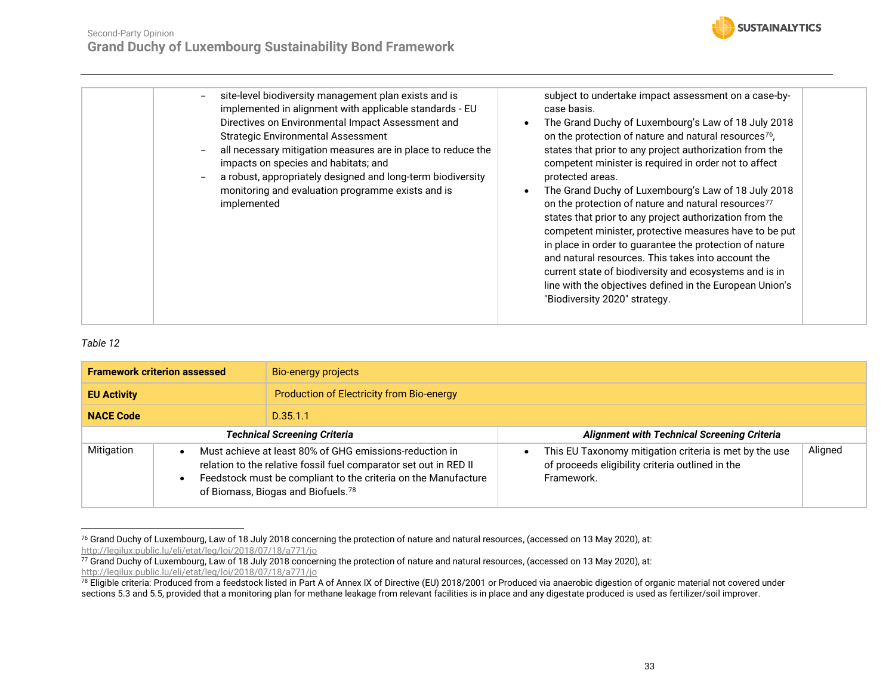![](_page_32_Picture_1.jpeg)

| site-level biodiversity management plan exists and is<br>implemented in alignment with applicable standards - EU<br>Directives on Environmental Impact Assessment and<br><b>Strategic Environmental Assessment</b><br>all necessary mitigation measures are in place to reduce the<br>impacts on species and habitats; and<br>a robust, appropriately designed and long-term biodiversity<br>monitoring and evaluation programme exists and is<br>implemented | subject to undertake impact assessment on a case-by-<br>case basis.<br>The Grand Duchy of Luxembourg's Law of 18 July 2018<br>on the protection of nature and natural resources <sup>76</sup> ,<br>states that prior to any project authorization from the<br>competent minister is required in order not to affect<br>protected areas.<br>The Grand Duchy of Luxembourg's Law of 18 July 2018<br>on the protection of nature and natural resources <sup>77</sup><br>states that prior to any project authorization from the<br>competent minister, protective measures have to be put<br>in place in order to guarantee the protection of nature<br>and natural resources. This takes into account the<br>current state of biodiversity and ecosystems and is in<br>line with the objectives defined in the European Union's<br>"Biodiversity 2020" strategy. |
|---------------------------------------------------------------------------------------------------------------------------------------------------------------------------------------------------------------------------------------------------------------------------------------------------------------------------------------------------------------------------------------------------------------------------------------------------------------|----------------------------------------------------------------------------------------------------------------------------------------------------------------------------------------------------------------------------------------------------------------------------------------------------------------------------------------------------------------------------------------------------------------------------------------------------------------------------------------------------------------------------------------------------------------------------------------------------------------------------------------------------------------------------------------------------------------------------------------------------------------------------------------------------------------------------------------------------------------|
|                                                                                                                                                                                                                                                                                                                                                                                                                                                               |                                                                                                                                                                                                                                                                                                                                                                                                                                                                                                                                                                                                                                                                                                                                                                                                                                                                |

<span id="page-32-0"></span>

| <b>Framework criterion assessed</b> |                                                                                                                                                                                                                                      | Bio-energy projects                       |                                                                                                                          |         |
|-------------------------------------|--------------------------------------------------------------------------------------------------------------------------------------------------------------------------------------------------------------------------------------|-------------------------------------------|--------------------------------------------------------------------------------------------------------------------------|---------|
| <b>EU Activity</b>                  |                                                                                                                                                                                                                                      | Production of Electricity from Bio-energy |                                                                                                                          |         |
| <b>NACE Code</b>                    |                                                                                                                                                                                                                                      | D.35.1.1                                  |                                                                                                                          |         |
| <b>Technical Screening Criteria</b> |                                                                                                                                                                                                                                      |                                           | <b>Alignment with Technical Screening Criteria</b>                                                                       |         |
| Mitigation                          | Must achieve at least 80% of GHG emissions-reduction in<br>relation to the relative fossil fuel comparator set out in RED II<br>Feedstock must be compliant to the criteria on the Manufacture<br>of Biomass, Biogas and Biofuels.78 |                                           | This EU Taxonomy mitigation criteria is met by the use<br>of proceeds eligibility criteria outlined in the<br>Framework. | Aligned |

<sup>76</sup> Grand Duchy of Luxembourg, Law of 18 July 2018 concerning the protection of nature and natural resources, (accessed on 13 May 2020), at: <http://legilux.public.lu/eli/etat/leg/loi/2018/07/18/a771/jo>

<sup>77</sup> Grand Duchy of Luxembourg, Law of 18 July 2018 concerning the protection of nature and natural resources, (accessed on 13 May 2020), at: <http://legilux.public.lu/eli/etat/leg/loi/2018/07/18/a771/jo>

<sup>&</sup>lt;sup>78</sup> Eligible criteria: Produced from a feedstock listed in Part A of Annex IX of Directive (EU) 2018/2001 or Produced via anaerobic digestion of organic material not covered under sections 5.3 and 5.5, provided that a monitoring plan for methane leakage from relevant facilities is in place and any digestate produced is used as fertilizer/soil improver.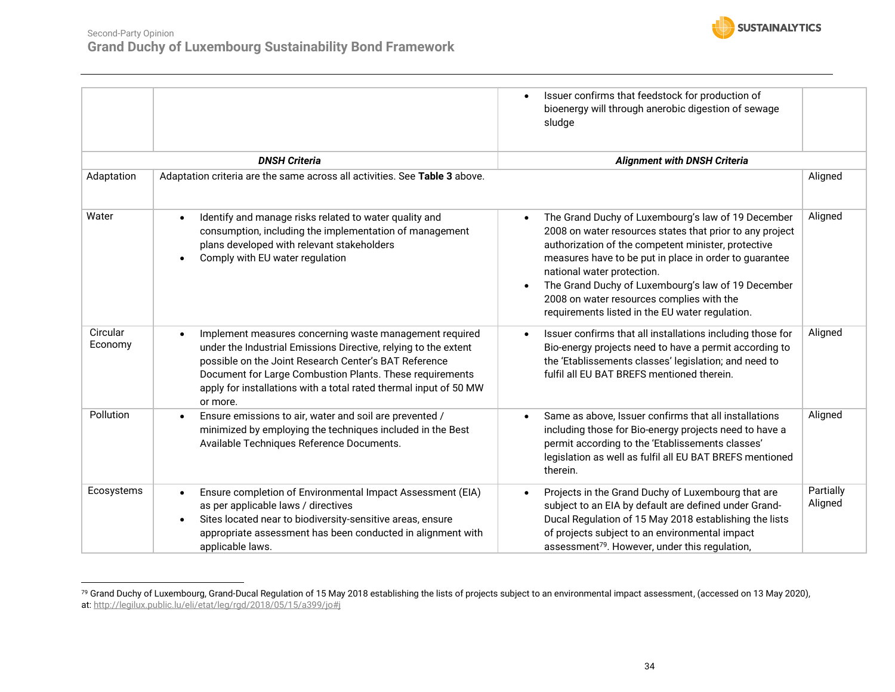![](_page_33_Picture_0.jpeg)

|                     |                                                                                                                                                                                                                                                                                                                                  | Issuer confirms that feedstock for production of<br>bioenergy will through anerobic digestion of sewage<br>sludge                                                                                                                                                                                                                                                                                                                |                      |
|---------------------|----------------------------------------------------------------------------------------------------------------------------------------------------------------------------------------------------------------------------------------------------------------------------------------------------------------------------------|----------------------------------------------------------------------------------------------------------------------------------------------------------------------------------------------------------------------------------------------------------------------------------------------------------------------------------------------------------------------------------------------------------------------------------|----------------------|
|                     | <b>DNSH Criteria</b>                                                                                                                                                                                                                                                                                                             | <b>Alignment with DNSH Criteria</b>                                                                                                                                                                                                                                                                                                                                                                                              |                      |
| Adaptation          | Adaptation criteria are the same across all activities. See Table 3 above.                                                                                                                                                                                                                                                       |                                                                                                                                                                                                                                                                                                                                                                                                                                  | Aligned              |
| Water               | Identify and manage risks related to water quality and<br>consumption, including the implementation of management<br>plans developed with relevant stakeholders<br>Comply with EU water regulation                                                                                                                               | The Grand Duchy of Luxembourg's law of 19 December<br>$\bullet$<br>2008 on water resources states that prior to any project<br>authorization of the competent minister, protective<br>measures have to be put in place in order to guarantee<br>national water protection.<br>The Grand Duchy of Luxembourg's law of 19 December<br>2008 on water resources complies with the<br>requirements listed in the EU water regulation. | Aligned              |
| Circular<br>Economy | Implement measures concerning waste management required<br>under the Industrial Emissions Directive, relying to the extent<br>possible on the Joint Research Center's BAT Reference<br>Document for Large Combustion Plants. These requirements<br>apply for installations with a total rated thermal input of 50 MW<br>or more. | Issuer confirms that all installations including those for<br>Bio-energy projects need to have a permit according to<br>the 'Etablissements classes' legislation; and need to<br>fulfil all EU BAT BREFS mentioned therein.                                                                                                                                                                                                      | Aligned              |
| Pollution           | Ensure emissions to air, water and soil are prevented /<br>minimized by employing the techniques included in the Best<br>Available Techniques Reference Documents.                                                                                                                                                               | Same as above, Issuer confirms that all installations<br>including those for Bio-energy projects need to have a<br>permit according to the 'Etablissements classes'<br>legislation as well as fulfil all EU BAT BREFS mentioned<br>therein.                                                                                                                                                                                      | Aligned              |
| Ecosystems          | Ensure completion of Environmental Impact Assessment (EIA)<br>as per applicable laws / directives<br>Sites located near to biodiversity-sensitive areas, ensure<br>appropriate assessment has been conducted in alignment with<br>applicable laws.                                                                               | Projects in the Grand Duchy of Luxembourg that are<br>$\bullet$<br>subject to an EIA by default are defined under Grand-<br>Ducal Regulation of 15 May 2018 establishing the lists<br>of projects subject to an environmental impact<br>assessment <sup>79</sup> . However, under this regulation,                                                                                                                               | Partially<br>Aligned |

 $^{79}$  Grand Duchy of Luxembourg, Grand-Ducal Regulation of 15 May 2018 establishing the lists of projects subject to an environmental impact assessment, (accessed on 13 May 2020), at:<http://legilux.public.lu/eli/etat/leg/rgd/2018/05/15/a399/jo#j>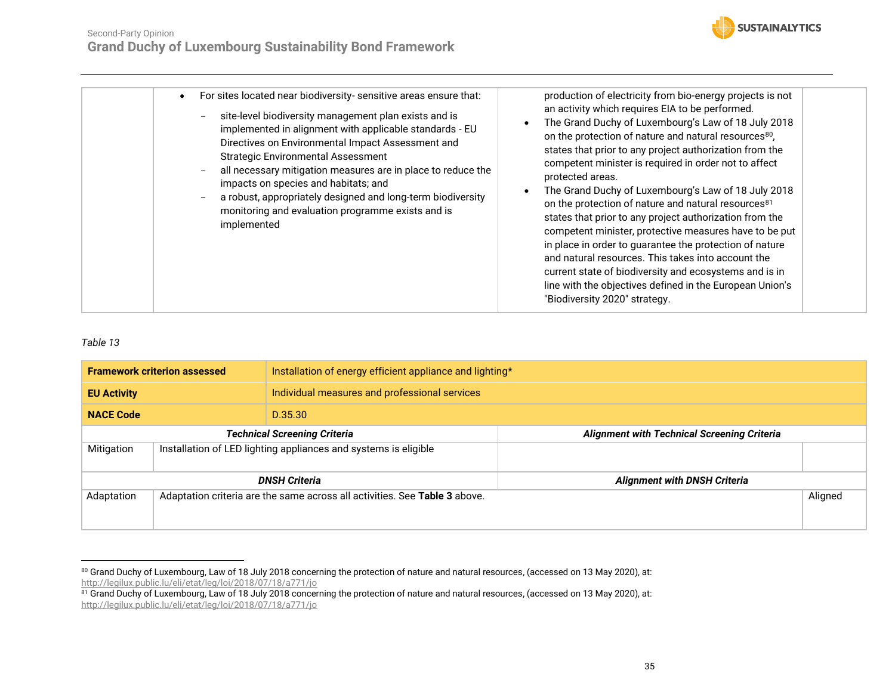![](_page_34_Picture_1.jpeg)

<span id="page-34-0"></span>

| <b>Framework criterion assessed</b>                                           |  | Installation of energy efficient appliance and lighting*                   |                                                    |         |  |
|-------------------------------------------------------------------------------|--|----------------------------------------------------------------------------|----------------------------------------------------|---------|--|
| <b>EU Activity</b>                                                            |  | Individual measures and professional services                              |                                                    |         |  |
| <b>NACE Code</b>                                                              |  | D.35.30                                                                    |                                                    |         |  |
| <b>Technical Screening Criteria</b>                                           |  |                                                                            | <b>Alignment with Technical Screening Criteria</b> |         |  |
| Installation of LED lighting appliances and systems is eligible<br>Mitigation |  |                                                                            |                                                    |         |  |
|                                                                               |  | <b>DNSH Criteria</b>                                                       | <b>Alignment with DNSH Criteria</b>                |         |  |
| Adaptation                                                                    |  | Adaptation criteria are the same across all activities. See Table 3 above. |                                                    | Aligned |  |

 $^{80}$  Grand Duchy of Luxembourg, Law of 18 July 2018 concerning the protection of nature and natural resources, (accessed on 13 May 2020), at: <http://legilux.public.lu/eli/etat/leg/loi/2018/07/18/a771/jo>

 $^\mathrm{81}$  Grand Duchy of Luxembourg, Law of 18 July 2018 concerning the protection of nature and natural resources, (accessed on 13 May 2020), at: <http://legilux.public.lu/eli/etat/leg/loi/2018/07/18/a771/jo>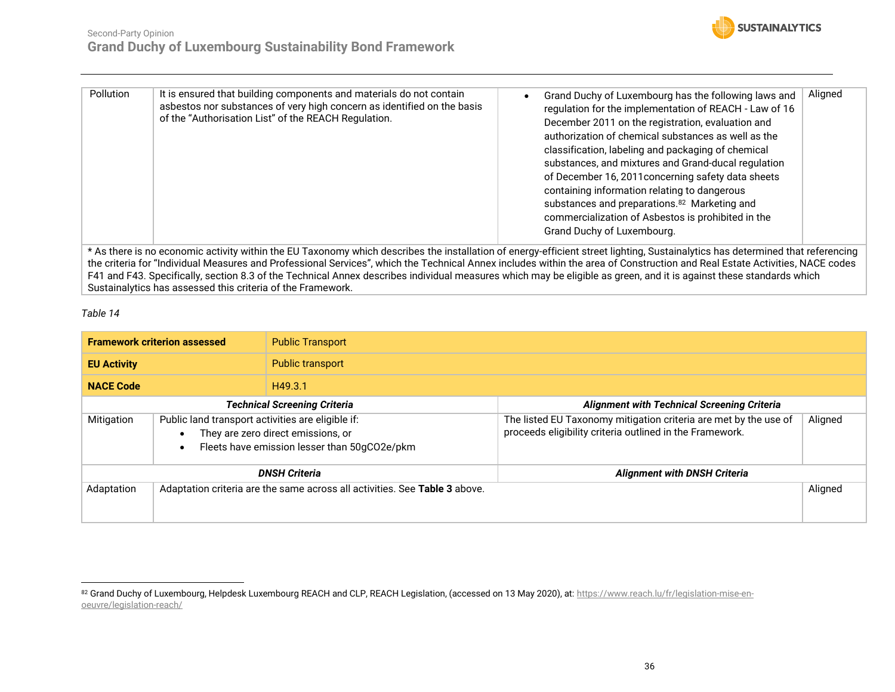Sustainalytics has assessed this criteria of the Framework.

![](_page_35_Picture_1.jpeg)

| <b>Pollution</b>                                                                                                                                                            | It is ensured that building components and materials do not contain<br>asbestos nor substances of very high concern as identified on the basis<br>of the "Authorisation List" of the REACH Regulation. | Grand Duchy of Luxembourg has the following laws and<br>regulation for the implementation of REACH - Law of 16<br>December 2011 on the registration, evaluation and<br>authorization of chemical substances as well as the<br>classification, labeling and packaging of chemical<br>substances, and mixtures and Grand-ducal regulation<br>of December 16, 2011 concerning safety data sheets<br>containing information relating to dangerous<br>substances and preparations. <sup>82</sup> Marketing and<br>commercialization of Asbestos is prohibited in the<br>Grand Duchy of Luxembourg. | Aligned |  |
|-----------------------------------------------------------------------------------------------------------------------------------------------------------------------------|--------------------------------------------------------------------------------------------------------------------------------------------------------------------------------------------------------|-----------------------------------------------------------------------------------------------------------------------------------------------------------------------------------------------------------------------------------------------------------------------------------------------------------------------------------------------------------------------------------------------------------------------------------------------------------------------------------------------------------------------------------------------------------------------------------------------|---------|--|
|                                                                                                                                                                             | * As there is no economic activity within the EU Taxonomy which describes the installation of energy-efficient street lighting, Sustainalytics has determined that referencing                         |                                                                                                                                                                                                                                                                                                                                                                                                                                                                                                                                                                                               |         |  |
| the criteria for "Individual Measures and Professional Services", which the Technical Annex includes within the area of Construction and Real Estate Activities, NACE codes |                                                                                                                                                                                                        |                                                                                                                                                                                                                                                                                                                                                                                                                                                                                                                                                                                               |         |  |
|                                                                                                                                                                             |                                                                                                                                                                                                        |                                                                                                                                                                                                                                                                                                                                                                                                                                                                                                                                                                                               |         |  |
|                                                                                                                                                                             | F41 and F43. Specifically, section 8.3 of the Technical Annex describes individual measures which may be eligible as green, and it is against these standards which                                    |                                                                                                                                                                                                                                                                                                                                                                                                                                                                                                                                                                                               |         |  |

<span id="page-35-0"></span>

|                                                                                          | <b>Framework criterion assessed</b><br><b>Public Transport</b>                                                                          |                                                                                                                              |         |
|------------------------------------------------------------------------------------------|-----------------------------------------------------------------------------------------------------------------------------------------|------------------------------------------------------------------------------------------------------------------------------|---------|
| <b>EU Activity</b>                                                                       | <b>Public transport</b>                                                                                                                 |                                                                                                                              |         |
| <b>NACE Code</b>                                                                         | H49.3.1                                                                                                                                 |                                                                                                                              |         |
|                                                                                          | <b>Technical Screening Criteria</b>                                                                                                     | <b>Alignment with Technical Screening Criteria</b>                                                                           |         |
| Mitigation                                                                               | Public land transport activities are eligible if:<br>They are zero direct emissions, or<br>Fleets have emission lesser than 50gCO2e/pkm | The listed EU Taxonomy mitigation criteria are met by the use of<br>proceeds eligibility criteria outlined in the Framework. | Aligned |
|                                                                                          | <b>DNSH Criteria</b>                                                                                                                    | <b>Alignment with DNSH Criteria</b>                                                                                          |         |
| Adaptation<br>Adaptation criteria are the same across all activities. See Table 3 above. |                                                                                                                                         |                                                                                                                              | Aligned |

<sup>&</sup>lt;sup>82</sup> Grand Duchy of Luxembourg, Helpdesk Luxembourg REACH and CLP, REACH Legislation, (accessed on 13 May 2020), at: <u>https://www.reach.lu/fr/legislation-mise-en-</u> [oeuvre/legislation-reach/](https://www.reach.lu/fr/legislation-mise-en-oeuvre/legislation-reach/)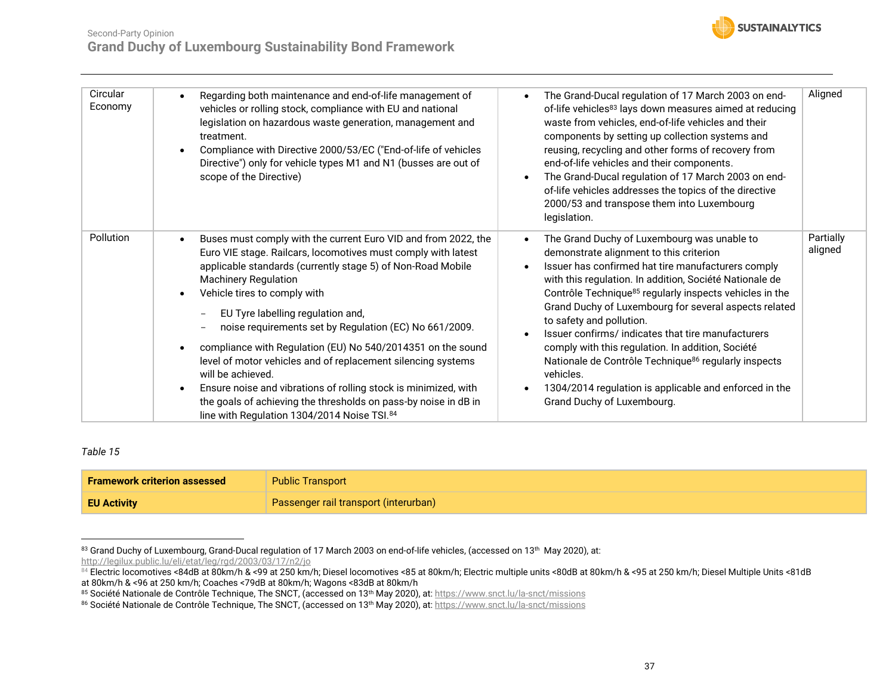![](_page_36_Picture_0.jpeg)

| Circular<br>Economy | Regarding both maintenance and end-of-life management of<br>vehicles or rolling stock, compliance with EU and national<br>legislation on hazardous waste generation, management and<br>treatment.<br>Compliance with Directive 2000/53/EC ("End-of-life of vehicles<br>Directive") only for vehicle types M1 and N1 (busses are out of<br>scope of the Directive)                                                                                                                                                                                                                                                                                                                                     | The Grand-Ducal regulation of 17 March 2003 on end-<br>$\bullet$<br>of-life vehicles <sup>83</sup> lays down measures aimed at reducing<br>waste from vehicles, end-of-life vehicles and their<br>components by setting up collection systems and<br>reusing, recycling and other forms of recovery from<br>end-of-life vehicles and their components.<br>The Grand-Ducal regulation of 17 March 2003 on end-<br>$\bullet$<br>of-life vehicles addresses the topics of the directive<br>2000/53 and transpose them into Luxembourg<br>legislation.                                                                                                                  | Aligned              |
|---------------------|-------------------------------------------------------------------------------------------------------------------------------------------------------------------------------------------------------------------------------------------------------------------------------------------------------------------------------------------------------------------------------------------------------------------------------------------------------------------------------------------------------------------------------------------------------------------------------------------------------------------------------------------------------------------------------------------------------|---------------------------------------------------------------------------------------------------------------------------------------------------------------------------------------------------------------------------------------------------------------------------------------------------------------------------------------------------------------------------------------------------------------------------------------------------------------------------------------------------------------------------------------------------------------------------------------------------------------------------------------------------------------------|----------------------|
| Pollution           | Buses must comply with the current Euro VID and from 2022, the<br>Euro VIE stage. Railcars, locomotives must comply with latest<br>applicable standards (currently stage 5) of Non-Road Mobile<br><b>Machinery Regulation</b><br>Vehicle tires to comply with<br>EU Tyre labelling regulation and,<br>noise requirements set by Regulation (EC) No 661/2009.<br>compliance with Regulation (EU) No 540/2014351 on the sound<br>level of motor vehicles and of replacement silencing systems<br>will be achieved.<br>Ensure noise and vibrations of rolling stock is minimized, with<br>the goals of achieving the thresholds on pass-by noise in dB in<br>line with Regulation 1304/2014 Noise TSI.84 | The Grand Duchy of Luxembourg was unable to<br>$\bullet$<br>demonstrate alignment to this criterion<br>Issuer has confirmed hat tire manufacturers comply<br>with this regulation. In addition, Société Nationale de<br>Contrôle Technique <sup>85</sup> regularly inspects vehicles in the<br>Grand Duchy of Luxembourg for several aspects related<br>to safety and pollution.<br>Issuer confirms/indicates that tire manufacturers<br>comply with this regulation. In addition, Société<br>Nationale de Contrôle Technique <sup>86</sup> regularly inspects<br>vehicles.<br>1304/2014 regulation is applicable and enforced in the<br>Grand Duchy of Luxembourg. | Partially<br>aligned |

<span id="page-36-0"></span>

| <b>Framework criterion assessed</b> | <b>Public Transport</b>               |
|-------------------------------------|---------------------------------------|
| <b>EU Activity</b>                  | Passenger rail transport (interurban) |

 $^{83}$  Grand Duchy of Luxembourg, Grand-Ducal regulation of 17 March 2003 on end-of-life vehicles, (accessed on 13th May 2020), at: <http://legilux.public.lu/eli/etat/leg/rgd/2003/03/17/n2/jo>

<sup>84</sup> Electric locomotives <84dB at 80km/h & <99 at 250 km/h; Diesel locomotives <85 at 80km/h; Electric multiple units <80dB at 80km/h & <95 at 250 km/h; Diesel Multiple Units <81dB at 80km/h & <96 at 250 km/h; Coaches <79dB at 80km/h; Wagons <83dB at 80km/h

<sup>&</sup>lt;sup>85</sup> Société Nationale de Contrôle Technique, The SNCT, (accessed on 13<sup>th</sup> May 2020), at: <u>https://www.snct.lu/la-snct/missions</u>

<sup>&</sup>lt;sup>86</sup> Société Nationale de Contrôle Technique, The SNCT, (accessed on 13<sup>th</sup> May 2020), at: <u>https://www.snct.lu/la-snct/missions</u>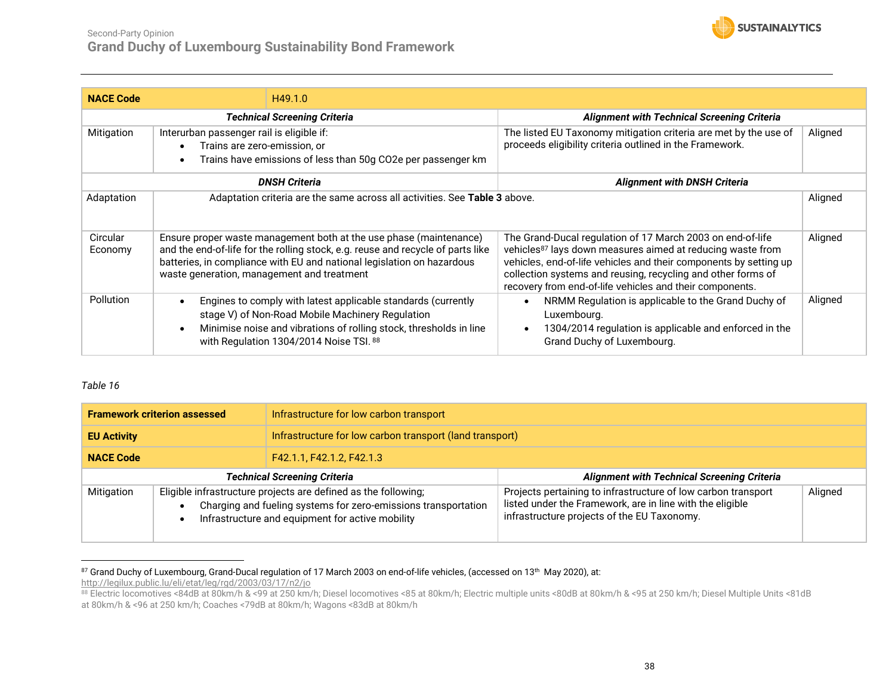![](_page_37_Picture_1.jpeg)

| <b>NACE Code</b>    | H49.1.0                                                                                                                                                                                                                                                                       |                                                                                                                                                                                                                                                                                                                                       |         |
|---------------------|-------------------------------------------------------------------------------------------------------------------------------------------------------------------------------------------------------------------------------------------------------------------------------|---------------------------------------------------------------------------------------------------------------------------------------------------------------------------------------------------------------------------------------------------------------------------------------------------------------------------------------|---------|
|                     | <b>Technical Screening Criteria</b>                                                                                                                                                                                                                                           | <b>Alignment with Technical Screening Criteria</b>                                                                                                                                                                                                                                                                                    |         |
| Mitigation          | Interurban passenger rail is eligible if:                                                                                                                                                                                                                                     | The listed EU Taxonomy mitigation criteria are met by the use of                                                                                                                                                                                                                                                                      | Aligned |
|                     | Trains are zero-emission, or<br>$\bullet$                                                                                                                                                                                                                                     | proceeds eligibility criteria outlined in the Framework.                                                                                                                                                                                                                                                                              |         |
|                     | Trains have emissions of less than 50g CO2e per passenger km<br>$\bullet$                                                                                                                                                                                                     |                                                                                                                                                                                                                                                                                                                                       |         |
|                     | <b>DNSH Criteria</b>                                                                                                                                                                                                                                                          | <b>Alignment with DNSH Criteria</b>                                                                                                                                                                                                                                                                                                   |         |
| Adaptation          | Adaptation criteria are the same across all activities. See Table 3 above.                                                                                                                                                                                                    |                                                                                                                                                                                                                                                                                                                                       | Aligned |
| Circular<br>Economy | Ensure proper waste management both at the use phase (maintenance)<br>and the end-of-life for the rolling stock, e.g. reuse and recycle of parts like<br>batteries, in compliance with EU and national legislation on hazardous<br>waste generation, management and treatment | The Grand-Ducal regulation of 17 March 2003 on end-of-life<br>vehicles <sup>87</sup> lays down measures aimed at reducing waste from<br>vehicles, end-of-life vehicles and their components by setting up<br>collection systems and reusing, recycling and other forms of<br>recovery from end-of-life vehicles and their components. | Aligned |
| Pollution           | Engines to comply with latest applicable standards (currently<br>$\bullet$<br>stage V) of Non-Road Mobile Machinery Regulation<br>Minimise noise and vibrations of rolling stock, thresholds in line<br>$\bullet$<br>with Regulation 1304/2014 Noise TSI. 88                  | NRMM Regulation is applicable to the Grand Duchy of<br>$\bullet$<br>Luxembourg.<br>1304/2014 regulation is applicable and enforced in the<br>$\bullet$<br>Grand Duchy of Luxembourg.                                                                                                                                                  | Aligned |

<span id="page-37-0"></span>

| <b>Framework criterion assessed</b>                                                                                                                                                                |  | Infrastructure for low carbon transport                  |                                                                                                                                                                           |         |
|----------------------------------------------------------------------------------------------------------------------------------------------------------------------------------------------------|--|----------------------------------------------------------|---------------------------------------------------------------------------------------------------------------------------------------------------------------------------|---------|
| <b>EU Activity</b>                                                                                                                                                                                 |  | Infrastructure for low carbon transport (land transport) |                                                                                                                                                                           |         |
| <b>NACE Code</b>                                                                                                                                                                                   |  | F42.1.1, F42.1.2, F42.1.3                                |                                                                                                                                                                           |         |
| <b>Technical Screening Criteria</b>                                                                                                                                                                |  |                                                          | <b>Alignment with Technical Screening Criteria</b>                                                                                                                        |         |
| Eligible infrastructure projects are defined as the following;<br>Mitigation<br>Charging and fueling systems for zero-emissions transportation<br>Infrastructure and equipment for active mobility |  |                                                          | Projects pertaining to infrastructure of low carbon transport<br>listed under the Framework, are in line with the eligible<br>infrastructure projects of the EU Taxonomy. | Aligned |

 $^{87}$  Grand Duchy of Luxembourg, Grand-Ducal regulation of 17 March 2003 on end-of-life vehicles, (accessed on 13th May 2020), at: <http://legilux.public.lu/eli/etat/leg/rgd/2003/03/17/n2/jo>

<sup>88</sup> Electric locomotives <84dB at 80km/h & <99 at 250 km/h; Diesel locomotives <85 at 80km/h; Electric multiple units <80dB at 80km/h & <95 at 250 km/h; Diesel Multiple Units <81dB at 80km/h & <96 at 250 km/h; Coaches <79dB at 80km/h; Wagons <83dB at 80km/h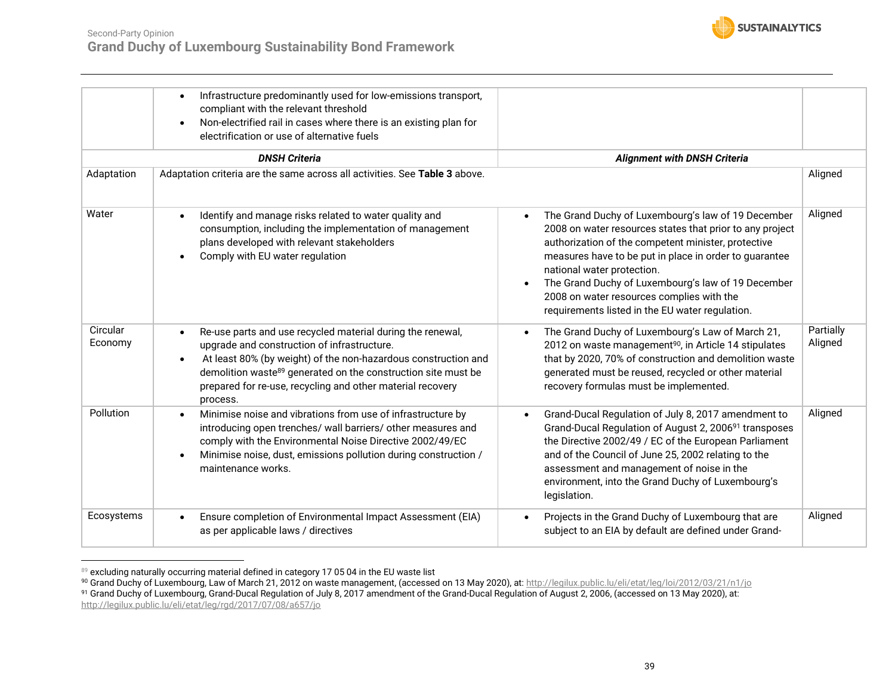![](_page_38_Picture_0.jpeg)

|                     | Infrastructure predominantly used for low-emissions transport,<br>compliant with the relevant threshold<br>Non-electrified rail in cases where there is an existing plan for<br>electrification or use of alternative fuels                                                                                                                     |                                                                                                                                                                                                                                                                                                                                                                                                                                  |                      |
|---------------------|-------------------------------------------------------------------------------------------------------------------------------------------------------------------------------------------------------------------------------------------------------------------------------------------------------------------------------------------------|----------------------------------------------------------------------------------------------------------------------------------------------------------------------------------------------------------------------------------------------------------------------------------------------------------------------------------------------------------------------------------------------------------------------------------|----------------------|
|                     | <b>DNSH Criteria</b>                                                                                                                                                                                                                                                                                                                            | <b>Alignment with DNSH Criteria</b>                                                                                                                                                                                                                                                                                                                                                                                              |                      |
| Adaptation          | Adaptation criteria are the same across all activities. See Table 3 above.                                                                                                                                                                                                                                                                      |                                                                                                                                                                                                                                                                                                                                                                                                                                  | Aligned              |
| Water               | Identify and manage risks related to water quality and<br>consumption, including the implementation of management<br>plans developed with relevant stakeholders<br>Comply with EU water regulation                                                                                                                                              | The Grand Duchy of Luxembourg's law of 19 December<br>$\bullet$<br>2008 on water resources states that prior to any project<br>authorization of the competent minister, protective<br>measures have to be put in place in order to guarantee<br>national water protection.<br>The Grand Duchy of Luxembourg's law of 19 December<br>2008 on water resources complies with the<br>requirements listed in the EU water regulation. | Aligned              |
| Circular<br>Economy | Re-use parts and use recycled material during the renewal,<br>upgrade and construction of infrastructure.<br>At least 80% (by weight) of the non-hazardous construction and<br>$\bullet$<br>demolition waste <sup>89</sup> generated on the construction site must be<br>prepared for re-use, recycling and other material recovery<br>process. | The Grand Duchy of Luxembourg's Law of March 21,<br>$\bullet$<br>2012 on waste management <sup>90</sup> , in Article 14 stipulates<br>that by 2020, 70% of construction and demolition waste<br>generated must be reused, recycled or other material<br>recovery formulas must be implemented.                                                                                                                                   | Partially<br>Aligned |
| Pollution           | Minimise noise and vibrations from use of infrastructure by<br>introducing open trenches/ wall barriers/ other measures and<br>comply with the Environmental Noise Directive 2002/49/EC<br>Minimise noise, dust, emissions pollution during construction /<br>maintenance works.                                                                | Grand-Ducal Regulation of July 8, 2017 amendment to<br>$\bullet$<br>Grand-Ducal Regulation of August 2, 2006 <sup>91</sup> transposes<br>the Directive 2002/49 / EC of the European Parliament<br>and of the Council of June 25, 2002 relating to the<br>assessment and management of noise in the<br>environment, into the Grand Duchy of Luxembourg's<br>legislation.                                                          | Aligned              |
| Ecosystems          | Ensure completion of Environmental Impact Assessment (EIA)<br>as per applicable laws / directives                                                                                                                                                                                                                                               | Projects in the Grand Duchy of Luxembourg that are<br>subject to an EIA by default are defined under Grand-                                                                                                                                                                                                                                                                                                                      | Aligned              |

<sup>89</sup> excluding naturally occurring material defined in category 17 05 04 in the EU waste list

<sup>90</sup> Grand Duchy of Luxembourg, Law of March 21, 2012 on waste management, (accessed on 13 May 2020), at[: http://legilux.public.lu/eli/etat/leg/loi/2012/03/21/n1/jo](http://legilux.public.lu/eli/etat/leg/loi/2012/03/21/n1/jo)

 $^{91}$  Grand Duchy of Luxembourg, Grand-Ducal Regulation of July 8, 2017 amendment of the Grand-Ducal Regulation of August 2, 2006, (accessed on 13 May 2020), at:

<http://legilux.public.lu/eli/etat/leg/rgd/2017/07/08/a657/jo>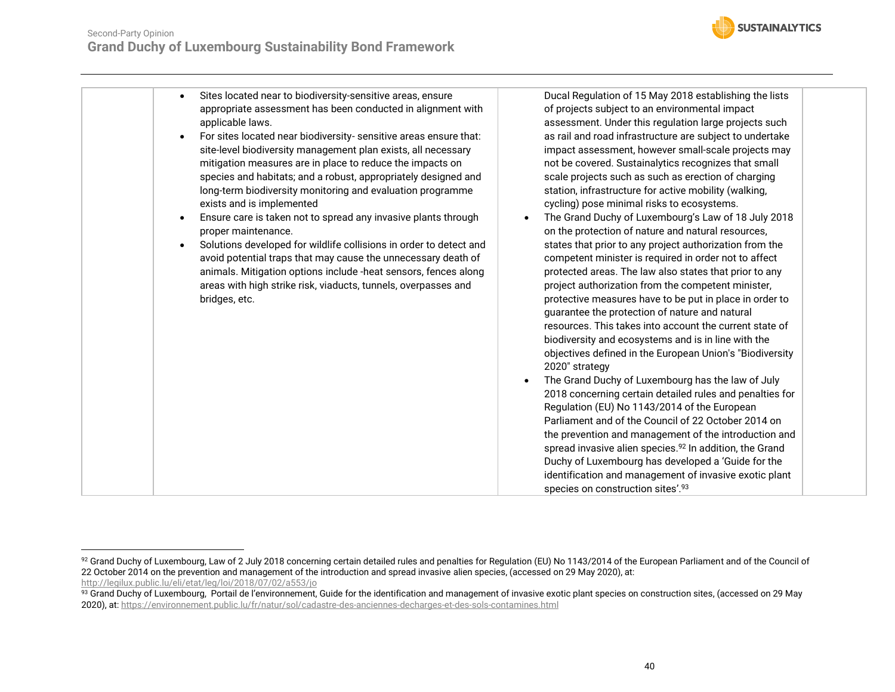![](_page_39_Picture_1.jpeg)

| Sites located near to biodiversity-sensitive areas, ensure<br>$\bullet$                            | Ducal Regulation of 15 May 2018 establishing the lists                                                                       |
|----------------------------------------------------------------------------------------------------|------------------------------------------------------------------------------------------------------------------------------|
| appropriate assessment has been conducted in alignment with                                        | of projects subject to an environmental impact                                                                               |
| applicable laws.                                                                                   | assessment. Under this regulation large projects such                                                                        |
| For sites located near biodiversity- sensitive areas ensure that:<br>$\bullet$                     | as rail and road infrastructure are subject to undertake                                                                     |
| site-level biodiversity management plan exists, all necessary                                      | impact assessment, however small-scale projects may                                                                          |
| mitigation measures are in place to reduce the impacts on                                          | not be covered. Sustainalytics recognizes that small                                                                         |
| species and habitats; and a robust, appropriately designed and                                     | scale projects such as such as erection of charging                                                                          |
| long-term biodiversity monitoring and evaluation programme                                         | station, infrastructure for active mobility (walking,                                                                        |
| exists and is implemented                                                                          | cycling) pose minimal risks to ecosystems.                                                                                   |
| Ensure care is taken not to spread any invasive plants through<br>$\bullet$<br>proper maintenance. | The Grand Duchy of Luxembourg's Law of 18 July 2018<br>on the protection of nature and natural resources,                    |
| Solutions developed for wildlife collisions in order to detect and<br>$\bullet$                    | states that prior to any project authorization from the                                                                      |
| avoid potential traps that may cause the unnecessary death of                                      | competent minister is required in order not to affect                                                                        |
| animals. Mitigation options include -heat sensors, fences along                                    | protected areas. The law also states that prior to any                                                                       |
| areas with high strike risk, viaducts, tunnels, overpasses and                                     | project authorization from the competent minister,                                                                           |
| bridges, etc.                                                                                      | protective measures have to be put in place in order to                                                                      |
|                                                                                                    | guarantee the protection of nature and natural                                                                               |
|                                                                                                    | resources. This takes into account the current state of                                                                      |
|                                                                                                    | biodiversity and ecosystems and is in line with the                                                                          |
|                                                                                                    | objectives defined in the European Union's "Biodiversity                                                                     |
|                                                                                                    | 2020" strategy                                                                                                               |
|                                                                                                    | The Grand Duchy of Luxembourg has the law of July                                                                            |
|                                                                                                    | 2018 concerning certain detailed rules and penalties for                                                                     |
|                                                                                                    | Regulation (EU) No 1143/2014 of the European                                                                                 |
|                                                                                                    | Parliament and of the Council of 22 October 2014 on                                                                          |
|                                                                                                    | the prevention and management of the introduction and<br>spread invasive alien species. <sup>92</sup> In addition, the Grand |
|                                                                                                    | Duchy of Luxembourg has developed a 'Guide for the                                                                           |
|                                                                                                    | identification and management of invasive exotic plant                                                                       |
|                                                                                                    | species on construction sites'.93                                                                                            |

 $^{92}$  Grand Duchy of Luxembourg, Law of 2 July 2018 concerning certain detailed rules and penalties for Regulation (EU) No 1143/2014 of the European Parliament and of the Council of 22 October 2014 on the prevention and management of the introduction and spread invasive alien species, (accessed on 29 May 2020), at: <http://legilux.public.lu/eli/etat/leg/loi/2018/07/02/a553/jo>

 $^{93}$  Grand Duchy of Luxembourg, Portail de l'environnement, Guide for the identification and management of invasive exotic plant species on construction sites, (accessed on 29 May 2020), at[: https://environnement.public.lu/fr/natur/sol/cadastre-des-anciennes-decharges-et-des-sols-contamines.html](https://environnement.public.lu/fr/natur/sol/cadastre-des-anciennes-decharges-et-des-sols-contamines.html)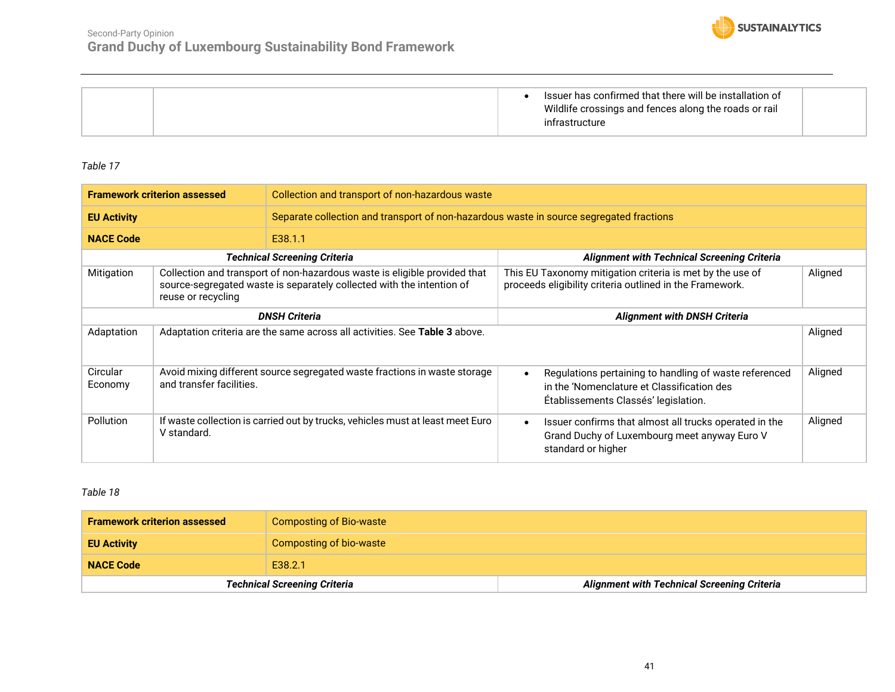![](_page_40_Picture_1.jpeg)

|  | Issuer has confirmed that there will be installation of<br>Wildlife crossings and fences along the roads or rail<br>infrastructure |  |
|--|------------------------------------------------------------------------------------------------------------------------------------|--|
|--|------------------------------------------------------------------------------------------------------------------------------------|--|

<span id="page-40-0"></span>

| <b>Framework criterion assessed</b>                                                                                                                                                    |                          | Collection and transport of non-hazardous waste                                         |                                                                                                                                                           |         |
|----------------------------------------------------------------------------------------------------------------------------------------------------------------------------------------|--------------------------|-----------------------------------------------------------------------------------------|-----------------------------------------------------------------------------------------------------------------------------------------------------------|---------|
| <b>EU Activity</b>                                                                                                                                                                     |                          | Separate collection and transport of non-hazardous waste in source segregated fractions |                                                                                                                                                           |         |
| <b>NACE Code</b>                                                                                                                                                                       |                          | E38.1.1                                                                                 |                                                                                                                                                           |         |
|                                                                                                                                                                                        |                          | <b>Technical Screening Criteria</b>                                                     | <b>Alignment with Technical Screening Criteria</b>                                                                                                        |         |
| Mitigation<br>Collection and transport of non-hazardous waste is eligible provided that<br>source-segregated waste is separately collected with the intention of<br>reuse or recycling |                          |                                                                                         | This EU Taxonomy mitigation criteria is met by the use of<br>proceeds eligibility criteria outlined in the Framework.                                     | Aligned |
| <b>DNSH Criteria</b>                                                                                                                                                                   |                          |                                                                                         | <b>Alignment with DNSH Criteria</b>                                                                                                                       |         |
| Adaptation                                                                                                                                                                             |                          | Adaptation criteria are the same across all activities. See Table 3 above.              |                                                                                                                                                           | Aligned |
| Circular<br>Economy                                                                                                                                                                    | and transfer facilities. | Avoid mixing different source segregated waste fractions in waste storage               | Regulations pertaining to handling of waste referenced<br>$\bullet$<br>in the 'Nomenclature et Classification des<br>Établissements Classés' legislation. | Aligned |
| <b>Pollution</b><br>If waste collection is carried out by trucks, vehicles must at least meet Euro<br>V standard.                                                                      |                          |                                                                                         | Issuer confirms that almost all trucks operated in the<br>$\bullet$<br>Grand Duchy of Luxembourg meet anyway Euro V<br>standard or higher                 | Aligned |

<span id="page-40-1"></span>

| <b>Framework criterion assessed</b> | Composting of Bio-waste             |                                                    |
|-------------------------------------|-------------------------------------|----------------------------------------------------|
| <b>EU Activity</b>                  | Composting of bio-waste             |                                                    |
| <b>NACE Code</b>                    | E38.2.1                             |                                                    |
|                                     | <b>Technical Screening Criteria</b> | <b>Alignment with Technical Screening Criteria</b> |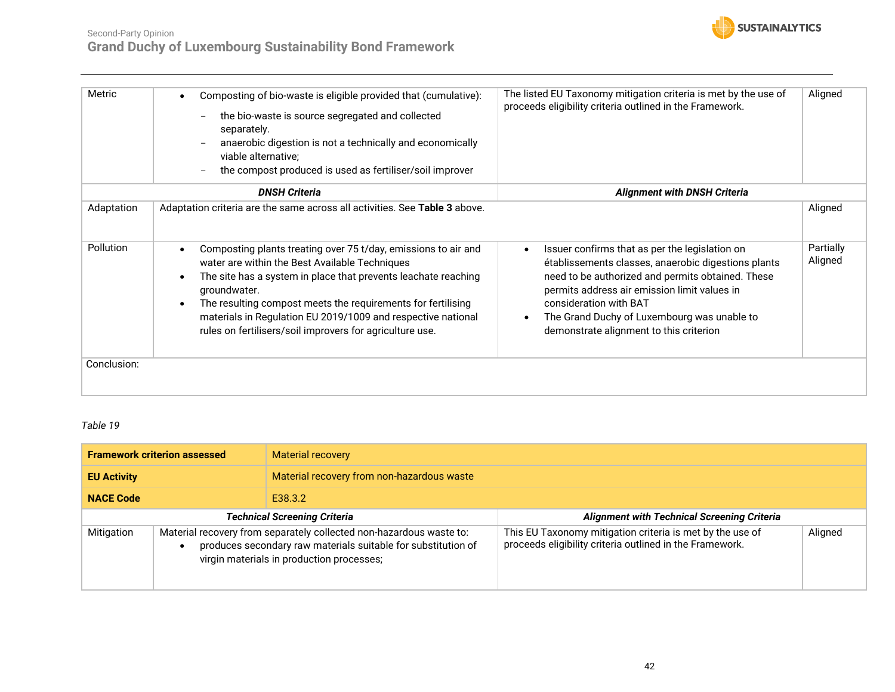![](_page_41_Picture_0.jpeg)

| Metric           | Composting of bio-waste is eligible provided that (cumulative):<br>$\bullet$<br>the bio-waste is source segregated and collected<br>$\overline{\phantom{a}}$<br>separately.<br>anaerobic digestion is not a technically and economically<br>$\overline{\phantom{0}}$<br>viable alternative;<br>the compost produced is used as fertiliser/soil improver                                                                               | The listed EU Taxonomy mitigation criteria is met by the use of<br>proceeds eligibility criteria outlined in the Framework.                                                                                                                                                                                                                              | Aligned              |
|------------------|---------------------------------------------------------------------------------------------------------------------------------------------------------------------------------------------------------------------------------------------------------------------------------------------------------------------------------------------------------------------------------------------------------------------------------------|----------------------------------------------------------------------------------------------------------------------------------------------------------------------------------------------------------------------------------------------------------------------------------------------------------------------------------------------------------|----------------------|
|                  | <b>DNSH Criteria</b>                                                                                                                                                                                                                                                                                                                                                                                                                  | <b>Alignment with DNSH Criteria</b>                                                                                                                                                                                                                                                                                                                      |                      |
| Adaptation       | Adaptation criteria are the same across all activities. See Table 3 above.                                                                                                                                                                                                                                                                                                                                                            |                                                                                                                                                                                                                                                                                                                                                          | Aligned              |
| <b>Pollution</b> | Composting plants treating over 75 t/day, emissions to air and<br>$\bullet$<br>water are within the Best Available Techniques<br>The site has a system in place that prevents leachate reaching<br>$\bullet$<br>groundwater.<br>The resulting compost meets the requirements for fertilising<br>$\bullet$<br>materials in Regulation EU 2019/1009 and respective national<br>rules on fertilisers/soil improvers for agriculture use. | Issuer confirms that as per the legislation on<br>$\bullet$<br>établissements classes, anaerobic digestions plants<br>need to be authorized and permits obtained. These<br>permits address air emission limit values in<br>consideration with BAT<br>The Grand Duchy of Luxembourg was unable to<br>$\bullet$<br>demonstrate alignment to this criterion | Partially<br>Aligned |
| Conclusion:      |                                                                                                                                                                                                                                                                                                                                                                                                                                       |                                                                                                                                                                                                                                                                                                                                                          |                      |

<span id="page-41-0"></span>

| <b>Framework criterion assessed</b> |                                                                                                                                                                                   | <b>Material recovery</b>                   |                                                                                                                       |         |
|-------------------------------------|-----------------------------------------------------------------------------------------------------------------------------------------------------------------------------------|--------------------------------------------|-----------------------------------------------------------------------------------------------------------------------|---------|
| <b>EU Activity</b>                  |                                                                                                                                                                                   | Material recovery from non-hazardous waste |                                                                                                                       |         |
| <b>NACE Code</b>                    |                                                                                                                                                                                   | E38.3.2                                    |                                                                                                                       |         |
| <b>Technical Screening Criteria</b> |                                                                                                                                                                                   |                                            | <b>Alignment with Technical Screening Criteria</b>                                                                    |         |
| Mitigation                          | Material recovery from separately collected non-hazardous waste to:<br>produces secondary raw materials suitable for substitution of<br>virgin materials in production processes; |                                            | This EU Taxonomy mitigation criteria is met by the use of<br>proceeds eligibility criteria outlined in the Framework. | Aligned |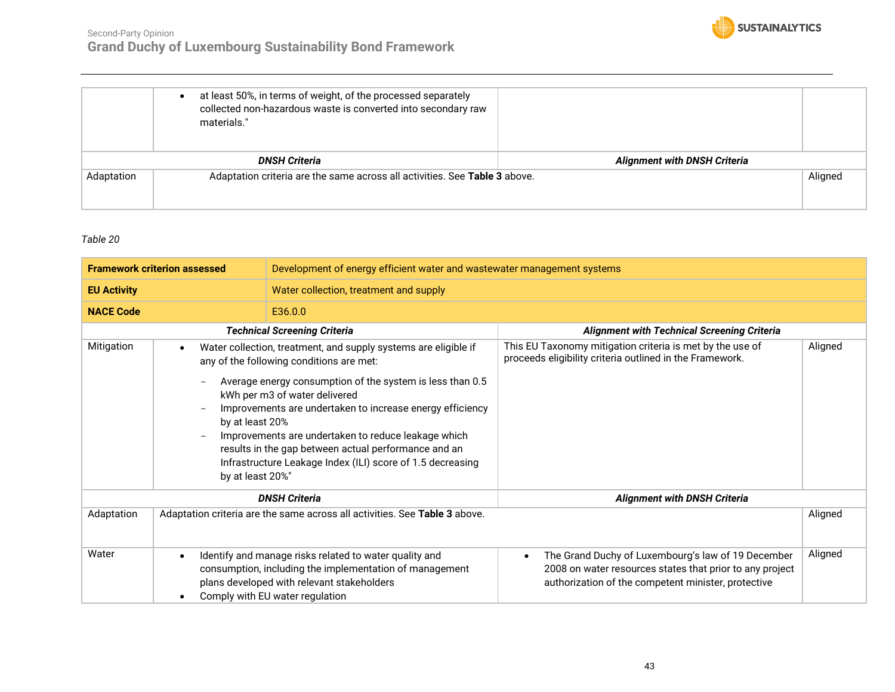![](_page_42_Picture_0.jpeg)

|            | at least 50%, in terms of weight, of the processed separately<br>collected non-hazardous waste is converted into secondary raw<br>materials." |                                     |         |
|------------|-----------------------------------------------------------------------------------------------------------------------------------------------|-------------------------------------|---------|
|            | <b>DNSH Criteria</b>                                                                                                                          | <b>Alignment with DNSH Criteria</b> |         |
| Adaptation | Adaptation criteria are the same across all activities. See Table 3 above.                                                                    |                                     | Aligned |

<span id="page-42-0"></span>

| <b>Framework criterion assessed</b> |                                                  | Development of energy efficient water and wastewater management systems                                                                                                                                                                                                                                                                                                                                                                             |                                                                                                                                                                                    |         |  |  |
|-------------------------------------|--------------------------------------------------|-----------------------------------------------------------------------------------------------------------------------------------------------------------------------------------------------------------------------------------------------------------------------------------------------------------------------------------------------------------------------------------------------------------------------------------------------------|------------------------------------------------------------------------------------------------------------------------------------------------------------------------------------|---------|--|--|
| <b>EU Activity</b>                  |                                                  | Water collection, treatment and supply                                                                                                                                                                                                                                                                                                                                                                                                              |                                                                                                                                                                                    |         |  |  |
| <b>NACE Code</b>                    |                                                  | E36.0.0                                                                                                                                                                                                                                                                                                                                                                                                                                             |                                                                                                                                                                                    |         |  |  |
|                                     |                                                  | <b>Technical Screening Criteria</b>                                                                                                                                                                                                                                                                                                                                                                                                                 | <b>Alignment with Technical Screening Criteria</b>                                                                                                                                 |         |  |  |
| Mitigation                          | $\bullet$<br>by at least 20%<br>by at least 20%" | Water collection, treatment, and supply systems are eligible if<br>any of the following conditions are met:<br>Average energy consumption of the system is less than 0.5<br>kWh per m3 of water delivered<br>Improvements are undertaken to increase energy efficiency<br>Improvements are undertaken to reduce leakage which<br>results in the gap between actual performance and an<br>Infrastructure Leakage Index (ILI) score of 1.5 decreasing | This EU Taxonomy mitigation criteria is met by the use of<br>proceeds eligibility criteria outlined in the Framework.                                                              | Aligned |  |  |
|                                     |                                                  | <b>DNSH Criteria</b>                                                                                                                                                                                                                                                                                                                                                                                                                                | <b>Alignment with DNSH Criteria</b>                                                                                                                                                |         |  |  |
| Adaptation                          |                                                  | Adaptation criteria are the same across all activities. See Table 3 above.                                                                                                                                                                                                                                                                                                                                                                          |                                                                                                                                                                                    | Aligned |  |  |
| Water                               | $\bullet$<br>$\bullet$                           | Identify and manage risks related to water quality and<br>consumption, including the implementation of management<br>plans developed with relevant stakeholders<br>Comply with EU water regulation                                                                                                                                                                                                                                                  | The Grand Duchy of Luxembourg's law of 19 December<br>$\bullet$<br>2008 on water resources states that prior to any project<br>authorization of the competent minister, protective | Aligned |  |  |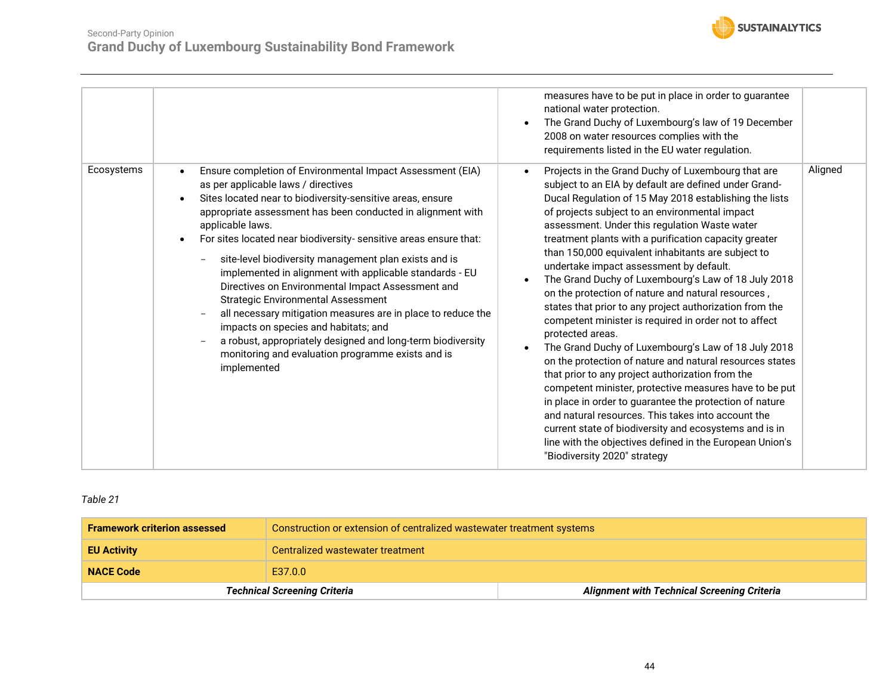![](_page_43_Picture_0.jpeg)

| Ecosystems<br>Ensure completion of Environmental Impact Assessment (EIA)<br>as per applicable laws / directives<br>Sites located near to biodiversity-sensitive areas, ensure<br>appropriate assessment has been conducted in alignment with<br>applicable laws.<br>For sites located near biodiversity- sensitive areas ensure that:<br>$\bullet$<br>site-level biodiversity management plan exists and is<br>$\overline{\phantom{a}}$<br>implemented in alignment with applicable standards - EU<br>Directives on Environmental Impact Assessment and<br><b>Strategic Environmental Assessment</b><br>all necessary mitigation measures are in place to reduce the<br>impacts on species and habitats; and<br>a robust, appropriately designed and long-term biodiversity<br>monitoring and evaluation programme exists and is<br>implemented | measures have to be put in place in order to guarantee<br>national water protection.<br>The Grand Duchy of Luxembourg's law of 19 December<br>2008 on water resources complies with the<br>requirements listed in the EU water regulation.<br>Projects in the Grand Duchy of Luxembourg that are<br>$\bullet$<br>subject to an EIA by default are defined under Grand-<br>Ducal Regulation of 15 May 2018 establishing the lists<br>of projects subject to an environmental impact<br>assessment. Under this regulation Waste water<br>treatment plants with a purification capacity greater<br>than 150,000 equivalent inhabitants are subject to<br>undertake impact assessment by default.<br>The Grand Duchy of Luxembourg's Law of 18 July 2018<br>on the protection of nature and natural resources,<br>states that prior to any project authorization from the<br>competent minister is required in order not to affect<br>protected areas.<br>The Grand Duchy of Luxembourg's Law of 18 July 2018<br>on the protection of nature and natural resources states<br>that prior to any project authorization from the<br>competent minister, protective measures have to be put<br>in place in order to guarantee the protection of nature<br>and natural resources. This takes into account the<br>current state of biodiversity and ecosystems and is in<br>line with the objectives defined in the European Union's<br>"Biodiversity 2020" strategy | Aligned |
|-------------------------------------------------------------------------------------------------------------------------------------------------------------------------------------------------------------------------------------------------------------------------------------------------------------------------------------------------------------------------------------------------------------------------------------------------------------------------------------------------------------------------------------------------------------------------------------------------------------------------------------------------------------------------------------------------------------------------------------------------------------------------------------------------------------------------------------------------|------------------------------------------------------------------------------------------------------------------------------------------------------------------------------------------------------------------------------------------------------------------------------------------------------------------------------------------------------------------------------------------------------------------------------------------------------------------------------------------------------------------------------------------------------------------------------------------------------------------------------------------------------------------------------------------------------------------------------------------------------------------------------------------------------------------------------------------------------------------------------------------------------------------------------------------------------------------------------------------------------------------------------------------------------------------------------------------------------------------------------------------------------------------------------------------------------------------------------------------------------------------------------------------------------------------------------------------------------------------------------------------------------------------------------------------------------------|---------|
|-------------------------------------------------------------------------------------------------------------------------------------------------------------------------------------------------------------------------------------------------------------------------------------------------------------------------------------------------------------------------------------------------------------------------------------------------------------------------------------------------------------------------------------------------------------------------------------------------------------------------------------------------------------------------------------------------------------------------------------------------------------------------------------------------------------------------------------------------|------------------------------------------------------------------------------------------------------------------------------------------------------------------------------------------------------------------------------------------------------------------------------------------------------------------------------------------------------------------------------------------------------------------------------------------------------------------------------------------------------------------------------------------------------------------------------------------------------------------------------------------------------------------------------------------------------------------------------------------------------------------------------------------------------------------------------------------------------------------------------------------------------------------------------------------------------------------------------------------------------------------------------------------------------------------------------------------------------------------------------------------------------------------------------------------------------------------------------------------------------------------------------------------------------------------------------------------------------------------------------------------------------------------------------------------------------------|---------|

<span id="page-43-0"></span>

| <b>Technical Screening Criteria</b> |                                                                        | <b>Alignment with Technical Screening Criteria</b> |  |
|-------------------------------------|------------------------------------------------------------------------|----------------------------------------------------|--|
| E37.0.0<br><b>NACE Code</b>         |                                                                        |                                                    |  |
| <b>EU Activity</b>                  | Centralized wastewater treatment                                       |                                                    |  |
| <b>Framework criterion assessed</b> | Construction or extension of centralized was tewater treatment systems |                                                    |  |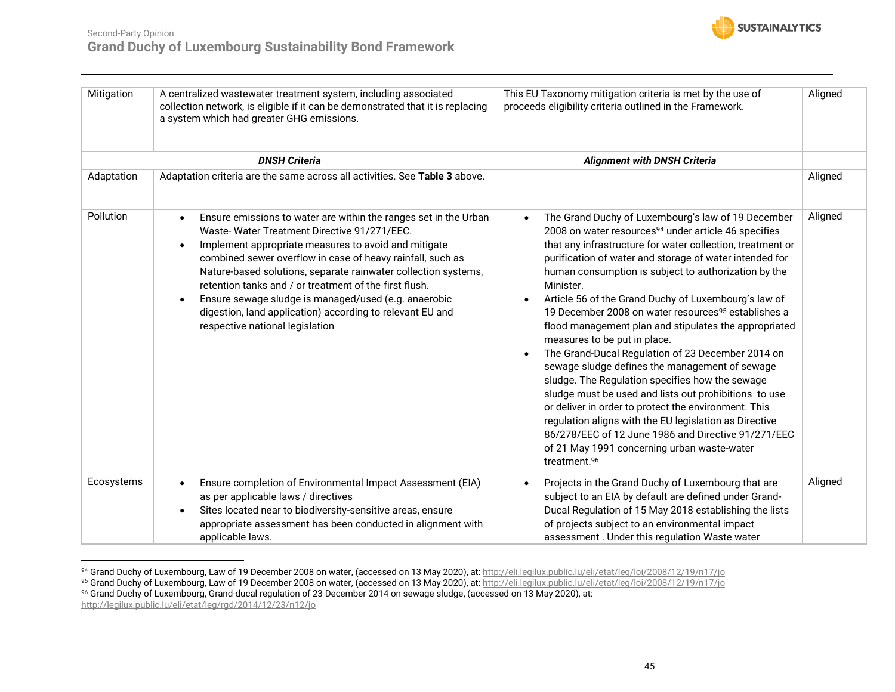![](_page_44_Picture_1.jpeg)

| Mitigation | A centralized wastewater treatment system, including associated<br>collection network, is eligible if it can be demonstrated that it is replacing<br>a system which had greater GHG emissions.                                                                                                                                                                                                                                                                                                                                                      | This EU Taxonomy mitigation criteria is met by the use of<br>proceeds eligibility criteria outlined in the Framework.                                                                                                                                                                                                                                                                                                                                                                                                                                                                                                                                                                                                                                                                                                                                                                                                                                                                                                                      | Aligned |
|------------|-----------------------------------------------------------------------------------------------------------------------------------------------------------------------------------------------------------------------------------------------------------------------------------------------------------------------------------------------------------------------------------------------------------------------------------------------------------------------------------------------------------------------------------------------------|--------------------------------------------------------------------------------------------------------------------------------------------------------------------------------------------------------------------------------------------------------------------------------------------------------------------------------------------------------------------------------------------------------------------------------------------------------------------------------------------------------------------------------------------------------------------------------------------------------------------------------------------------------------------------------------------------------------------------------------------------------------------------------------------------------------------------------------------------------------------------------------------------------------------------------------------------------------------------------------------------------------------------------------------|---------|
|            | <b>DNSH Criteria</b>                                                                                                                                                                                                                                                                                                                                                                                                                                                                                                                                | <b>Alignment with DNSH Criteria</b>                                                                                                                                                                                                                                                                                                                                                                                                                                                                                                                                                                                                                                                                                                                                                                                                                                                                                                                                                                                                        |         |
| Adaptation | Adaptation criteria are the same across all activities. See Table 3 above.                                                                                                                                                                                                                                                                                                                                                                                                                                                                          |                                                                                                                                                                                                                                                                                                                                                                                                                                                                                                                                                                                                                                                                                                                                                                                                                                                                                                                                                                                                                                            | Aligned |
| Pollution  | Ensure emissions to water are within the ranges set in the Urban<br>Waste-Water Treatment Directive 91/271/EEC.<br>Implement appropriate measures to avoid and mitigate<br>$\bullet$<br>combined sewer overflow in case of heavy rainfall, such as<br>Nature-based solutions, separate rainwater collection systems,<br>retention tanks and / or treatment of the first flush.<br>Ensure sewage sludge is managed/used (e.g. anaerobic<br>$\bullet$<br>digestion, land application) according to relevant EU and<br>respective national legislation | The Grand Duchy of Luxembourg's law of 19 December<br>$\bullet$<br>2008 on water resources <sup>94</sup> under article 46 specifies<br>that any infrastructure for water collection, treatment or<br>purification of water and storage of water intended for<br>human consumption is subject to authorization by the<br>Minister.<br>Article 56 of the Grand Duchy of Luxembourg's law of<br>$\bullet$<br>19 December 2008 on water resources <sup>95</sup> establishes a<br>flood management plan and stipulates the appropriated<br>measures to be put in place.<br>The Grand-Ducal Regulation of 23 December 2014 on<br>$\bullet$<br>sewage sludge defines the management of sewage<br>sludge. The Regulation specifies how the sewage<br>sludge must be used and lists out prohibitions to use<br>or deliver in order to protect the environment. This<br>regulation aligns with the EU legislation as Directive<br>86/278/EEC of 12 June 1986 and Directive 91/271/EEC<br>of 21 May 1991 concerning urban waste-water<br>treatment.96 | Aligned |
| Ecosystems | Ensure completion of Environmental Impact Assessment (EIA)<br>as per applicable laws / directives<br>Sites located near to biodiversity-sensitive areas, ensure<br>$\bullet$<br>appropriate assessment has been conducted in alignment with<br>applicable laws.                                                                                                                                                                                                                                                                                     | Projects in the Grand Duchy of Luxembourg that are<br>$\bullet$<br>subject to an EIA by default are defined under Grand-<br>Ducal Regulation of 15 May 2018 establishing the lists<br>of projects subject to an environmental impact<br>assessment. Under this regulation Waste water                                                                                                                                                                                                                                                                                                                                                                                                                                                                                                                                                                                                                                                                                                                                                      | Aligned |

<sup>94</sup> Grand Duchy of Luxembourg, Law of 19 December 2008 on water, (accessed on 13 May 2020), at[: http://eli.legilux.public.lu/eli/etat/leg/loi/2008/12/19/n17/jo](http://eli.legilux.public.lu/eli/etat/leg/loi/2008/12/19/n17/jo)

<http://legilux.public.lu/eli/etat/leg/rgd/2014/12/23/n12/jo>

<sup>95</sup> Grand Duchy of Luxembourg, Law of 19 December 2008 on water, (accessed on 13 May 2020), at[: http://eli.legilux.public.lu/eli/etat/leg/loi/2008/12/19/n17/jo](http://eli.legilux.public.lu/eli/etat/leg/loi/2008/12/19/n17/jo)

 $^{96}$  Grand Duchy of Luxembourg, Grand-ducal regulation of 23 December 2014 on sewage sludge, (accessed on 13 May 2020), at: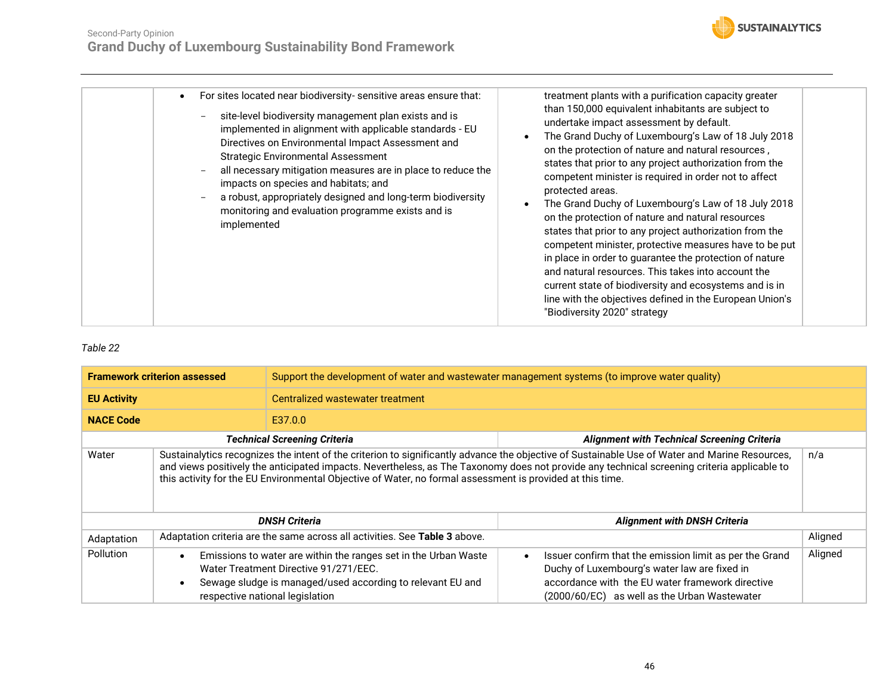![](_page_45_Picture_1.jpeg)

<span id="page-45-0"></span>

| <b>Framework criterion assessed</b> |                                                                                                                                                                                                                                                                                                                                                                                                            | Support the development of water and wastewater management systems (to improve water quality)                                                                                                             |                                                                                                                                                                                                                          |         |  |
|-------------------------------------|------------------------------------------------------------------------------------------------------------------------------------------------------------------------------------------------------------------------------------------------------------------------------------------------------------------------------------------------------------------------------------------------------------|-----------------------------------------------------------------------------------------------------------------------------------------------------------------------------------------------------------|--------------------------------------------------------------------------------------------------------------------------------------------------------------------------------------------------------------------------|---------|--|
| <b>EU Activity</b>                  |                                                                                                                                                                                                                                                                                                                                                                                                            | Centralized wastewater treatment                                                                                                                                                                          |                                                                                                                                                                                                                          |         |  |
| <b>NACE Code</b>                    | E37.0.0                                                                                                                                                                                                                                                                                                                                                                                                    |                                                                                                                                                                                                           |                                                                                                                                                                                                                          |         |  |
|                                     |                                                                                                                                                                                                                                                                                                                                                                                                            | <b>Technical Screening Criteria</b>                                                                                                                                                                       | <b>Alignment with Technical Screening Criteria</b>                                                                                                                                                                       |         |  |
| Water                               | Sustainalytics recognizes the intent of the criterion to significantly advance the objective of Sustainable Use of Water and Marine Resources,<br>and views positively the anticipated impacts. Nevertheless, as The Taxonomy does not provide any technical screening criteria applicable to<br>this activity for the EU Environmental Objective of Water, no formal assessment is provided at this time. |                                                                                                                                                                                                           |                                                                                                                                                                                                                          | n/a     |  |
|                                     |                                                                                                                                                                                                                                                                                                                                                                                                            | <b>DNSH Criteria</b>                                                                                                                                                                                      | <b>Alignment with DNSH Criteria</b>                                                                                                                                                                                      |         |  |
| Adaptation                          |                                                                                                                                                                                                                                                                                                                                                                                                            | Adaptation criteria are the same across all activities. See Table 3 above.                                                                                                                                |                                                                                                                                                                                                                          | Aligned |  |
| <b>Pollution</b>                    |                                                                                                                                                                                                                                                                                                                                                                                                            | Emissions to water are within the ranges set in the Urban Waste<br>Water Treatment Directive 91/271/EEC.<br>Sewage sludge is managed/used according to relevant EU and<br>respective national legislation | Issuer confirm that the emission limit as per the Grand<br>$\bullet$<br>Duchy of Luxembourg's water law are fixed in<br>accordance with the EU water framework directive<br>(2000/60/EC) as well as the Urban Wastewater | Aligned |  |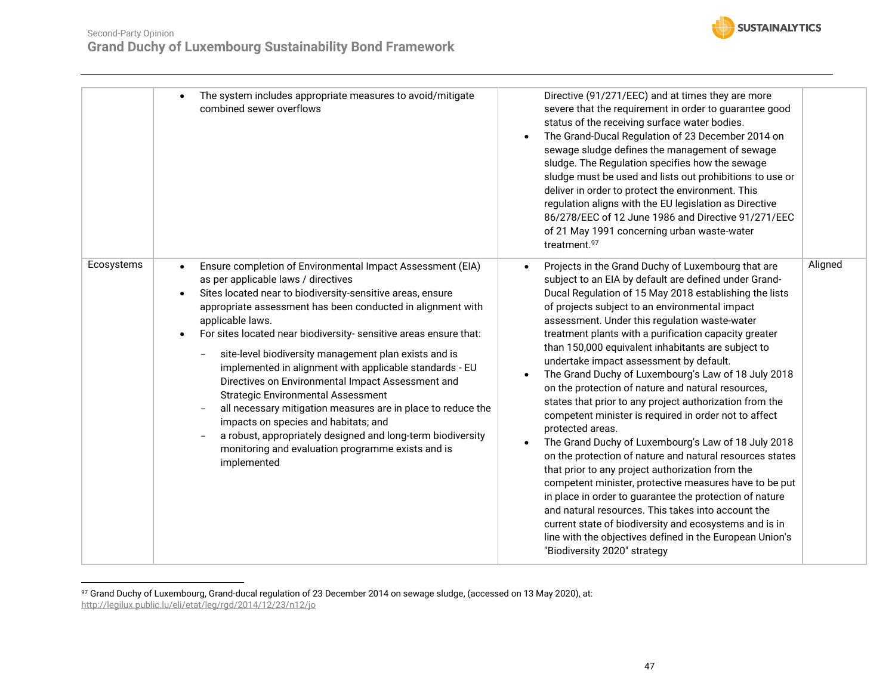![](_page_46_Picture_1.jpeg)

|            | The system includes appropriate measures to avoid/mitigate<br>combined sewer overflows                                                                                                                                                                                                                                                                                                                                                                                                                                                                                                                                                                                                                                                                                                                | Directive (91/271/EEC) and at times they are more<br>severe that the requirement in order to guarantee good<br>status of the receiving surface water bodies.<br>The Grand-Ducal Regulation of 23 December 2014 on<br>$\bullet$<br>sewage sludge defines the management of sewage<br>sludge. The Regulation specifies how the sewage<br>sludge must be used and lists out prohibitions to use or<br>deliver in order to protect the environment. This<br>regulation aligns with the EU legislation as Directive<br>86/278/EEC of 12 June 1986 and Directive 91/271/EEC<br>of 21 May 1991 concerning urban waste-water<br>treatment.97                                                                                                                                                                                                                                                                                                                                                                                                                                                                                                                                                                                      |         |
|------------|-------------------------------------------------------------------------------------------------------------------------------------------------------------------------------------------------------------------------------------------------------------------------------------------------------------------------------------------------------------------------------------------------------------------------------------------------------------------------------------------------------------------------------------------------------------------------------------------------------------------------------------------------------------------------------------------------------------------------------------------------------------------------------------------------------|---------------------------------------------------------------------------------------------------------------------------------------------------------------------------------------------------------------------------------------------------------------------------------------------------------------------------------------------------------------------------------------------------------------------------------------------------------------------------------------------------------------------------------------------------------------------------------------------------------------------------------------------------------------------------------------------------------------------------------------------------------------------------------------------------------------------------------------------------------------------------------------------------------------------------------------------------------------------------------------------------------------------------------------------------------------------------------------------------------------------------------------------------------------------------------------------------------------------------|---------|
| Ecosystems | Ensure completion of Environmental Impact Assessment (EIA)<br>$\bullet$<br>as per applicable laws / directives<br>Sites located near to biodiversity-sensitive areas, ensure<br>appropriate assessment has been conducted in alignment with<br>applicable laws.<br>For sites located near biodiversity- sensitive areas ensure that:<br>site-level biodiversity management plan exists and is<br>implemented in alignment with applicable standards - EU<br>Directives on Environmental Impact Assessment and<br><b>Strategic Environmental Assessment</b><br>all necessary mitigation measures are in place to reduce the<br>impacts on species and habitats; and<br>a robust, appropriately designed and long-term biodiversity<br>monitoring and evaluation programme exists and is<br>implemented | Projects in the Grand Duchy of Luxembourg that are<br>$\bullet$<br>subject to an EIA by default are defined under Grand-<br>Ducal Regulation of 15 May 2018 establishing the lists<br>of projects subject to an environmental impact<br>assessment. Under this regulation waste-water<br>treatment plants with a purification capacity greater<br>than 150,000 equivalent inhabitants are subject to<br>undertake impact assessment by default.<br>The Grand Duchy of Luxembourg's Law of 18 July 2018<br>$\bullet$<br>on the protection of nature and natural resources,<br>states that prior to any project authorization from the<br>competent minister is required in order not to affect<br>protected areas.<br>The Grand Duchy of Luxembourg's Law of 18 July 2018<br>on the protection of nature and natural resources states<br>that prior to any project authorization from the<br>competent minister, protective measures have to be put<br>in place in order to guarantee the protection of nature<br>and natural resources. This takes into account the<br>current state of biodiversity and ecosystems and is in<br>line with the objectives defined in the European Union's<br>"Biodiversity 2020" strategy | Aligned |

 $^{97}$  Grand Duchy of Luxembourg, Grand-ducal regulation of 23 December 2014 on sewage sludge, (accessed on 13 May 2020), at: <http://legilux.public.lu/eli/etat/leg/rgd/2014/12/23/n12/jo>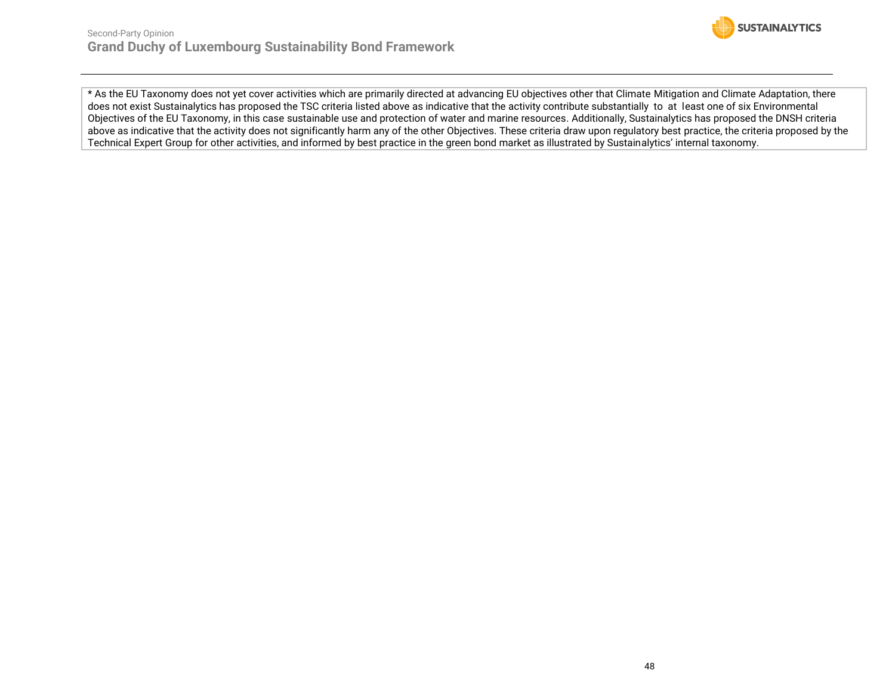![](_page_47_Picture_1.jpeg)

\* As the EU Taxonomy does not yet cover activities which are primarily directed at advancing EU objectives other that Climate Mitigation and Climate Adaptation, there does not exist Sustainalytics has proposed the TSC criteria listed above as indicative that the activity contribute substantially to at least one of six Environmental Objectives of the EU Taxonomy, in this case sustainable use and protection of water and marine resources. Additionally, Sustainalytics has proposed the DNSH criteria above as indicative that the activity does not significantly harm any of the other Objectives. These criteria draw upon regulatory best practice, the criteria proposed by the Technical Expert Group for other activities, and informed by best practice in the green bond market as illustrated by Sustainalytics' internal taxonomy.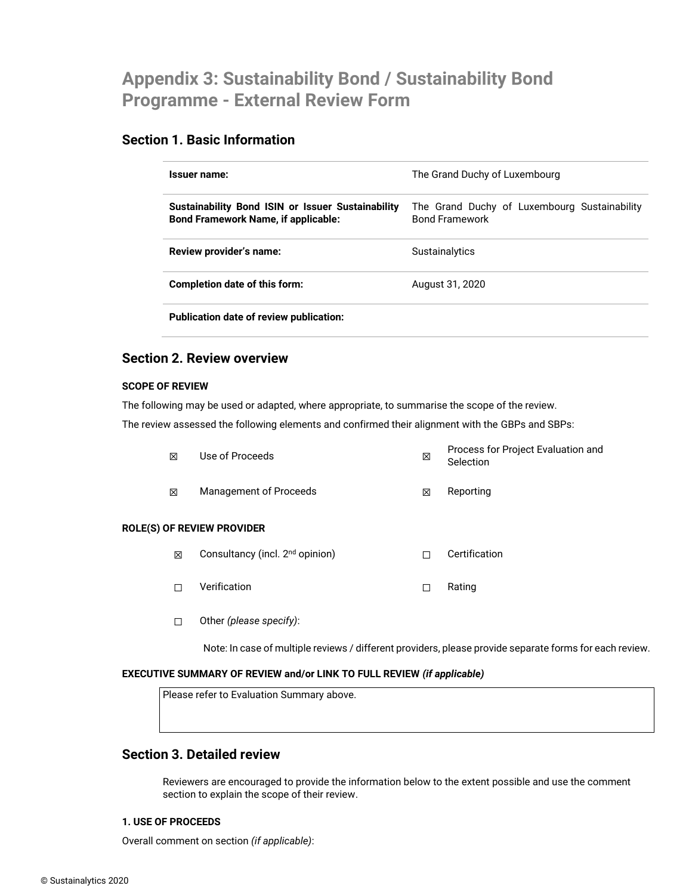# <span id="page-48-0"></span>**Appendix 3: Sustainability Bond / Sustainability Bond Programme - External Review Form**

# **Section 1. Basic Information**

| Issuer name:                                                                                    | The Grand Duchy of Luxembourg                                         |
|-------------------------------------------------------------------------------------------------|-----------------------------------------------------------------------|
| Sustainability Bond ISIN or Issuer Sustainability<br><b>Bond Framework Name, if applicable:</b> | The Grand Duchy of Luxembourg Sustainability<br><b>Bond Framework</b> |
| Review provider's name:                                                                         | Sustainalytics                                                        |
| Completion date of this form:                                                                   | August 31, 2020                                                       |
| Publication date of review publication:                                                         |                                                                       |

## **Section 2. Review overview**

#### **SCOPE OF REVIEW**

The following may be used or adapted, where appropriate, to summarise the scope of the review.

The review assessed the following elements and confirmed their alignment with the GBPs and SBPs:

| X | Management of Proceeds<br><b>F REVIEW PROVIDER</b> | ⊠ | Reporting                                       |
|---|----------------------------------------------------|---|-------------------------------------------------|
| 冈 | Use of Proceeds                                    | ⊠ | Process for Project Evaluation and<br>Selection |

### **ROLE(S) O**

- **⊠** Consultancy (incl. 2<sup>nd</sup> opinion) □ □ Certification
- ☐ Verification ☐ Rating
- ☐ Other *(please specify)*:

Note: In case of multiple reviews / different providers, please provide separate forms for each review.

#### **EXECUTIVE SUMMARY OF REVIEW and/or LINK TO FULL REVIEW** *(if applicable)*

Please refer to Evaluation Summary above.

# **Section 3. Detailed review**

Reviewers are encouraged to provide the information below to the extent possible and use the comment section to explain the scope of their review.

#### **1. USE OF PROCEEDS**

Overall comment on section *(if applicable)*: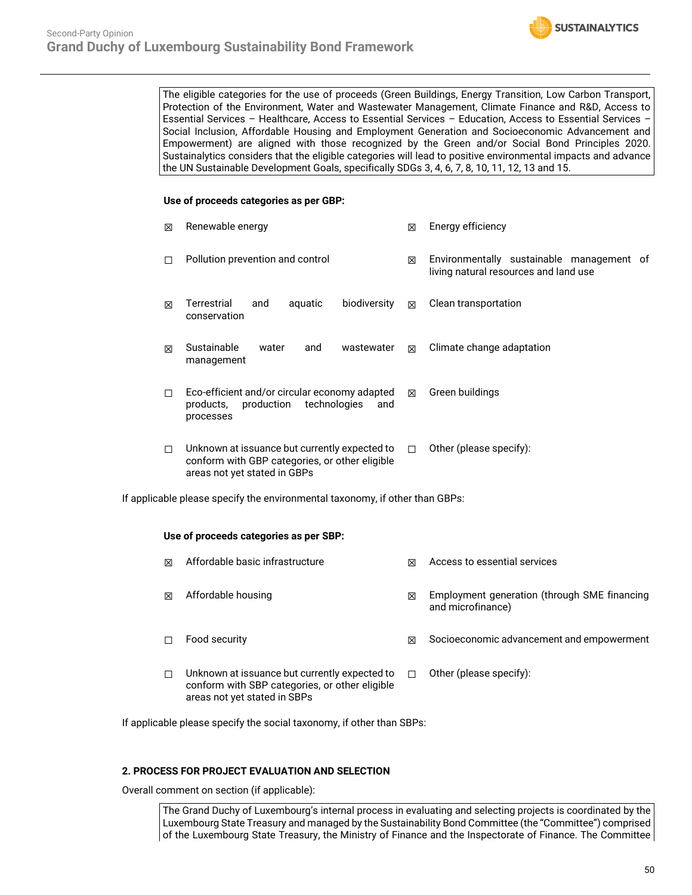![](_page_49_Picture_1.jpeg)

The eligible categories for the use of proceeds (Green Buildings, Energy Transition, Low Carbon Transport, Protection of the Environment, Water and Wastewater Management, Climate Finance and R&D, Access to Essential Services – Healthcare, Access to Essential Services – Education, Access to Essential Services – Social Inclusion, Affordable Housing and Employment Generation and Socioeconomic Advancement and Empowerment) are aligned with those recognized by the Green and/or Social Bond Principles 2020. Sustainalytics considers that the eligible categories will lead to positive environmental impacts and advance the UN Sustainable Development Goals, specifically SDGs 3, 4, 6, 7, 8, 10, 11, 12, 13 and 15.

#### **Use of proceeds categories as per GBP:**

| M | Renewable energy                                                                                                                | ⊠      | Energy efficiency                                                                  |
|---|---------------------------------------------------------------------------------------------------------------------------------|--------|------------------------------------------------------------------------------------|
| П | Pollution prevention and control                                                                                                | 区      | Environmentally sustainable management of<br>living natural resources and land use |
| ⊠ | Terrestrial<br>biodiversity<br>aquatic<br>and<br>conservation                                                                   | ⊠      | Clean transportation                                                               |
| ⊠ | Sustainable<br>water<br>and<br>wastewater<br>management                                                                         | ⊠      | Climate change adaptation                                                          |
| п | Eco-efficient and/or circular economy adapted<br>production<br>technologies<br>products,<br>and<br>processes                    | 冈      | Green buildings                                                                    |
| П | Unknown at issuance but currently expected to<br>conform with GBP categories, or other eligible<br>areas not yet stated in GBPs | $\Box$ | Other (please specify):                                                            |

If applicable please specify the environmental taxonomy, if other than GBPs:

#### **Use of proceeds categories as per SBP:**

| ⊠ | Affordable basic infrastructure                                                                                                 | ⊠ | Access to essential services                                      |
|---|---------------------------------------------------------------------------------------------------------------------------------|---|-------------------------------------------------------------------|
| ⊠ | Affordable housing                                                                                                              | ⊠ | Employment generation (through SME financing<br>and microfinance) |
|   | Food security                                                                                                                   | ⊠ | Socioeconomic advancement and empowerment                         |
| П | Unknown at issuance but currently expected to<br>conform with SBP categories, or other eligible<br>areas not yet stated in SBPs |   | Other (please specify):                                           |

If applicable please specify the social taxonomy, if other than SBPs:

#### **2. PROCESS FOR PROJECT EVALUATION AND SELECTION**

Overall comment on section (if applicable):

The Grand Duchy of Luxembourg's internal process in evaluating and selecting projects is coordinated by the Luxembourg State Treasury and managed by the Sustainability Bond Committee (the "Committee") comprised of the Luxembourg State Treasury, the Ministry of Finance and the Inspectorate of Finance. The Committee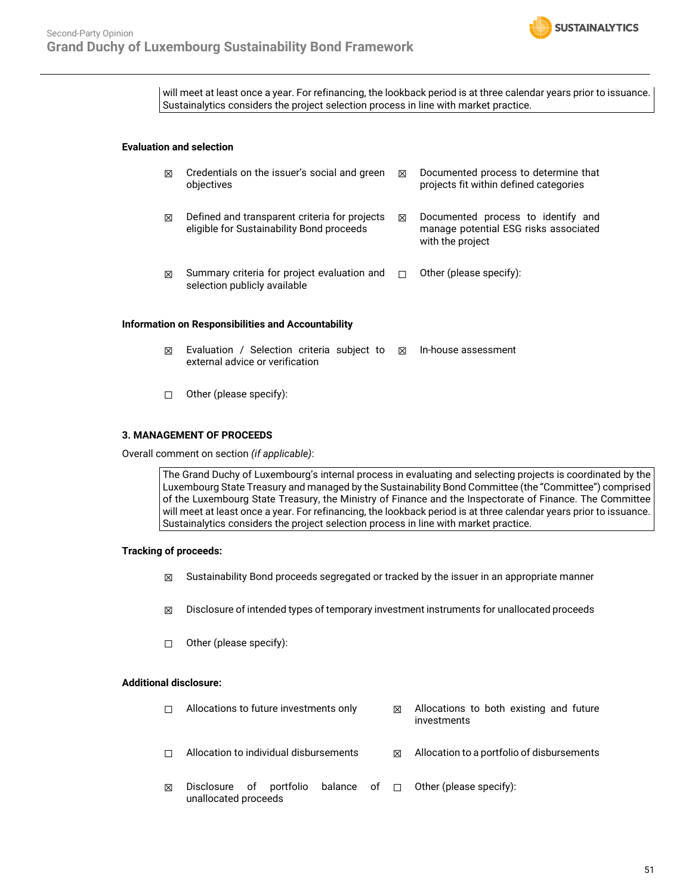![](_page_50_Picture_1.jpeg)

will meet at least once a year. For refinancing, the lookback period is at three calendar years prior to issuance. Sustainalytics considers the project selection process in line with market practice.

#### **Evaluation and selection**

| ⊠                                                  | Credentials on the issuer's social and green<br>objectives                                 | 冈 | Documented process to determine that<br>projects fit within defined categories                  |  |  |  |
|----------------------------------------------------|--------------------------------------------------------------------------------------------|---|-------------------------------------------------------------------------------------------------|--|--|--|
| ⊠                                                  | Defined and transparent criteria for projects<br>eligible for Sustainability Bond proceeds | ⊠ | Documented process to identify and<br>manage potential ESG risks associated<br>with the project |  |  |  |
| M                                                  | Summary criteria for project evaluation and<br>selection publicly available                | П | Other (please specify):                                                                         |  |  |  |
| Information on Responsibilities and Accountability |                                                                                            |   |                                                                                                 |  |  |  |

- $\boxtimes$  Evaluation / Selection criteria subject to  $\boxtimes$  In-house assessment external advice or verification
- ☐ Other (please specify):

#### **3. MANAGEMENT OF PROCEEDS**

Overall comment on section *(if applicable)*:

The Grand Duchy of Luxembourg's internal process in evaluating and selecting projects is coordinated by the Luxembourg State Treasury and managed by the Sustainability Bond Committee (the "Committee") comprised of the Luxembourg State Treasury, the Ministry of Finance and the Inspectorate of Finance. The Committee will meet at least once a year. For refinancing, the lookback period is at three calendar years prior to issuance. Sustainalytics considers the project selection process in line with market practice.

#### **Tracking of proceeds:**

- $\boxtimes$  Sustainability Bond proceeds segregated or tracked by the issuer in an appropriate manner
- $\boxtimes$  Disclosure of intended types of temporary investment instruments for unallocated proceeds
- ☐ Other (please specify):

#### **Additional disclosure:**

| П | Allocations to future investments only          |  |   | ⊠                                          | Allocations to both existing and future<br>investments |
|---|-------------------------------------------------|--|---|--------------------------------------------|--------------------------------------------------------|
| П | Allocation to individual disbursements          |  | ⊠ | Allocation to a portfolio of disbursements |                                                        |
| ⊠ | Disclosure of portfolio<br>unallocated proceeds |  |   |                                            | balance of $\Box$ Other (please specify):              |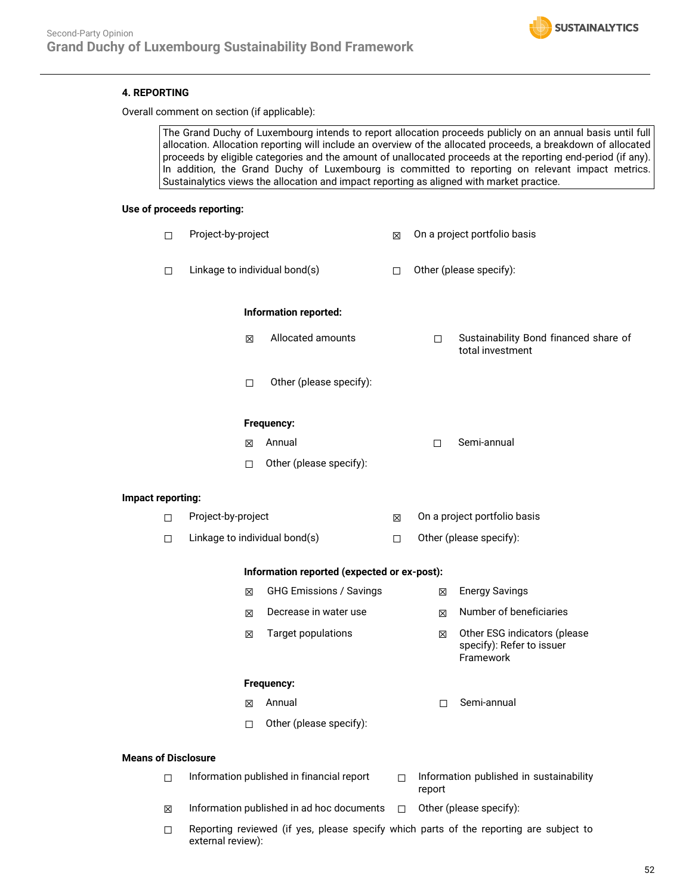![](_page_51_Picture_1.jpeg)

#### **4. REPORTING**

Overall comment on section (if applicable):

The Grand Duchy of Luxembourg intends to report allocation proceeds publicly on an annual basis until full allocation. Allocation reporting will include an overview of the allocated proceeds, a breakdown of allocated proceeds by eligible categories and the amount of unallocated proceeds at the reporting end-period (if any). In addition, the Grand Duchy of Luxembourg is committed to reporting on relevant impact metrics. Sustainalytics views the allocation and impact reporting as aligned with market practice.

#### **Use of proceeds reporting:**

|                            | $\Box$ | Project-by-project                          |  | On a project portfolio basis                                                |  |
|----------------------------|--------|---------------------------------------------|--|-----------------------------------------------------------------------------|--|
|                            | $\Box$ | Linkage to individual bond(s)               |  | Other (please specify):                                                     |  |
|                            |        | Information reported:                       |  |                                                                             |  |
|                            |        | Allocated amounts<br>区                      |  | Sustainability Bond financed share of<br>□<br>total investment              |  |
|                            |        | Other (please specify):<br>$\Box$           |  |                                                                             |  |
|                            |        | Frequency:                                  |  |                                                                             |  |
|                            |        | Annual<br>区                                 |  | Semi-annual<br>$\Box$                                                       |  |
|                            |        | Other (please specify):<br>$\Box$           |  |                                                                             |  |
| Impact reporting:          |        |                                             |  |                                                                             |  |
|                            | □      | Project-by-project                          |  | On a project portfolio basis                                                |  |
|                            | $\Box$ | Linkage to individual bond(s)               |  | Other (please specify):                                                     |  |
|                            |        | Information reported (expected or ex-post): |  |                                                                             |  |
|                            |        | <b>GHG Emissions / Savings</b><br>区         |  | <b>Energy Savings</b><br>⊠                                                  |  |
|                            |        | Decrease in water use<br>図                  |  | Number of beneficiaries<br>⊠                                                |  |
|                            |        | <b>Target populations</b><br>⊠              |  | Other ESG indicators (please<br>区<br>specify): Refer to issuer<br>Framework |  |
|                            |        | Frequency:                                  |  |                                                                             |  |
|                            |        | Annual<br>X                                 |  | Semi-annual<br>$\Box$                                                       |  |
|                            |        | Other (please specify):<br>□                |  |                                                                             |  |
| <b>Means of Disclosure</b> |        |                                             |  |                                                                             |  |
|                            | □      | Information published in financial report   |  | Information published in sustainability<br>$\Box$<br>report                 |  |
|                            | ⊠      | Information published in ad hoc documents   |  | Other (please specify):<br>$\Box$                                           |  |

 $\Box$  Reporting reviewed (if yes, please specify which parts of the reporting are subject to external review):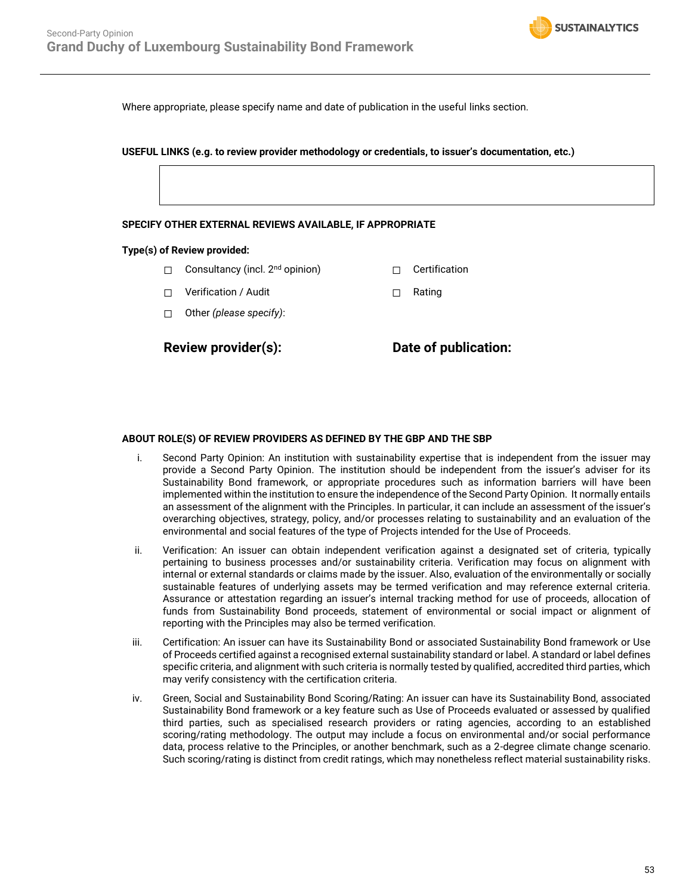![](_page_52_Picture_1.jpeg)

Where appropriate, please specify name and date of publication in the useful links section.

**USEFUL LINKS (e.g. to review provider methodology or credentials, to issuer's documentation, etc.)**

#### **SPECIFY OTHER EXTERNAL REVIEWS AVAILABLE, IF APPROPRIATE**

#### **Type(s) of Review provided:**

- □ Consultancy (incl. 2<sup>nd</sup> opinion) □ □ Certification
- ☐ Verification / Audit ☐ Rating
- ☐ Other *(please specify)*:

**Review provider(s): Date of publication:**

#### **ABOUT ROLE(S) OF REVIEW PROVIDERS AS DEFINED BY THE GBP AND THE SBP**

- i. Second Party Opinion: An institution with sustainability expertise that is independent from the issuer may provide a Second Party Opinion. The institution should be independent from the issuer's adviser for its Sustainability Bond framework, or appropriate procedures such as information barriers will have been implemented within the institution to ensure the independence of the Second Party Opinion. It normally entails an assessment of the alignment with the Principles. In particular, it can include an assessment of the issuer's overarching objectives, strategy, policy, and/or processes relating to sustainability and an evaluation of the environmental and social features of the type of Projects intended for the Use of Proceeds.
- ii. Verification: An issuer can obtain independent verification against a designated set of criteria, typically pertaining to business processes and/or sustainability criteria. Verification may focus on alignment with internal or external standards or claims made by the issuer. Also, evaluation of the environmentally or socially sustainable features of underlying assets may be termed verification and may reference external criteria. Assurance or attestation regarding an issuer's internal tracking method for use of proceeds, allocation of funds from Sustainability Bond proceeds, statement of environmental or social impact or alignment of reporting with the Principles may also be termed verification.
- iii. Certification: An issuer can have its Sustainability Bond or associated Sustainability Bond framework or Use of Proceeds certified against a recognised external sustainability standard or label. A standard or label defines specific criteria, and alignment with such criteria is normally tested by qualified, accredited third parties, which may verify consistency with the certification criteria.
- iv. Green, Social and Sustainability Bond Scoring/Rating: An issuer can have its Sustainability Bond, associated Sustainability Bond framework or a key feature such as Use of Proceeds evaluated or assessed by qualified third parties, such as specialised research providers or rating agencies, according to an established scoring/rating methodology. The output may include a focus on environmental and/or social performance data, process relative to the Principles, or another benchmark, such as a 2-degree climate change scenario. Such scoring/rating is distinct from credit ratings, which may nonetheless reflect material sustainability risks.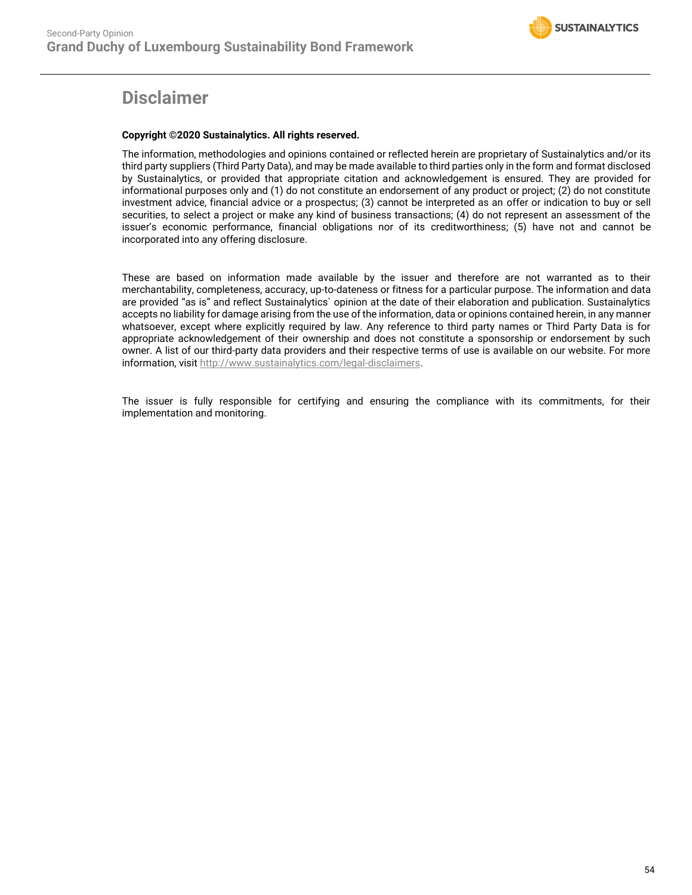# **Disclaimer**

#### **Copyright ©2020 Sustainalytics. All rights reserved.**

The information, methodologies and opinions contained or reflected herein are proprietary of Sustainalytics and/or its third party suppliers (Third Party Data), and may be made available to third parties only in the form and format disclosed by Sustainalytics, or provided that appropriate citation and acknowledgement is ensured. They are provided for informational purposes only and (1) do not constitute an endorsement of any product or project; (2) do not constitute investment advice, financial advice or a prospectus; (3) cannot be interpreted as an offer or indication to buy or sell securities, to select a project or make any kind of business transactions; (4) do not represent an assessment of the issuer's economic performance, financial obligations nor of its creditworthiness; (5) have not and cannot be incorporated into any offering disclosure.

These are based on information made available by the issuer and therefore are not warranted as to their merchantability, completeness, accuracy, up-to-dateness or fitness for a particular purpose. The information and data are provided "as is" and reflect Sustainalytics` opinion at the date of their elaboration and publication. Sustainalytics accepts no liability for damage arising from the use of the information, data or opinions contained herein, in any manner whatsoever, except where explicitly required by law. Any reference to third party names or Third Party Data is for appropriate acknowledgement of their ownership and does not constitute a sponsorship or endorsement by such owner. A list of our third-party data providers and their respective terms of use is available on our website. For more information, visit [http://www.sustainalytics.com/legal-disclaimers.](http://www.sustainalytics.com/legal-disclaimers)

The issuer is fully responsible for certifying and ensuring the compliance with its commitments, for their implementation and monitoring.